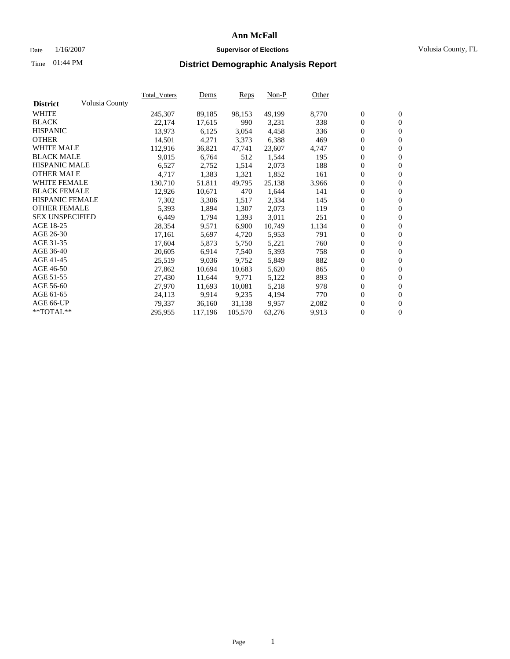### Date  $1/16/2007$  **Supervisor of Elections Supervisor of Elections** Volusia County, FL

# Time **District Demographic Analysis Report** 01:44 PM

|                        |                | <b>Total Voters</b> | Dems    | Reps    | $Non-P$ | Other |                  |                  |  |
|------------------------|----------------|---------------------|---------|---------|---------|-------|------------------|------------------|--|
| <b>District</b>        | Volusia County |                     |         |         |         |       |                  |                  |  |
| <b>WHITE</b>           |                | 245,307             | 89,185  | 98,153  | 49,199  | 8,770 | $\boldsymbol{0}$ | $\mathbf{0}$     |  |
| <b>BLACK</b>           |                | 22,174              | 17,615  | 990     | 3,231   | 338   | $\mathbf{0}$     | $\mathbf{0}$     |  |
| <b>HISPANIC</b>        |                | 13,973              | 6,125   | 3,054   | 4,458   | 336   | $\mathbf{0}$     | $\mathbf{0}$     |  |
| <b>OTHER</b>           |                | 14,501              | 4,271   | 3,373   | 6,388   | 469   | $\boldsymbol{0}$ | $\boldsymbol{0}$ |  |
| <b>WHITE MALE</b>      |                | 112,916             | 36,821  | 47,741  | 23,607  | 4,747 | 0                | $\mathbf{0}$     |  |
| <b>BLACK MALE</b>      |                | 9,015               | 6,764   | 512     | 1,544   | 195   | 0                | $\boldsymbol{0}$ |  |
| <b>HISPANIC MALE</b>   |                | 6,527               | 2,752   | 1,514   | 2,073   | 188   | 0                | $\overline{0}$   |  |
| <b>OTHER MALE</b>      |                | 4,717               | 1,383   | 1,321   | 1,852   | 161   | $\boldsymbol{0}$ | $\boldsymbol{0}$ |  |
| <b>WHITE FEMALE</b>    |                | 130,710             | 51,811  | 49,795  | 25,138  | 3,966 | 0                | $\mathbf{0}$     |  |
| <b>BLACK FEMALE</b>    |                | 12,926              | 10,671  | 470     | 1,644   | 141   | $\mathbf{0}$     | $\mathbf{0}$     |  |
| <b>HISPANIC FEMALE</b> |                | 7,302               | 3,306   | 1,517   | 2,334   | 145   | $\boldsymbol{0}$ | $\boldsymbol{0}$ |  |
| <b>OTHER FEMALE</b>    |                | 5,393               | 1,894   | 1,307   | 2,073   | 119   | 0                | $\mathbf{0}$     |  |
| <b>SEX UNSPECIFIED</b> |                | 6,449               | 1,794   | 1,393   | 3,011   | 251   | 0                | $\mathbf{0}$     |  |
| AGE 18-25              |                | 28,354              | 9,571   | 6,900   | 10,749  | 1,134 | 0                | $\mathbf{0}$     |  |
| AGE 26-30              |                | 17,161              | 5,697   | 4,720   | 5,953   | 791   | $\boldsymbol{0}$ | $\boldsymbol{0}$ |  |
| AGE 31-35              |                | 17,604              | 5,873   | 5,750   | 5,221   | 760   | 0                | $\boldsymbol{0}$ |  |
| AGE 36-40              |                | 20,605              | 6,914   | 7,540   | 5,393   | 758   | $\boldsymbol{0}$ | $\mathbf{0}$     |  |
| AGE 41-45              |                | 25,519              | 9,036   | 9,752   | 5,849   | 882   | 0                | $\boldsymbol{0}$ |  |
| AGE 46-50              |                | 27,862              | 10,694  | 10,683  | 5,620   | 865   | 0                | $\overline{0}$   |  |
| AGE 51-55              |                | 27,430              | 11,644  | 9,771   | 5,122   | 893   | $\boldsymbol{0}$ | $\mathbf{0}$     |  |
| AGE 56-60              |                | 27,970              | 11,693  | 10,081  | 5,218   | 978   | 0                | $\mathbf{0}$     |  |
| AGE 61-65              |                | 24,113              | 9,914   | 9,235   | 4,194   | 770   | $\mathbf{0}$     | $\boldsymbol{0}$ |  |
| AGE 66-UP              |                | 79,337              | 36,160  | 31,138  | 9,957   | 2,082 | 0                | $\boldsymbol{0}$ |  |
| **TOTAL**              |                | 295,955             | 117,196 | 105,570 | 63,276  | 9,913 | 0                | $\mathbf{0}$     |  |
|                        |                |                     |         |         |         |       |                  |                  |  |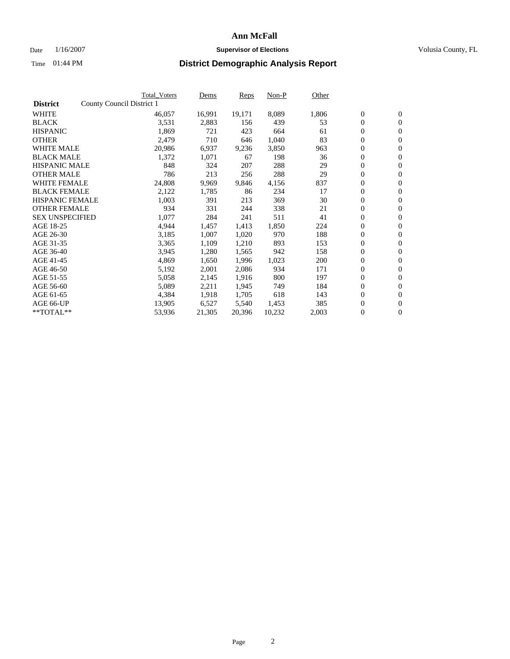#### Date  $1/16/2007$  **Supervisor of Elections Supervisor of Elections** Volusia County, FL

|                        | <b>Total_Voters</b>       | Dems   | <b>Reps</b> | Non-P  | Other |                  |                  |  |
|------------------------|---------------------------|--------|-------------|--------|-------|------------------|------------------|--|
| <b>District</b>        | County Council District 1 |        |             |        |       |                  |                  |  |
| <b>WHITE</b>           | 46,057                    | 16,991 | 19,171      | 8,089  | 1,806 | $\boldsymbol{0}$ | $\mathbf{0}$     |  |
| <b>BLACK</b>           | 3,531                     | 2,883  | 156         | 439    | 53    | $\overline{0}$   | $\mathbf{0}$     |  |
| <b>HISPANIC</b>        | 1,869                     | 721    | 423         | 664    | 61    | $\boldsymbol{0}$ | $\mathbf{0}$     |  |
| <b>OTHER</b>           | 2,479                     | 710    | 646         | 1,040  | 83    | $\boldsymbol{0}$ | $\mathbf{0}$     |  |
| <b>WHITE MALE</b>      | 20,986                    | 6,937  | 9,236       | 3,850  | 963   | 0                | $\mathbf{0}$     |  |
| <b>BLACK MALE</b>      | 1,372                     | 1,071  | 67          | 198    | 36    | $\boldsymbol{0}$ | $\boldsymbol{0}$ |  |
| <b>HISPANIC MALE</b>   | 848                       | 324    | 207         | 288    | 29    | $\overline{0}$   | $\mathbf{0}$     |  |
| <b>OTHER MALE</b>      | 786                       | 213    | 256         | 288    | 29    | $\overline{0}$   | $\mathbf{0}$     |  |
| <b>WHITE FEMALE</b>    | 24,808                    | 9,969  | 9,846       | 4,156  | 837   | $\mathbf{0}$     | $\mathbf{0}$     |  |
| <b>BLACK FEMALE</b>    | 2,122                     | 1,785  | 86          | 234    | 17    | $\boldsymbol{0}$ | $\mathbf{0}$     |  |
| <b>HISPANIC FEMALE</b> | 1,003                     | 391    | 213         | 369    | 30    | $\boldsymbol{0}$ | $\boldsymbol{0}$ |  |
| <b>OTHER FEMALE</b>    | 934                       | 331    | 244         | 338    | 21    | 0                | $\mathbf{0}$     |  |
| <b>SEX UNSPECIFIED</b> | 1,077                     | 284    | 241         | 511    | 41    | $\boldsymbol{0}$ | $\mathbf{0}$     |  |
| AGE 18-25              | 4,944                     | 1,457  | 1,413       | 1,850  | 224   | $\boldsymbol{0}$ | $\mathbf{0}$     |  |
| AGE 26-30              | 3,185                     | 1,007  | 1,020       | 970    | 188   | $\overline{0}$   | $\mathbf{0}$     |  |
| AGE 31-35              | 3,365                     | 1,109  | 1,210       | 893    | 153   | $\boldsymbol{0}$ | $\mathbf{0}$     |  |
| AGE 36-40              | 3,945                     | 1,280  | 1,565       | 942    | 158   | $\boldsymbol{0}$ | $\mathbf{0}$     |  |
| AGE 41-45              | 4,869                     | 1,650  | 1,996       | 1,023  | 200   | $\boldsymbol{0}$ | $\mathbf{0}$     |  |
| AGE 46-50              | 5,192                     | 2,001  | 2,086       | 934    | 171   | 0                | $\mathbf{0}$     |  |
| AGE 51-55              | 5,058                     | 2,145  | 1,916       | 800    | 197   | $\boldsymbol{0}$ | $\mathbf{0}$     |  |
| AGE 56-60              | 5,089                     | 2,211  | 1,945       | 749    | 184   | $\overline{0}$   | $\mathbf{0}$     |  |
| AGE 61-65              | 4,384                     | 1,918  | 1,705       | 618    | 143   | $\mathbf{0}$     | $\boldsymbol{0}$ |  |
| AGE 66-UP              | 13,905                    | 6,527  | 5,540       | 1,453  | 385   | $\boldsymbol{0}$ | $\mathbf{0}$     |  |
| **TOTAL**              | 53,936                    | 21,305 | 20,396      | 10,232 | 2,003 | 0                | $\overline{0}$   |  |
|                        |                           |        |             |        |       |                  |                  |  |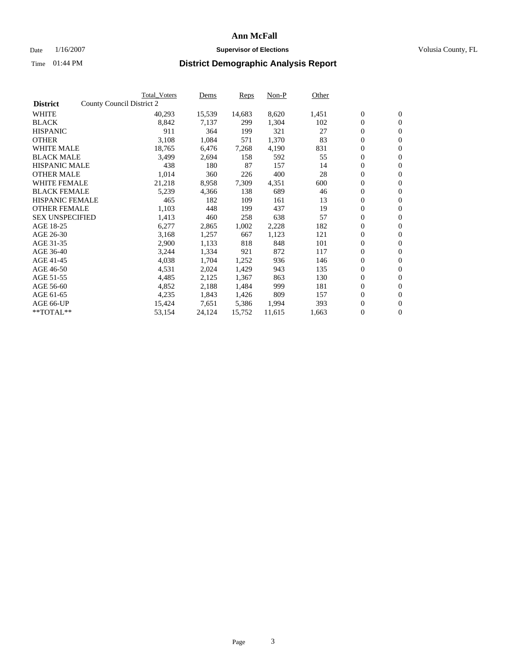#### Date  $1/16/2007$  **Supervisor of Elections Supervisor of Elections** Volusia County, FL

|                        | Total_Voters              | Dems   | <b>Reps</b> | Non-P  | Other |                  |                  |  |
|------------------------|---------------------------|--------|-------------|--------|-------|------------------|------------------|--|
| <b>District</b>        | County Council District 2 |        |             |        |       |                  |                  |  |
| <b>WHITE</b>           | 40,293                    | 15,539 | 14,683      | 8,620  | 1,451 | $\boldsymbol{0}$ | $\mathbf{0}$     |  |
| <b>BLACK</b>           | 8,842                     | 7,137  | 299         | 1,304  | 102   | $\boldsymbol{0}$ | $\mathbf{0}$     |  |
| <b>HISPANIC</b>        | 911                       | 364    | 199         | 321    | 27    | $\boldsymbol{0}$ | $\mathbf{0}$     |  |
| <b>OTHER</b>           | 3,108                     | 1,084  | 571         | 1,370  | 83    | $\boldsymbol{0}$ | $\mathbf{0}$     |  |
| <b>WHITE MALE</b>      | 18,765                    | 6,476  | 7,268       | 4,190  | 831   | $\boldsymbol{0}$ | $\mathbf{0}$     |  |
| <b>BLACK MALE</b>      | 3,499                     | 2,694  | 158         | 592    | 55    | $\boldsymbol{0}$ | $\boldsymbol{0}$ |  |
| <b>HISPANIC MALE</b>   | 438                       | 180    | 87          | 157    | 14    | $\overline{0}$   | $\mathbf{0}$     |  |
| <b>OTHER MALE</b>      | 1,014                     | 360    | 226         | 400    | 28    | $\overline{0}$   | $\mathbf{0}$     |  |
| <b>WHITE FEMALE</b>    | 21,218                    | 8,958  | 7,309       | 4,351  | 600   | $\mathbf{0}$     | $\mathbf{0}$     |  |
| <b>BLACK FEMALE</b>    | 5,239                     | 4,366  | 138         | 689    | 46    | $\boldsymbol{0}$ | $\mathbf{0}$     |  |
| <b>HISPANIC FEMALE</b> | 465                       | 182    | 109         | 161    | 13    | $\boldsymbol{0}$ | $\boldsymbol{0}$ |  |
| <b>OTHER FEMALE</b>    | 1,103                     | 448    | 199         | 437    | 19    | 0                | $\mathbf{0}$     |  |
| <b>SEX UNSPECIFIED</b> | 1,413                     | 460    | 258         | 638    | 57    | $\boldsymbol{0}$ | $\mathbf{0}$     |  |
| AGE 18-25              | 6,277                     | 2,865  | 1,002       | 2,228  | 182   | $\boldsymbol{0}$ | $\mathbf{0}$     |  |
| AGE 26-30              | 3,168                     | 1,257  | 667         | 1,123  | 121   | $\overline{0}$   | $\mathbf{0}$     |  |
| AGE 31-35              | 2,900                     | 1,133  | 818         | 848    | 101   | $\boldsymbol{0}$ | $\mathbf{0}$     |  |
| AGE 36-40              | 3,244                     | 1,334  | 921         | 872    | 117   | $\boldsymbol{0}$ | $\boldsymbol{0}$ |  |
| AGE 41-45              | 4,038                     | 1,704  | 1,252       | 936    | 146   | $\boldsymbol{0}$ | $\mathbf{0}$     |  |
| AGE 46-50              | 4,531                     | 2,024  | 1,429       | 943    | 135   | $\boldsymbol{0}$ | $\mathbf{0}$     |  |
| AGE 51-55              | 4,485                     | 2,125  | 1,367       | 863    | 130   | $\boldsymbol{0}$ | $\boldsymbol{0}$ |  |
| AGE 56-60              | 4,852                     | 2,188  | 1,484       | 999    | 181   | $\overline{0}$   | $\mathbf{0}$     |  |
| AGE 61-65              | 4,235                     | 1,843  | 1,426       | 809    | 157   | $\mathbf{0}$     | $\boldsymbol{0}$ |  |
| AGE 66-UP              | 15,424                    | 7,651  | 5,386       | 1,994  | 393   | $\boldsymbol{0}$ | $\boldsymbol{0}$ |  |
| **TOTAL**              | 53,154                    | 24,124 | 15,752      | 11,615 | 1,663 | $\boldsymbol{0}$ | $\overline{0}$   |  |
|                        |                           |        |             |        |       |                  |                  |  |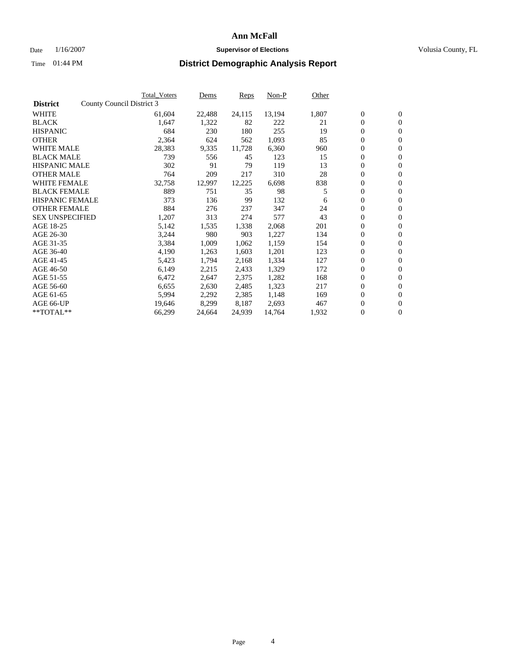#### Date  $1/16/2007$  **Supervisor of Elections Supervisor of Elections** Volusia County, FL

|                        | <b>Total_Voters</b>       | Dems   | <b>Reps</b> | Non-P  | Other |                  |                  |  |
|------------------------|---------------------------|--------|-------------|--------|-------|------------------|------------------|--|
| <b>District</b>        | County Council District 3 |        |             |        |       |                  |                  |  |
| <b>WHITE</b>           | 61,604                    | 22,488 | 24,115      | 13,194 | 1,807 | $\boldsymbol{0}$ | $\mathbf{0}$     |  |
| <b>BLACK</b>           | 1,647                     | 1,322  | 82          | 222    | 21    | $\overline{0}$   | $\mathbf{0}$     |  |
| <b>HISPANIC</b>        | 684                       | 230    | 180         | 255    | 19    | $\boldsymbol{0}$ | $\mathbf{0}$     |  |
| <b>OTHER</b>           | 2,364                     | 624    | 562         | 1,093  | 85    | $\boldsymbol{0}$ | $\mathbf{0}$     |  |
| <b>WHITE MALE</b>      | 28,383                    | 9,335  | 11,728      | 6,360  | 960   | 0                | $\mathbf{0}$     |  |
| <b>BLACK MALE</b>      | 739                       | 556    | 45          | 123    | 15    | $\boldsymbol{0}$ | $\boldsymbol{0}$ |  |
| <b>HISPANIC MALE</b>   | 302                       | 91     | 79          | 119    | 13    | $\overline{0}$   | $\mathbf{0}$     |  |
| <b>OTHER MALE</b>      | 764                       | 209    | 217         | 310    | 28    | $\overline{0}$   | $\mathbf{0}$     |  |
| <b>WHITE FEMALE</b>    | 32,758                    | 12,997 | 12,225      | 6,698  | 838   | $\overline{0}$   | $\mathbf{0}$     |  |
| <b>BLACK FEMALE</b>    | 889                       | 751    | 35          | 98     | 5     | $\boldsymbol{0}$ | $\mathbf{0}$     |  |
| <b>HISPANIC FEMALE</b> | 373                       | 136    | 99          | 132    | 6     | $\boldsymbol{0}$ | $\boldsymbol{0}$ |  |
| <b>OTHER FEMALE</b>    | 884                       | 276    | 237         | 347    | 24    | 0                | $\mathbf{0}$     |  |
| <b>SEX UNSPECIFIED</b> | 1,207                     | 313    | 274         | 577    | 43    | $\boldsymbol{0}$ | $\mathbf{0}$     |  |
| AGE 18-25              | 5,142                     | 1,535  | 1,338       | 2,068  | 201   | $\boldsymbol{0}$ | $\mathbf{0}$     |  |
| AGE 26-30              | 3,244                     | 980    | 903         | 1,227  | 134   | $\overline{0}$   | $\mathbf{0}$     |  |
| AGE 31-35              | 3,384                     | 1,009  | 1,062       | 1,159  | 154   | $\boldsymbol{0}$ | $\mathbf{0}$     |  |
| AGE 36-40              | 4,190                     | 1,263  | 1,603       | 1,201  | 123   | $\boldsymbol{0}$ | $\mathbf{0}$     |  |
| AGE 41-45              | 5,423                     | 1,794  | 2,168       | 1,334  | 127   | $\boldsymbol{0}$ | $\mathbf{0}$     |  |
| AGE 46-50              | 6,149                     | 2,215  | 2,433       | 1,329  | 172   | 0                | $\mathbf{0}$     |  |
| AGE 51-55              | 6,472                     | 2,647  | 2,375       | 1,282  | 168   | $\boldsymbol{0}$ | $\boldsymbol{0}$ |  |
| AGE 56-60              | 6,655                     | 2,630  | 2,485       | 1,323  | 217   | $\overline{0}$   | $\mathbf{0}$     |  |
| AGE 61-65              | 5,994                     | 2,292  | 2,385       | 1,148  | 169   | $\mathbf{0}$     | $\mathbf{0}$     |  |
| AGE 66-UP              | 19,646                    | 8,299  | 8,187       | 2,693  | 467   | $\boldsymbol{0}$ | $\boldsymbol{0}$ |  |
| **TOTAL**              | 66,299                    | 24,664 | 24,939      | 14,764 | 1,932 | 0                | $\overline{0}$   |  |
|                        |                           |        |             |        |       |                  |                  |  |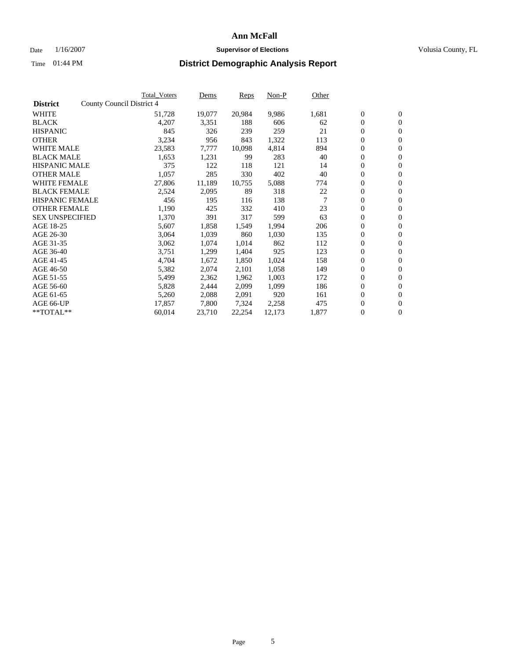#### Date  $1/16/2007$  **Supervisor of Elections Supervisor of Elections** Volusia County, FL

|                        | <b>Total_Voters</b>       | Dems   | <b>Reps</b> | Non-P  | Other |                  |                  |  |
|------------------------|---------------------------|--------|-------------|--------|-------|------------------|------------------|--|
| <b>District</b>        | County Council District 4 |        |             |        |       |                  |                  |  |
| <b>WHITE</b>           | 51,728                    | 19,077 | 20,984      | 9,986  | 1,681 | $\boldsymbol{0}$ | $\mathbf{0}$     |  |
| <b>BLACK</b>           | 4,207                     | 3,351  | 188         | 606    | 62    | $\overline{0}$   | $\mathbf{0}$     |  |
| <b>HISPANIC</b>        | 845                       | 326    | 239         | 259    | 21    | $\boldsymbol{0}$ | $\mathbf{0}$     |  |
| <b>OTHER</b>           | 3,234                     | 956    | 843         | 1,322  | 113   | $\boldsymbol{0}$ | $\mathbf{0}$     |  |
| <b>WHITE MALE</b>      | 23,583                    | 7,777  | 10,098      | 4,814  | 894   | 0                | $\mathbf{0}$     |  |
| <b>BLACK MALE</b>      | 1,653                     | 1,231  | 99          | 283    | 40    | $\boldsymbol{0}$ | $\boldsymbol{0}$ |  |
| <b>HISPANIC MALE</b>   | 375                       | 122    | 118         | 121    | 14    | $\overline{0}$   | $\mathbf{0}$     |  |
| <b>OTHER MALE</b>      | 1,057                     | 285    | 330         | 402    | 40    | $\overline{0}$   | $\mathbf{0}$     |  |
| <b>WHITE FEMALE</b>    | 27,806                    | 11,189 | 10,755      | 5,088  | 774   | $\overline{0}$   | $\mathbf{0}$     |  |
| <b>BLACK FEMALE</b>    | 2,524                     | 2,095  | 89          | 318    | 22    | $\boldsymbol{0}$ | $\mathbf{0}$     |  |
| <b>HISPANIC FEMALE</b> | 456                       | 195    | 116         | 138    | 7     | $\boldsymbol{0}$ | $\mathbf{0}$     |  |
| <b>OTHER FEMALE</b>    | 1,190                     | 425    | 332         | 410    | 23    | 0                | $\mathbf{0}$     |  |
| <b>SEX UNSPECIFIED</b> | 1,370                     | 391    | 317         | 599    | 63    | $\boldsymbol{0}$ | $\mathbf{0}$     |  |
| AGE 18-25              | 5,607                     | 1,858  | 1,549       | 1,994  | 206   | $\boldsymbol{0}$ | $\mathbf{0}$     |  |
| AGE 26-30              | 3,064                     | 1,039  | 860         | 1,030  | 135   | $\overline{0}$   | $\mathbf{0}$     |  |
| AGE 31-35              | 3,062                     | 1,074  | 1,014       | 862    | 112   | $\boldsymbol{0}$ | $\mathbf{0}$     |  |
| AGE 36-40              | 3,751                     | 1,299  | 1,404       | 925    | 123   | $\boldsymbol{0}$ | $\mathbf{0}$     |  |
| AGE 41-45              | 4,704                     | 1,672  | 1,850       | 1,024  | 158   | $\boldsymbol{0}$ | $\mathbf{0}$     |  |
| AGE 46-50              | 5,382                     | 2,074  | 2,101       | 1,058  | 149   | 0                | $\mathbf{0}$     |  |
| AGE 51-55              | 5,499                     | 2,362  | 1,962       | 1,003  | 172   | $\boldsymbol{0}$ | $\mathbf{0}$     |  |
| AGE 56-60              | 5,828                     | 2,444  | 2,099       | 1,099  | 186   | $\overline{0}$   | $\mathbf{0}$     |  |
| AGE 61-65              | 5,260                     | 2,088  | 2,091       | 920    | 161   | $\mathbf{0}$     | $\mathbf{0}$     |  |
| AGE 66-UP              | 17,857                    | 7,800  | 7,324       | 2,258  | 475   | $\boldsymbol{0}$ | $\boldsymbol{0}$ |  |
| **TOTAL**              | 60,014                    | 23,710 | 22,254      | 12,173 | 1,877 | $\boldsymbol{0}$ | $\overline{0}$   |  |
|                        |                           |        |             |        |       |                  |                  |  |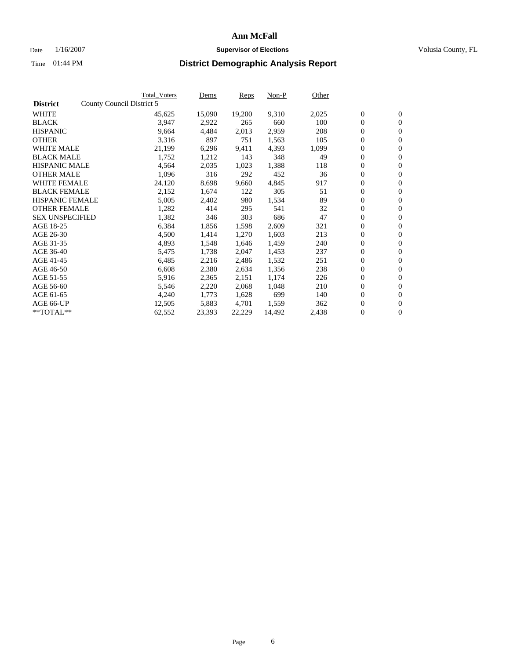#### Date  $1/16/2007$  **Supervisor of Elections Supervisor of Elections** Volusia County, FL

|                        | <b>Total_Voters</b>       | Dems             | <b>Reps</b> | Non-P  | Other |                  |                  |  |
|------------------------|---------------------------|------------------|-------------|--------|-------|------------------|------------------|--|
| <b>District</b>        | County Council District 5 |                  |             |        |       |                  |                  |  |
| <b>WHITE</b>           |                           | 45,625<br>15,090 | 19,200      | 9,310  | 2,025 | $\overline{0}$   | $\mathbf{0}$     |  |
| <b>BLACK</b>           |                           | 3,947<br>2,922   | 265         | 660    | 100   | $\overline{0}$   | $\mathbf{0}$     |  |
| <b>HISPANIC</b>        |                           | 9,664<br>4,484   | 2,013       | 2,959  | 208   | $\boldsymbol{0}$ | $\mathbf{0}$     |  |
| <b>OTHER</b>           |                           | 3,316<br>897     | 751         | 1,563  | 105   | $\boldsymbol{0}$ | $\mathbf{0}$     |  |
| <b>WHITE MALE</b>      |                           | 21,199<br>6,296  | 9,411       | 4,393  | 1,099 | 0                | $\mathbf{0}$     |  |
| <b>BLACK MALE</b>      |                           | 1,752<br>1,212   | 143         | 348    | 49    | $\boldsymbol{0}$ | $\boldsymbol{0}$ |  |
| <b>HISPANIC MALE</b>   |                           | 4,564<br>2,035   | 1,023       | 1,388  | 118   | $\overline{0}$   | $\mathbf{0}$     |  |
| <b>OTHER MALE</b>      |                           | 316<br>1,096     | 292         | 452    | 36    | $\boldsymbol{0}$ | $\mathbf{0}$     |  |
| <b>WHITE FEMALE</b>    |                           | 24,120<br>8,698  | 9,660       | 4,845  | 917   | $\mathbf{0}$     | $\mathbf{0}$     |  |
| <b>BLACK FEMALE</b>    |                           | 2,152<br>1,674   | 122         | 305    | 51    | $\boldsymbol{0}$ | $\mathbf{0}$     |  |
| <b>HISPANIC FEMALE</b> |                           | 5,005<br>2,402   | 980         | 1,534  | 89    | $\boldsymbol{0}$ | $\boldsymbol{0}$ |  |
| <b>OTHER FEMALE</b>    |                           | 1,282<br>414     | 295         | 541    | 32    | 0                | $\mathbf{0}$     |  |
| <b>SEX UNSPECIFIED</b> |                           | 1,382<br>346     | 303         | 686    | 47    | $\boldsymbol{0}$ | $\mathbf{0}$     |  |
| AGE 18-25              |                           | 6,384<br>1,856   | 1,598       | 2,609  | 321   | $\boldsymbol{0}$ | $\mathbf{0}$     |  |
| AGE 26-30              |                           | 4,500<br>1,414   | 1,270       | 1,603  | 213   | $\mathbf{0}$     | $\mathbf{0}$     |  |
| AGE 31-35              |                           | 4,893<br>1,548   | 1,646       | 1,459  | 240   | $\boldsymbol{0}$ | $\mathbf{0}$     |  |
| AGE 36-40              |                           | 1,738<br>5,475   | 2,047       | 1,453  | 237   | $\boldsymbol{0}$ | $\boldsymbol{0}$ |  |
| AGE 41-45              |                           | 6,485<br>2,216   | 2,486       | 1,532  | 251   | $\boldsymbol{0}$ | $\mathbf{0}$     |  |
| AGE 46-50              |                           | 6,608<br>2,380   | 2,634       | 1,356  | 238   | $\boldsymbol{0}$ | $\mathbf{0}$     |  |
| AGE 51-55              |                           | 5,916<br>2,365   | 2,151       | 1,174  | 226   | $\boldsymbol{0}$ | $\boldsymbol{0}$ |  |
| AGE 56-60              |                           | 2,220<br>5,546   | 2,068       | 1,048  | 210   | $\overline{0}$   | $\mathbf{0}$     |  |
| AGE 61-65              |                           | 4,240<br>1,773   | 1,628       | 699    | 140   | $\mathbf{0}$     | $\boldsymbol{0}$ |  |
| AGE 66-UP              |                           | 12,505<br>5,883  | 4,701       | 1,559  | 362   | $\boldsymbol{0}$ | $\boldsymbol{0}$ |  |
| **TOTAL**              |                           | 62,552<br>23,393 | 22,229      | 14,492 | 2,438 | $\boldsymbol{0}$ | $\overline{0}$   |  |
|                        |                           |                  |             |        |       |                  |                  |  |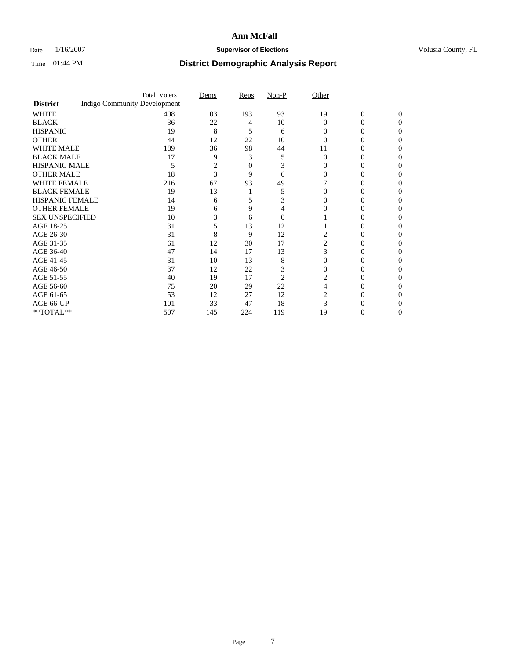### Date  $1/16/2007$  **Supervisor of Elections Supervisor of Elections** Volusia County, FL

|                        |                                     | <b>Total_Voters</b> | Dems | Reps | Non-P    | Other    |                |              |  |
|------------------------|-------------------------------------|---------------------|------|------|----------|----------|----------------|--------------|--|
| <b>District</b>        | <b>Indigo Community Development</b> |                     |      |      |          |          |                |              |  |
| <b>WHITE</b>           |                                     | 408                 | 103  | 193  | 93       | 19       | $\overline{0}$ | $\mathbf{0}$ |  |
| <b>BLACK</b>           |                                     | 36                  | 22   | 4    | 10       | $\Omega$ | 0              | 0            |  |
| <b>HISPANIC</b>        |                                     | 19                  | 8    | 5    | 6        | 0        | 0              | 0            |  |
| <b>OTHER</b>           |                                     | 44                  | 12   | 22   | 10       |          |                |              |  |
| <b>WHITE MALE</b>      |                                     | 189                 | 36   | 98   | 44       | 11       |                |              |  |
| <b>BLACK MALE</b>      |                                     | 17                  | 9    | 3    | 5        | $\Omega$ |                |              |  |
| HISPANIC MALE          |                                     | 5                   | 2    | 0    | 3        |          |                |              |  |
| <b>OTHER MALE</b>      |                                     | 18                  | 3    | 9    | 6        |          | 0              |              |  |
| WHITE FEMALE           |                                     | 216                 | 67   | 93   | 49       |          |                | 0            |  |
| <b>BLACK FEMALE</b>    |                                     | 19                  | 13   |      | 5        |          | 0              | $\theta$     |  |
| <b>HISPANIC FEMALE</b> |                                     | 14                  | 6    |      |          |          |                | 0            |  |
| <b>OTHER FEMALE</b>    |                                     | 19                  | 6    | 9    |          |          |                |              |  |
| <b>SEX UNSPECIFIED</b> |                                     | 10                  | 3    | 6    | $\theta$ |          |                |              |  |
| AGE 18-25              |                                     | 31                  |      | 13   | 12       |          | $_{0}$         |              |  |
| AGE 26-30              |                                     | 31                  | 8    | 9    | 12       | 2        | 0              |              |  |
| AGE 31-35              |                                     | 61                  | 12   | 30   | 17       | 2        | 0              |              |  |
| AGE 36-40              |                                     | 47                  | 14   | 17   | 13       | 3        | 0              | 0            |  |
| AGE 41-45              |                                     | 31                  | 10   | 13   | 8        |          |                |              |  |
| AGE 46-50              |                                     | 37                  | 12   | 22   | 3        | 0        |                | 0            |  |
| AGE 51-55              |                                     | 40                  | 19   | 17   | 2        |          |                |              |  |
| AGE 56-60              |                                     | 75                  | 20   | 29   | 22       |          | 0              |              |  |
| AGE 61-65              |                                     | 53                  | 12   | 27   | 12       |          |                |              |  |
| AGE 66-UP              |                                     | 101                 | 33   | 47   | 18       |          |                |              |  |
| **TOTAL**              |                                     | 507                 | 145  | 224  | 119      | 19       | 0              | 0            |  |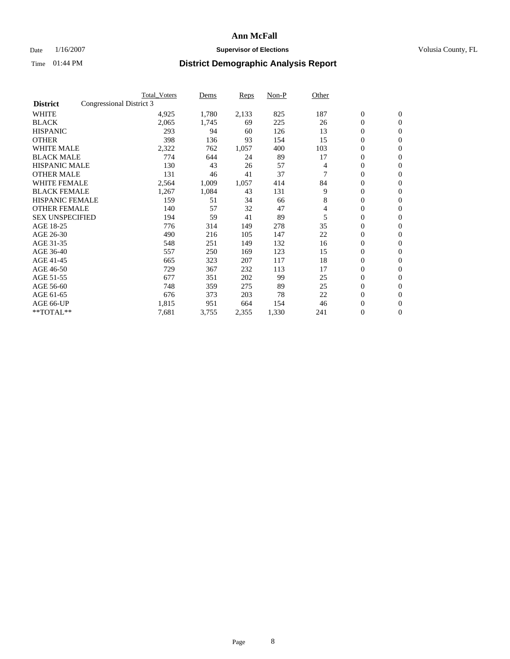### Date  $1/16/2007$  **Supervisor of Elections Supervisor of Elections** Volusia County, FL

|                        |                          | <b>Total Voters</b> | Dems  | Reps  | Non-P | Other |                  |                  |  |
|------------------------|--------------------------|---------------------|-------|-------|-------|-------|------------------|------------------|--|
| <b>District</b>        | Congressional District 3 |                     |       |       |       |       |                  |                  |  |
| <b>WHITE</b>           |                          | 4,925               | 1,780 | 2,133 | 825   | 187   | $\boldsymbol{0}$ | $\boldsymbol{0}$ |  |
| <b>BLACK</b>           |                          | 2,065               | 1,745 | 69    | 225   | 26    | $\mathbf{0}$     | $\mathbf{0}$     |  |
| <b>HISPANIC</b>        |                          | 293                 | 94    | 60    | 126   | 13    | $\mathbf{0}$     | $\mathbf{0}$     |  |
| <b>OTHER</b>           |                          | 398                 | 136   | 93    | 154   | 15    | 0                | $\mathbf{0}$     |  |
| <b>WHITE MALE</b>      |                          | 2,322               | 762   | 1,057 | 400   | 103   | 0                | $\mathbf{0}$     |  |
| <b>BLACK MALE</b>      |                          | 774                 | 644   | 24    | 89    | 17    | 0                | $\boldsymbol{0}$ |  |
| <b>HISPANIC MALE</b>   |                          | 130                 | 43    | 26    | 57    | 4     | 0                | $\mathbf{0}$     |  |
| <b>OTHER MALE</b>      |                          | 131                 | 46    | 41    | 37    |       | 0                | $\mathbf{0}$     |  |
| <b>WHITE FEMALE</b>    |                          | 2,564               | 1,009 | 1,057 | 414   | 84    | 0                | $\mathbf{0}$     |  |
| <b>BLACK FEMALE</b>    |                          | 1,267               | 1,084 | 43    | 131   | 9     | $\mathbf{0}$     | $\mathbf{0}$     |  |
| <b>HISPANIC FEMALE</b> |                          | 159                 | 51    | 34    | 66    | 8     | 0                | $\mathbf{0}$     |  |
| <b>OTHER FEMALE</b>    |                          | 140                 | 57    | 32    | 47    | 4     | 0                | $\mathbf{0}$     |  |
| <b>SEX UNSPECIFIED</b> |                          | 194                 | 59    | 41    | 89    | 5     | $\boldsymbol{0}$ | $\boldsymbol{0}$ |  |
| AGE 18-25              |                          | 776                 | 314   | 149   | 278   | 35    | 0                | $\mathbf{0}$     |  |
| AGE 26-30              |                          | 490                 | 216   | 105   | 147   | 22    | 0                | $\mathbf{0}$     |  |
| AGE 31-35              |                          | 548                 | 251   | 149   | 132   | 16    | 0                | $\mathbf{0}$     |  |
| AGE 36-40              |                          | 557                 | 250   | 169   | 123   | 15    | $\boldsymbol{0}$ | $\mathbf{0}$     |  |
| AGE 41-45              |                          | 665                 | 323   | 207   | 117   | 18    | 0                | $\mathbf{0}$     |  |
| AGE 46-50              |                          | 729                 | 367   | 232   | 113   | 17    | $\mathbf{0}$     | $\mathbf{0}$     |  |
| AGE 51-55              |                          | 677                 | 351   | 202   | 99    | 25    | $\overline{0}$   | $\mathbf{0}$     |  |
| AGE 56-60              |                          | 748                 | 359   | 275   | 89    | 25    | $\boldsymbol{0}$ | $\mathbf{0}$     |  |
| AGE 61-65              |                          | 676                 | 373   | 203   | 78    | 22    | 0                | $\mathbf{0}$     |  |
| AGE 66-UP              |                          | 1,815               | 951   | 664   | 154   | 46    | 0                | 0                |  |
| $*$ TOTAL $**$         |                          | 7,681               | 3,755 | 2,355 | 1,330 | 241   | 0                | $\boldsymbol{0}$ |  |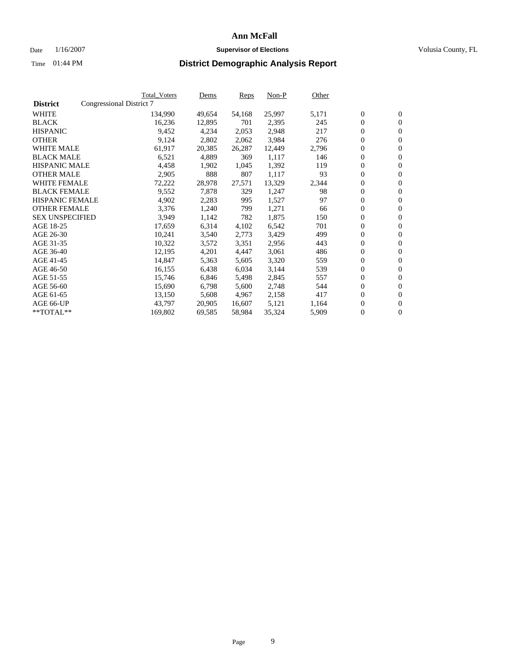#### Date  $1/16/2007$  **Supervisor of Elections Supervisor of Elections** Volusia County, FL

|                        |                          | <b>Total_Voters</b> | Dems   | <b>Reps</b> | Non-P  | Other |                  |                  |  |
|------------------------|--------------------------|---------------------|--------|-------------|--------|-------|------------------|------------------|--|
| <b>District</b>        | Congressional District 7 |                     |        |             |        |       |                  |                  |  |
| <b>WHITE</b>           |                          | 134,990             | 49,654 | 54,168      | 25,997 | 5,171 | $\overline{0}$   | $\mathbf{0}$     |  |
| <b>BLACK</b>           |                          | 16,236              | 12,895 | 701         | 2,395  | 245   | $\overline{0}$   | $\mathbf{0}$     |  |
| <b>HISPANIC</b>        |                          | 9,452               | 4,234  | 2,053       | 2,948  | 217   | $\boldsymbol{0}$ | $\mathbf{0}$     |  |
| <b>OTHER</b>           |                          | 9,124               | 2,802  | 2,062       | 3,984  | 276   | $\boldsymbol{0}$ | $\mathbf{0}$     |  |
| <b>WHITE MALE</b>      |                          | 61,917              | 20,385 | 26,287      | 12,449 | 2,796 | 0                | $\mathbf{0}$     |  |
| <b>BLACK MALE</b>      |                          | 6,521               | 4,889  | 369         | 1,117  | 146   | $\boldsymbol{0}$ | $\mathbf{0}$     |  |
| <b>HISPANIC MALE</b>   |                          | 4,458               | 1,902  | 1,045       | 1,392  | 119   | $\overline{0}$   | $\mathbf{0}$     |  |
| <b>OTHER MALE</b>      |                          | 2,905               | 888    | 807         | 1,117  | 93    | $\overline{0}$   | $\mathbf{0}$     |  |
| <b>WHITE FEMALE</b>    |                          | 72,222              | 28,978 | 27,571      | 13,329 | 2,344 | $\mathbf{0}$     | $\mathbf{0}$     |  |
| <b>BLACK FEMALE</b>    |                          | 9,552               | 7,878  | 329         | 1,247  | 98    | $\boldsymbol{0}$ | $\mathbf{0}$     |  |
| HISPANIC FEMALE        |                          | 4,902               | 2,283  | 995         | 1,527  | 97    | $\boldsymbol{0}$ | $\mathbf{0}$     |  |
| <b>OTHER FEMALE</b>    |                          | 3,376               | 1,240  | 799         | 1,271  | 66    | 0                | $\mathbf{0}$     |  |
| <b>SEX UNSPECIFIED</b> |                          | 3,949               | 1,142  | 782         | 1,875  | 150   | $\boldsymbol{0}$ | $\mathbf{0}$     |  |
| AGE 18-25              |                          | 17,659              | 6,314  | 4,102       | 6,542  | 701   | $\boldsymbol{0}$ | $\mathbf{0}$     |  |
| AGE 26-30              |                          | 10,241              | 3,540  | 2,773       | 3,429  | 499   | $\overline{0}$   | $\mathbf{0}$     |  |
| AGE 31-35              |                          | 10,322              | 3,572  | 3,351       | 2,956  | 443   | $\overline{0}$   | $\mathbf{0}$     |  |
| AGE 36-40              |                          | 12,195              | 4,201  | 4,447       | 3,061  | 486   | $\boldsymbol{0}$ | $\boldsymbol{0}$ |  |
| AGE 41-45              |                          | 14,847              | 5,363  | 5,605       | 3,320  | 559   | $\boldsymbol{0}$ | $\mathbf{0}$     |  |
| AGE 46-50              |                          | 16,155              | 6,438  | 6,034       | 3,144  | 539   | 0                | $\mathbf{0}$     |  |
| AGE 51-55              |                          | 15,746              | 6,846  | 5,498       | 2,845  | 557   | $\boldsymbol{0}$ | $\boldsymbol{0}$ |  |
| AGE 56-60              |                          | 15,690              | 6,798  | 5,600       | 2,748  | 544   | $\overline{0}$   | $\mathbf{0}$     |  |
| AGE 61-65              |                          | 13,150              | 5,608  | 4,967       | 2,158  | 417   | $\mathbf{0}$     | $\boldsymbol{0}$ |  |
| AGE 66-UP              |                          | 43,797              | 20,905 | 16,607      | 5,121  | 1,164 | $\boldsymbol{0}$ | $\boldsymbol{0}$ |  |
| **TOTAL**              |                          | 169,802             | 69,585 | 58,984      | 35,324 | 5,909 | $\boldsymbol{0}$ | $\overline{0}$   |  |
|                        |                          |                     |        |             |        |       |                  |                  |  |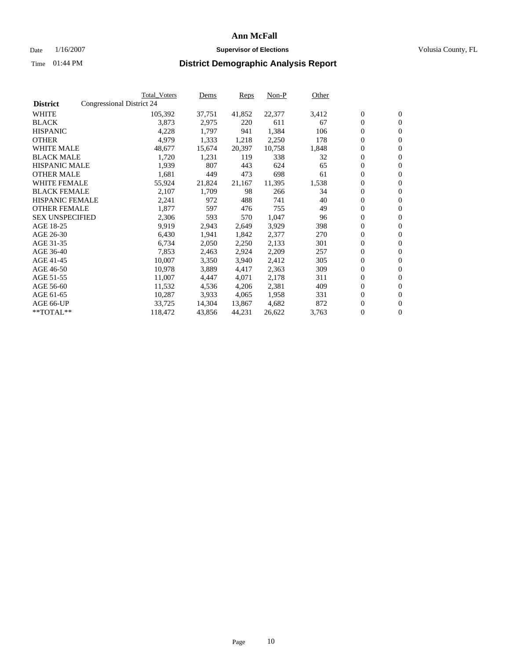#### Date  $1/16/2007$  **Supervisor of Elections Supervisor of Elections** Volusia County, FL

|                        |                           | <b>Total_Voters</b> | Dems   | <b>Reps</b> | Non-P  | Other |                  |                  |  |
|------------------------|---------------------------|---------------------|--------|-------------|--------|-------|------------------|------------------|--|
| <b>District</b>        | Congressional District 24 |                     |        |             |        |       |                  |                  |  |
| <b>WHITE</b>           |                           | 105,392             | 37,751 | 41,852      | 22,377 | 3,412 | $\overline{0}$   | $\mathbf{0}$     |  |
| <b>BLACK</b>           |                           | 3,873               | 2,975  | 220         | 611    | 67    | $\overline{0}$   | $\mathbf{0}$     |  |
| <b>HISPANIC</b>        |                           | 4,228               | 1,797  | 941         | 1,384  | 106   | $\boldsymbol{0}$ | $\mathbf{0}$     |  |
| <b>OTHER</b>           |                           | 4,979               | 1,333  | 1,218       | 2,250  | 178   | $\boldsymbol{0}$ | $\mathbf{0}$     |  |
| <b>WHITE MALE</b>      |                           | 48,677              | 15,674 | 20,397      | 10,758 | 1,848 | 0                | $\mathbf{0}$     |  |
| <b>BLACK MALE</b>      |                           | 1,720               | 1,231  | 119         | 338    | 32    | $\boldsymbol{0}$ | $\boldsymbol{0}$ |  |
| <b>HISPANIC MALE</b>   |                           | 1,939               | 807    | 443         | 624    | 65    | $\overline{0}$   | $\mathbf{0}$     |  |
| <b>OTHER MALE</b>      |                           | 1,681               | 449    | 473         | 698    | 61    | $\overline{0}$   | $\mathbf{0}$     |  |
| <b>WHITE FEMALE</b>    |                           | 55,924              | 21,824 | 21,167      | 11,395 | 1,538 | $\mathbf{0}$     | $\mathbf{0}$     |  |
| <b>BLACK FEMALE</b>    |                           | 2,107               | 1,709  | 98          | 266    | 34    | $\boldsymbol{0}$ | $\mathbf{0}$     |  |
| <b>HISPANIC FEMALE</b> |                           | 2,241               | 972    | 488         | 741    | 40    | $\boldsymbol{0}$ | $\boldsymbol{0}$ |  |
| <b>OTHER FEMALE</b>    |                           | 1,877               | 597    | 476         | 755    | 49    | 0                | $\mathbf{0}$     |  |
| <b>SEX UNSPECIFIED</b> |                           | 2,306               | 593    | 570         | 1,047  | 96    | $\boldsymbol{0}$ | $\mathbf{0}$     |  |
| AGE 18-25              |                           | 9,919               | 2,943  | 2,649       | 3,929  | 398   | $\boldsymbol{0}$ | $\mathbf{0}$     |  |
| AGE 26-30              |                           | 6,430               | 1,941  | 1,842       | 2,377  | 270   | $\overline{0}$   | $\mathbf{0}$     |  |
| AGE 31-35              |                           | 6,734               | 2,050  | 2,250       | 2,133  | 301   | $\overline{0}$   | $\mathbf{0}$     |  |
| AGE 36-40              |                           | 7,853               | 2,463  | 2,924       | 2,209  | 257   | $\boldsymbol{0}$ | $\mathbf{0}$     |  |
| AGE 41-45              |                           | 10,007              | 3,350  | 3,940       | 2,412  | 305   | $\boldsymbol{0}$ | $\mathbf{0}$     |  |
| AGE 46-50              |                           | 10,978              | 3,889  | 4,417       | 2,363  | 309   | 0                | $\mathbf{0}$     |  |
| AGE 51-55              |                           | 11,007              | 4,447  | 4,071       | 2,178  | 311   | $\boldsymbol{0}$ | $\boldsymbol{0}$ |  |
| AGE 56-60              |                           | 11,532              | 4,536  | 4,206       | 2,381  | 409   | $\overline{0}$   | $\mathbf{0}$     |  |
| AGE 61-65              |                           | 10,287              | 3,933  | 4,065       | 1,958  | 331   | $\mathbf{0}$     | $\mathbf{0}$     |  |
| AGE 66-UP              |                           | 33,725              | 14,304 | 13,867      | 4,682  | 872   | $\boldsymbol{0}$ | $\boldsymbol{0}$ |  |
| **TOTAL**              |                           | 118,472             | 43,856 | 44,231      | 26,622 | 3,763 | $\boldsymbol{0}$ | $\overline{0}$   |  |
|                        |                           |                     |        |             |        |       |                  |                  |  |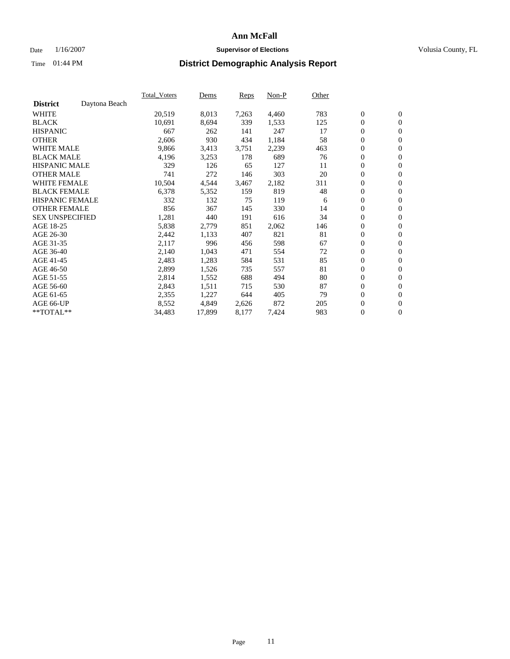### Date  $1/16/2007$  **Supervisor of Elections Supervisor of Elections** Volusia County, FL

|                        |               | Total Voters | Dems   | <b>Reps</b> | Non-P | Other |                  |                  |  |
|------------------------|---------------|--------------|--------|-------------|-------|-------|------------------|------------------|--|
| <b>District</b>        | Daytona Beach |              |        |             |       |       |                  |                  |  |
| <b>WHITE</b>           |               | 20,519       | 8,013  | 7,263       | 4,460 | 783   | $\boldsymbol{0}$ | $\mathbf{0}$     |  |
| <b>BLACK</b>           |               | 10,691       | 8,694  | 339         | 1,533 | 125   | $\boldsymbol{0}$ | $\mathbf{0}$     |  |
| <b>HISPANIC</b>        |               | 667          | 262    | 141         | 247   | 17    | $\boldsymbol{0}$ | $\mathbf{0}$     |  |
| <b>OTHER</b>           |               | 2,606        | 930    | 434         | 1,184 | 58    | $\boldsymbol{0}$ | $\mathbf{0}$     |  |
| <b>WHITE MALE</b>      |               | 9,866        | 3,413  | 3,751       | 2,239 | 463   | 0                | $\mathbf{0}$     |  |
| <b>BLACK MALE</b>      |               | 4,196        | 3,253  | 178         | 689   | 76    | $\boldsymbol{0}$ | $\boldsymbol{0}$ |  |
| <b>HISPANIC MALE</b>   |               | 329          | 126    | 65          | 127   | 11    | $\overline{0}$   | $\mathbf{0}$     |  |
| <b>OTHER MALE</b>      |               | 741          | 272    | 146         | 303   | 20    | $\overline{0}$   | $\mathbf{0}$     |  |
| <b>WHITE FEMALE</b>    |               | 10,504       | 4,544  | 3,467       | 2,182 | 311   | $\mathbf{0}$     | $\mathbf{0}$     |  |
| <b>BLACK FEMALE</b>    |               | 6,378        | 5,352  | 159         | 819   | 48    | $\boldsymbol{0}$ | $\mathbf{0}$     |  |
| <b>HISPANIC FEMALE</b> |               | 332          | 132    | 75          | 119   | 6     | $\boldsymbol{0}$ | $\boldsymbol{0}$ |  |
| <b>OTHER FEMALE</b>    |               | 856          | 367    | 145         | 330   | 14    | 0                | $\mathbf{0}$     |  |
| <b>SEX UNSPECIFIED</b> |               | 1,281        | 440    | 191         | 616   | 34    | $\boldsymbol{0}$ | $\mathbf{0}$     |  |
| AGE 18-25              |               | 5,838        | 2,779  | 851         | 2,062 | 146   | $\boldsymbol{0}$ | $\mathbf{0}$     |  |
| AGE 26-30              |               | 2,442        | 1,133  | 407         | 821   | 81    | $\overline{0}$   | $\mathbf{0}$     |  |
| AGE 31-35              |               | 2,117        | 996    | 456         | 598   | 67    | $\boldsymbol{0}$ | $\mathbf{0}$     |  |
| AGE 36-40              |               | 2,140        | 1,043  | 471         | 554   | 72    | $\boldsymbol{0}$ | $\mathbf{0}$     |  |
| AGE 41-45              |               | 2,483        | 1,283  | 584         | 531   | 85    | $\boldsymbol{0}$ | $\mathbf{0}$     |  |
| AGE 46-50              |               | 2,899        | 1,526  | 735         | 557   | 81    | $\boldsymbol{0}$ | $\mathbf{0}$     |  |
| AGE 51-55              |               | 2,814        | 1,552  | 688         | 494   | 80    | $\boldsymbol{0}$ | $\mathbf{0}$     |  |
| AGE 56-60              |               | 2,843        | 1,511  | 715         | 530   | 87    | $\overline{0}$   | $\mathbf{0}$     |  |
| AGE 61-65              |               | 2,355        | 1,227  | 644         | 405   | 79    | $\mathbf{0}$     | $\boldsymbol{0}$ |  |
| AGE 66-UP              |               | 8,552        | 4,849  | 2,626       | 872   | 205   | $\boldsymbol{0}$ | $\mathbf{0}$     |  |
| **TOTAL**              |               | 34,483       | 17,899 | 8,177       | 7,424 | 983   | $\boldsymbol{0}$ | $\overline{0}$   |  |
|                        |               |              |        |             |       |       |                  |                  |  |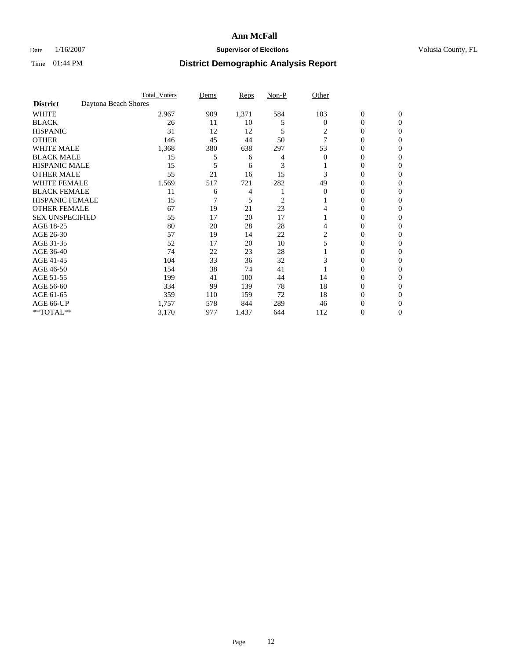### Date  $1/16/2007$  **Supervisor of Elections Supervisor of Elections** Volusia County, FL

|                        |                      | <b>Total_Voters</b> | Dems | <b>Reps</b> | Non-P | Other    |                  |              |  |
|------------------------|----------------------|---------------------|------|-------------|-------|----------|------------------|--------------|--|
| <b>District</b>        | Daytona Beach Shores |                     |      |             |       |          |                  |              |  |
| <b>WHITE</b>           |                      | 2,967               | 909  | 1,371       | 584   | 103      | $\boldsymbol{0}$ | $\mathbf{0}$ |  |
| <b>BLACK</b>           |                      | 26                  | 11   | 10          | 5     | $\bf{0}$ | 0                | $\mathbf{0}$ |  |
| <b>HISPANIC</b>        |                      | 31                  | 12   | 12          | 5     | 2        | 0                | $\Omega$     |  |
| <b>OTHER</b>           |                      | 146                 | 45   | 44          | 50    |          | 0                | $\Omega$     |  |
| <b>WHITE MALE</b>      |                      | 1,368               | 380  | 638         | 297   | 53       | 0                | 0            |  |
| <b>BLACK MALE</b>      |                      | 15                  | 5    | 6           |       | $\Omega$ | 0                | 0            |  |
| <b>HISPANIC MALE</b>   |                      | 15                  | 5    | 6           | 3     |          | 0                | 0            |  |
| <b>OTHER MALE</b>      |                      | 55                  | 21   | 16          | 15    | 3        | 0                | 0            |  |
| WHITE FEMALE           |                      | 1,569               | 517  | 721         | 282   | 49       | 0                | 0            |  |
| <b>BLACK FEMALE</b>    |                      | 11                  | 6    | 4           |       | $\Omega$ | 0                | 0            |  |
| <b>HISPANIC FEMALE</b> |                      | 15                  |      | 5           | 2     |          | 0                | 0            |  |
| <b>OTHER FEMALE</b>    |                      | 67                  | 19   | 21          | 23    |          | 0                | $\Omega$     |  |
| <b>SEX UNSPECIFIED</b> |                      | 55                  | 17   | 20          | 17    |          | 0                | $\Omega$     |  |
| AGE 18-25              |                      | 80                  | 20   | 28          | 28    |          | 0                | $_{0}$       |  |
| AGE 26-30              |                      | 57                  | 19   | 14          | 22    | 2        | 0                | 0            |  |
| AGE 31-35              |                      | 52                  | 17   | 20          | 10    |          | 0                | 0            |  |
| AGE 36-40              |                      | 74                  | 22   | 23          | 28    |          | 0                | 0            |  |
| AGE 41-45              |                      | 104                 | 33   | 36          | 32    | 3        | 0                | 0            |  |
| AGE 46-50              |                      | 154                 | 38   | 74          | 41    |          | 0                | $\Omega$     |  |
| AGE 51-55              |                      | 199                 | 41   | 100         | 44    | 14       | 0                | $\Omega$     |  |
| AGE 56-60              |                      | 334                 | 99   | 139         | 78    | 18       | 0                | $\Omega$     |  |
| AGE 61-65              |                      | 359                 | 110  | 159         | 72    | 18       | 0                | 0            |  |
| AGE 66-UP              |                      | 1,757               | 578  | 844         | 289   | 46       | 0                |              |  |
| **TOTAL**              |                      | 3,170               | 977  | 1,437       | 644   | 112      | $\overline{0}$   | 0            |  |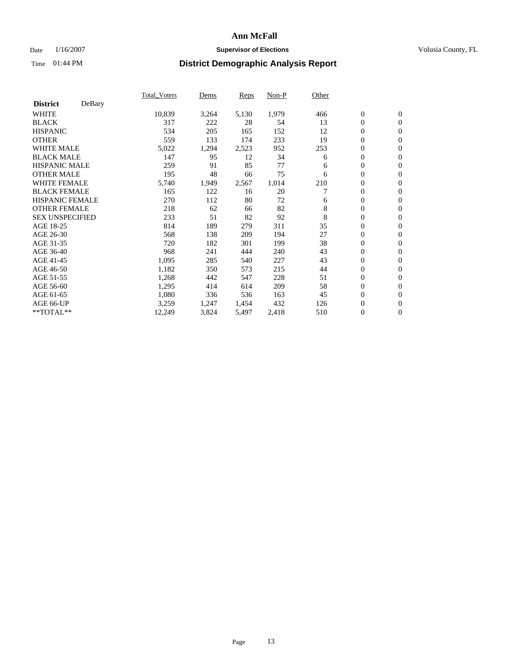### Date  $1/16/2007$  **Supervisor of Elections Supervisor of Elections** Volusia County, FL

|                        |        | Total Voters | Dems  | <b>Reps</b> | Non-P | Other |                  |                  |  |
|------------------------|--------|--------------|-------|-------------|-------|-------|------------------|------------------|--|
| <b>District</b>        | DeBary |              |       |             |       |       |                  |                  |  |
| <b>WHITE</b>           |        | 10,839       | 3,264 | 5,130       | 1,979 | 466   | $\boldsymbol{0}$ | $\mathbf{0}$     |  |
| <b>BLACK</b>           |        | 317          | 222   | 28          | 54    | 13    | $\overline{0}$   | $\mathbf{0}$     |  |
| <b>HISPANIC</b>        |        | 534          | 205   | 165         | 152   | 12    | $\overline{0}$   | $\mathbf{0}$     |  |
| <b>OTHER</b>           |        | 559          | 133   | 174         | 233   | 19    | $\overline{0}$   | $\mathbf{0}$     |  |
| <b>WHITE MALE</b>      |        | 5,022        | 1,294 | 2,523       | 952   | 253   | $\overline{0}$   | $\mathbf{0}$     |  |
| <b>BLACK MALE</b>      |        | 147          | 95    | 12          | 34    | 6     | $\boldsymbol{0}$ | $\boldsymbol{0}$ |  |
| <b>HISPANIC MALE</b>   |        | 259          | 91    | 85          | 77    | 6     | 0                | $\mathbf{0}$     |  |
| <b>OTHER MALE</b>      |        | 195          | 48    | 66          | 75    | 6     | $\boldsymbol{0}$ | $\mathbf{0}$     |  |
| <b>WHITE FEMALE</b>    |        | 5,740        | 1,949 | 2,567       | 1,014 | 210   | $\overline{0}$   | $\mathbf{0}$     |  |
| <b>BLACK FEMALE</b>    |        | 165          | 122   | 16          | 20    |       | $\overline{0}$   | $\mathbf{0}$     |  |
| <b>HISPANIC FEMALE</b> |        | 270          | 112   | 80          | 72    | 6     | $\overline{0}$   | $\mathbf{0}$     |  |
| <b>OTHER FEMALE</b>    |        | 218          | 62    | 66          | 82    | 8     | $\mathbf{0}$     | $\mathbf{0}$     |  |
| <b>SEX UNSPECIFIED</b> |        | 233          | 51    | 82          | 92    | 8     | $\boldsymbol{0}$ | $\mathbf{0}$     |  |
| AGE 18-25              |        | 814          | 189   | 279         | 311   | 35    | $\overline{0}$   | $\mathbf{0}$     |  |
| AGE 26-30              |        | 568          | 138   | 209         | 194   | 27    | $\boldsymbol{0}$ | $\mathbf{0}$     |  |
| AGE 31-35              |        | 720          | 182   | 301         | 199   | 38    | 0                | $\mathbf{0}$     |  |
| AGE 36-40              |        | 968          | 241   | 444         | 240   | 43    | $\boldsymbol{0}$ | $\mathbf{0}$     |  |
| AGE 41-45              |        | 1,095        | 285   | 540         | 227   | 43    | $\mathbf{0}$     | $\mathbf{0}$     |  |
| AGE 46-50              |        | 1,182        | 350   | 573         | 215   | 44    | $\overline{0}$   | $\mathbf{0}$     |  |
| AGE 51-55              |        | 1,268        | 442   | 547         | 228   | 51    | $\mathbf{0}$     | $\mathbf{0}$     |  |
| AGE 56-60              |        | 1,295        | 414   | 614         | 209   | 58    | $\boldsymbol{0}$ | $\mathbf{0}$     |  |
| AGE 61-65              |        | 1,080        | 336   | 536         | 163   | 45    | $\boldsymbol{0}$ | $\mathbf{0}$     |  |
| AGE 66-UP              |        | 3,259        | 1,247 | 1,454       | 432   | 126   | 0                | $\mathbf{0}$     |  |
| $*$ TOTAL $**$         |        | 12,249       | 3,824 | 5,497       | 2,418 | 510   | 0                | $\boldsymbol{0}$ |  |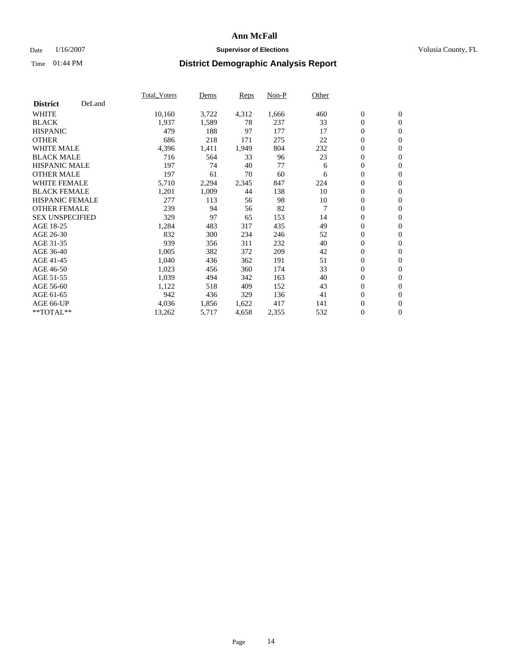### Date  $1/16/2007$  **Supervisor of Elections Supervisor of Elections** Volusia County, FL

|                        |        | Total_Voters | Dems  | <b>Reps</b> | Non-P | Other          |                  |                  |  |
|------------------------|--------|--------------|-------|-------------|-------|----------------|------------------|------------------|--|
| <b>District</b>        | DeLand |              |       |             |       |                |                  |                  |  |
| <b>WHITE</b>           |        | 10,160       | 3,722 | 4,312       | 1,666 | 460            | $\boldsymbol{0}$ | $\mathbf{0}$     |  |
| <b>BLACK</b>           |        | 1,937        | 1,589 | 78          | 237   | 33             | $\overline{0}$   | $\mathbf{0}$     |  |
| <b>HISPANIC</b>        |        | 479          | 188   | 97          | 177   | 17             | $\overline{0}$   | $\mathbf{0}$     |  |
| <b>OTHER</b>           |        | 686          | 218   | 171         | 275   | 22             | $\overline{0}$   | $\mathbf{0}$     |  |
| <b>WHITE MALE</b>      |        | 4,396        | 1,411 | 1,949       | 804   | 232            | $\overline{0}$   | $\mathbf{0}$     |  |
| <b>BLACK MALE</b>      |        | 716          | 564   | 33          | 96    | 23             | $\boldsymbol{0}$ | $\boldsymbol{0}$ |  |
| <b>HISPANIC MALE</b>   |        | 197          | 74    | 40          | 77    | 6              | 0                | $\mathbf{0}$     |  |
| <b>OTHER MALE</b>      |        | 197          | 61    | 70          | 60    | 6              | $\boldsymbol{0}$ | $\boldsymbol{0}$ |  |
| <b>WHITE FEMALE</b>    |        | 5,710        | 2,294 | 2,345       | 847   | 224            | $\overline{0}$   | $\mathbf{0}$     |  |
| <b>BLACK FEMALE</b>    |        | 1,201        | 1,009 | 44          | 138   | 10             | $\overline{0}$   | $\mathbf{0}$     |  |
| <b>HISPANIC FEMALE</b> |        | 277          | 113   | 56          | 98    | 10             | $\mathbf{0}$     | $\mathbf{0}$     |  |
| <b>OTHER FEMALE</b>    |        | 239          | 94    | 56          | 82    | $\overline{7}$ | $\mathbf{0}$     | $\mathbf{0}$     |  |
| <b>SEX UNSPECIFIED</b> |        | 329          | 97    | 65          | 153   | 14             | $\boldsymbol{0}$ | $\boldsymbol{0}$ |  |
| AGE 18-25              |        | 1,284        | 483   | 317         | 435   | 49             | $\overline{0}$   | $\mathbf{0}$     |  |
| AGE 26-30              |        | 832          | 300   | 234         | 246   | 52             | $\boldsymbol{0}$ | $\mathbf{0}$     |  |
| AGE 31-35              |        | 939          | 356   | 311         | 232   | 40             | 0                | $\mathbf{0}$     |  |
| AGE 36-40              |        | 1,005        | 382   | 372         | 209   | 42             | $\boldsymbol{0}$ | $\mathbf{0}$     |  |
| AGE 41-45              |        | 1,040        | 436   | 362         | 191   | 51             | $\mathbf{0}$     | $\mathbf{0}$     |  |
| AGE 46-50              |        | 1,023        | 456   | 360         | 174   | 33             | $\overline{0}$   | $\mathbf{0}$     |  |
| AGE 51-55              |        | 1,039        | 494   | 342         | 163   | 40             | $\mathbf{0}$     | $\mathbf{0}$     |  |
| AGE 56-60              |        | 1,122        | 518   | 409         | 152   | 43             | $\boldsymbol{0}$ | $\mathbf{0}$     |  |
| AGE 61-65              |        | 942          | 436   | 329         | 136   | 41             | $\boldsymbol{0}$ | $\boldsymbol{0}$ |  |
| AGE 66-UP              |        | 4,036        | 1,856 | 1,622       | 417   | 141            | 0                | $\mathbf{0}$     |  |
| $*$ TOTAL $**$         |        | 13,262       | 5,717 | 4,658       | 2,355 | 532            | $\boldsymbol{0}$ | $\boldsymbol{0}$ |  |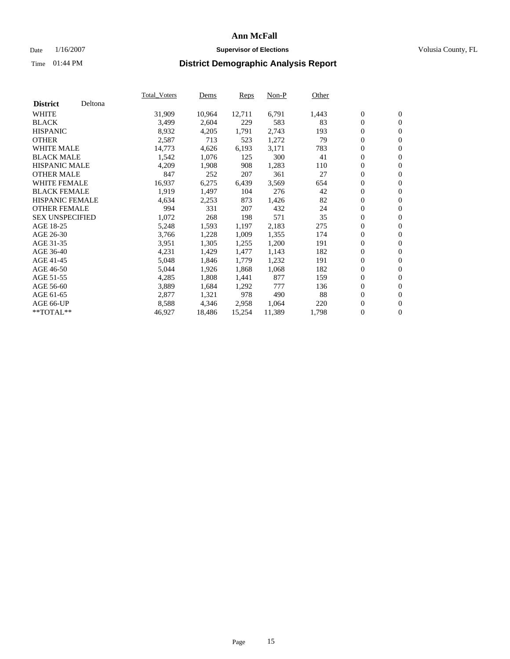#### Date  $1/16/2007$  **Supervisor of Elections Supervisor of Elections** Volusia County, FL

|                        |         | Total_Voters | Dems   | <b>Reps</b> | Non-P  | Other |                  |                  |  |
|------------------------|---------|--------------|--------|-------------|--------|-------|------------------|------------------|--|
| <b>District</b>        | Deltona |              |        |             |        |       |                  |                  |  |
| <b>WHITE</b>           |         | 31,909       | 10,964 | 12,711      | 6,791  | 1,443 | $\overline{0}$   | $\mathbf{0}$     |  |
| <b>BLACK</b>           |         | 3,499        | 2,604  | 229         | 583    | 83    | $\overline{0}$   | $\mathbf{0}$     |  |
| <b>HISPANIC</b>        |         | 8,932        | 4,205  | 1,791       | 2,743  | 193   | $\boldsymbol{0}$ | $\mathbf{0}$     |  |
| <b>OTHER</b>           |         | 2,587        | 713    | 523         | 1,272  | 79    | $\boldsymbol{0}$ | $\mathbf{0}$     |  |
| <b>WHITE MALE</b>      |         | 14,773       | 4,626  | 6,193       | 3,171  | 783   | 0                | $\mathbf{0}$     |  |
| <b>BLACK MALE</b>      |         | 1,542        | 1,076  | 125         | 300    | 41    | $\boldsymbol{0}$ | $\boldsymbol{0}$ |  |
| <b>HISPANIC MALE</b>   |         | 4,209        | 1,908  | 908         | 1,283  | 110   | $\overline{0}$   | $\mathbf{0}$     |  |
| <b>OTHER MALE</b>      |         | 847          | 252    | 207         | 361    | 27    | $\overline{0}$   | $\mathbf{0}$     |  |
| WHITE FEMALE           |         | 16,937       | 6,275  | 6,439       | 3,569  | 654   | $\mathbf{0}$     | $\mathbf{0}$     |  |
| <b>BLACK FEMALE</b>    |         | 1,919        | 1,497  | 104         | 276    | 42    | $\boldsymbol{0}$ | $\mathbf{0}$     |  |
| <b>HISPANIC FEMALE</b> |         | 4,634        | 2,253  | 873         | 1,426  | 82    | $\boldsymbol{0}$ | $\boldsymbol{0}$ |  |
| <b>OTHER FEMALE</b>    |         | 994          | 331    | 207         | 432    | 24    | 0                | $\mathbf{0}$     |  |
| <b>SEX UNSPECIFIED</b> |         | 1,072        | 268    | 198         | 571    | 35    | $\boldsymbol{0}$ | $\mathbf{0}$     |  |
| AGE 18-25              |         | 5,248        | 1,593  | 1,197       | 2,183  | 275   | $\boldsymbol{0}$ | $\mathbf{0}$     |  |
| AGE 26-30              |         | 3,766        | 1,228  | 1,009       | 1,355  | 174   | $\overline{0}$   | $\mathbf{0}$     |  |
| AGE 31-35              |         | 3,951        | 1,305  | 1,255       | 1,200  | 191   | $\overline{0}$   | $\mathbf{0}$     |  |
| AGE 36-40              |         | 4,231        | 1,429  | 1,477       | 1,143  | 182   | $\boldsymbol{0}$ | $\boldsymbol{0}$ |  |
| AGE 41-45              |         | 5,048        | 1,846  | 1,779       | 1,232  | 191   | $\boldsymbol{0}$ | $\mathbf{0}$     |  |
| AGE 46-50              |         | 5,044        | 1,926  | 1,868       | 1,068  | 182   | 0                | $\mathbf{0}$     |  |
| AGE 51-55              |         | 4,285        | 1,808  | 1,441       | 877    | 159   | $\boldsymbol{0}$ | $\boldsymbol{0}$ |  |
| AGE 56-60              |         | 3,889        | 1,684  | 1,292       | 777    | 136   | $\overline{0}$   | $\mathbf{0}$     |  |
| AGE 61-65              |         | 2,877        | 1,321  | 978         | 490    | 88    | $\mathbf{0}$     | $\mathbf{0}$     |  |
| AGE 66-UP              |         | 8,588        | 4,346  | 2,958       | 1,064  | 220   | $\boldsymbol{0}$ | $\boldsymbol{0}$ |  |
| **TOTAL**              |         | 46,927       | 18,486 | 15,254      | 11,389 | 1,798 | 0                | $\overline{0}$   |  |
|                        |         |              |        |             |        |       |                  |                  |  |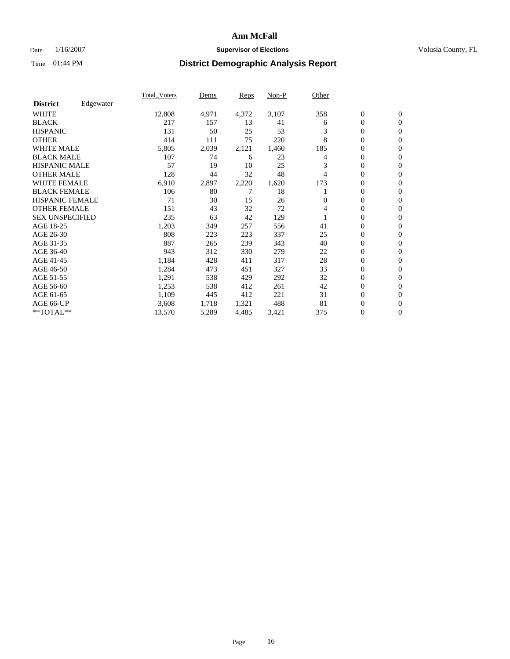#### Date  $1/16/2007$  **Supervisor of Elections Supervisor of Elections** Volusia County, FL

|                        |           | Total Voters | Dems  | <b>Reps</b> | Non-P | Other |                  |                  |  |
|------------------------|-----------|--------------|-------|-------------|-------|-------|------------------|------------------|--|
| <b>District</b>        | Edgewater |              |       |             |       |       |                  |                  |  |
| <b>WHITE</b>           |           | 12,808       | 4,971 | 4,372       | 3,107 | 358   | $\overline{0}$   | $\mathbf{0}$     |  |
| <b>BLACK</b>           |           | 217          | 157   | 13          | 41    | 6     | $\overline{0}$   | $\mathbf{0}$     |  |
| <b>HISPANIC</b>        |           | 131          | 50    | 25          | 53    | 3     | $\overline{0}$   | $\mathbf{0}$     |  |
| <b>OTHER</b>           |           | 414          | 111   | 75          | 220   | 8     | 0                | $\mathbf{0}$     |  |
| <b>WHITE MALE</b>      |           | 5,805        | 2,039 | 2,121       | 1,460 | 185   | 0                | $\mathbf{0}$     |  |
| <b>BLACK MALE</b>      |           | 107          | 74    | 6           | 23    | 4     | $\boldsymbol{0}$ | $\mathbf{0}$     |  |
| <b>HISPANIC MALE</b>   |           | 57           | 19    | 10          | 25    | 3     | $\overline{0}$   | $\mathbf{0}$     |  |
| <b>OTHER MALE</b>      |           | 128          | 44    | 32          | 48    | 4     | $\overline{0}$   | $\mathbf{0}$     |  |
| <b>WHITE FEMALE</b>    |           | 6,910        | 2,897 | 2,220       | 1,620 | 173   | 0                | $\mathbf{0}$     |  |
| <b>BLACK FEMALE</b>    |           | 106          | 80    | 7           | 18    |       | $\overline{0}$   | $\mathbf{0}$     |  |
| <b>HISPANIC FEMALE</b> |           | 71           | 30    | 15          | 26    | 0     | 0                | $\mathbf{0}$     |  |
| <b>OTHER FEMALE</b>    |           | 151          | 43    | 32          | 72    | 4     | 0                | $\overline{0}$   |  |
| <b>SEX UNSPECIFIED</b> |           | 235          | 63    | 42          | 129   |       | $\overline{0}$   | $\mathbf{0}$     |  |
| AGE 18-25              |           | 1,203        | 349   | 257         | 556   | 41    | $\overline{0}$   | $\Omega$         |  |
| AGE 26-30              |           | 808          | 223   | 223         | 337   | 25    | $\overline{0}$   | $\mathbf{0}$     |  |
| AGE 31-35              |           | 887          | 265   | 239         | 343   | 40    | $\overline{0}$   | $\mathbf{0}$     |  |
| AGE 36-40              |           | 943          | 312   | 330         | 279   | 22    | $\boldsymbol{0}$ | $\mathbf{0}$     |  |
| AGE 41-45              |           | 1,184        | 428   | 411         | 317   | 28    | $\boldsymbol{0}$ | $\mathbf{0}$     |  |
| AGE 46-50              |           | 1,284        | 473   | 451         | 327   | 33    | 0                | $\Omega$         |  |
| AGE 51-55              |           | 1,291        | 538   | 429         | 292   | 32    | $\boldsymbol{0}$ | $\mathbf{0}$     |  |
| AGE 56-60              |           | 1,253        | 538   | 412         | 261   | 42    | $\overline{0}$   | $\mathbf{0}$     |  |
| AGE 61-65              |           | 1,109        | 445   | 412         | 221   | 31    | $\overline{0}$   | $\mathbf{0}$     |  |
| AGE 66-UP              |           | 3,608        | 1,718 | 1,321       | 488   | 81    | $\boldsymbol{0}$ | $\boldsymbol{0}$ |  |
| **TOTAL**              |           | 13,570       | 5,289 | 4,485       | 3,421 | 375   | 0                | $\overline{0}$   |  |
|                        |           |              |       |             |       |       |                  |                  |  |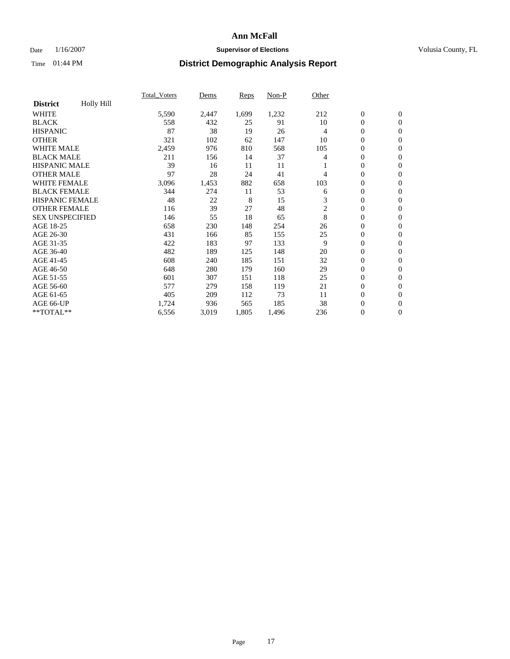### Date  $1/16/2007$  **Supervisor of Elections Supervisor of Elections** Volusia County, FL

|                        |            | Total Voters | Dems  | <b>Reps</b> | Non-P | Other          |                  |                  |  |
|------------------------|------------|--------------|-------|-------------|-------|----------------|------------------|------------------|--|
| <b>District</b>        | Holly Hill |              |       |             |       |                |                  |                  |  |
| <b>WHITE</b>           |            | 5,590        | 2,447 | 1,699       | 1,232 | 212            | $\boldsymbol{0}$ | $\mathbf{0}$     |  |
| <b>BLACK</b>           |            | 558          | 432   | 25          | 91    | 10             | $\overline{0}$   | $\mathbf{0}$     |  |
| <b>HISPANIC</b>        |            | 87           | 38    | 19          | 26    | 4              | $\boldsymbol{0}$ | $\mathbf{0}$     |  |
| <b>OTHER</b>           |            | 321          | 102   | 62          | 147   | 10             | 0                | $\mathbf{0}$     |  |
| <b>WHITE MALE</b>      |            | 2,459        | 976   | 810         | 568   | 105            | 0                | $\mathbf{0}$     |  |
| <b>BLACK MALE</b>      |            | 211          | 156   | 14          | 37    | 4              | $\boldsymbol{0}$ | $\boldsymbol{0}$ |  |
| <b>HISPANIC MALE</b>   |            | 39           | 16    | 11          | 11    |                | $\overline{0}$   | $\mathbf{0}$     |  |
| <b>OTHER MALE</b>      |            | 97           | 28    | 24          | 41    | 4              | $\overline{0}$   | $\mathbf{0}$     |  |
| <b>WHITE FEMALE</b>    |            | 3,096        | 1,453 | 882         | 658   | 103            | 0                | $\mathbf{0}$     |  |
| <b>BLACK FEMALE</b>    |            | 344          | 274   | 11          | 53    | 6              | $\boldsymbol{0}$ | $\mathbf{0}$     |  |
| <b>HISPANIC FEMALE</b> |            | 48           | 22    | 8           | 15    | 3              | $\boldsymbol{0}$ | $\mathbf{0}$     |  |
| <b>OTHER FEMALE</b>    |            | 116          | 39    | 27          | 48    | $\overline{c}$ | 0                | $\mathbf{0}$     |  |
| <b>SEX UNSPECIFIED</b> |            | 146          | 55    | 18          | 65    | 8              | $\overline{0}$   | $\mathbf{0}$     |  |
| AGE 18-25              |            | 658          | 230   | 148         | 254   | 26             | $\overline{0}$   | $\mathbf{0}$     |  |
| AGE 26-30              |            | 431          | 166   | 85          | 155   | 25             | $\overline{0}$   | $\mathbf{0}$     |  |
| AGE 31-35              |            | 422          | 183   | 97          | 133   | 9              | $\overline{0}$   | $\mathbf{0}$     |  |
| AGE 36-40              |            | 482          | 189   | 125         | 148   | 20             | $\boldsymbol{0}$ | $\mathbf{0}$     |  |
| AGE 41-45              |            | 608          | 240   | 185         | 151   | 32             | $\boldsymbol{0}$ | $\mathbf{0}$     |  |
| AGE 46-50              |            | 648          | 280   | 179         | 160   | 29             | 0                | $\Omega$         |  |
| AGE 51-55              |            | 601          | 307   | 151         | 118   | 25             | $\boldsymbol{0}$ | $\mathbf{0}$     |  |
| AGE 56-60              |            | 577          | 279   | 158         | 119   | 21             | $\overline{0}$   | $\mathbf{0}$     |  |
| AGE 61-65              |            | 405          | 209   | 112         | 73    | 11             | $\mathbf{0}$     | $\mathbf{0}$     |  |
| AGE 66-UP              |            | 1,724        | 936   | 565         | 185   | 38             | $\boldsymbol{0}$ | $\boldsymbol{0}$ |  |
| **TOTAL**              |            | 6,556        | 3,019 | 1,805       | 1,496 | 236            | 0                | $\overline{0}$   |  |
|                        |            |              |       |             |       |                |                  |                  |  |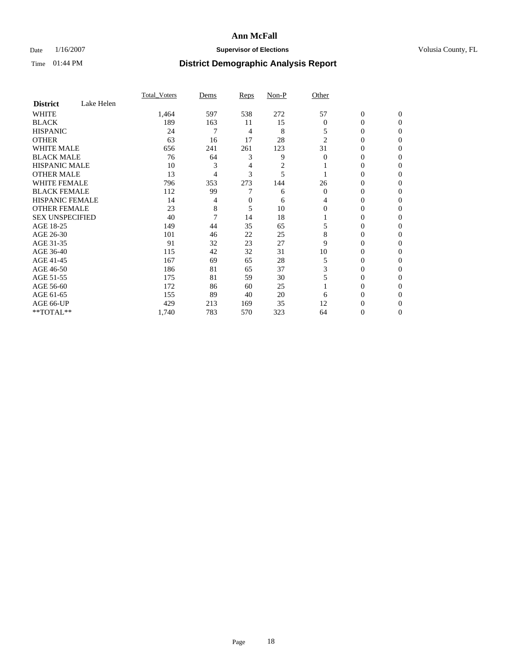### Date  $1/16/2007$  **Supervisor of Elections Supervisor of Elections** Volusia County, FL

|                        |            | <b>Total Voters</b> | Dems | Reps | Non-P | Other          |                  |              |  |
|------------------------|------------|---------------------|------|------|-------|----------------|------------------|--------------|--|
| <b>District</b>        | Lake Helen |                     |      |      |       |                |                  |              |  |
| <b>WHITE</b>           |            | 1,464               | 597  | 538  | 272   | 57             | $\boldsymbol{0}$ | $\mathbf{0}$ |  |
| <b>BLACK</b>           |            | 189                 | 163  | 11   | 15    | $\theta$       | 0                | $\mathbf{0}$ |  |
| <b>HISPANIC</b>        |            | 24                  | 7    | 4    | 8     | 5              | 0                | $\Omega$     |  |
| <b>OTHER</b>           |            | 63                  | 16   | 17   | 28    | $\overline{2}$ | $\overline{0}$   | $\theta$     |  |
| <b>WHITE MALE</b>      |            | 656                 | 241  | 261  | 123   | 31             | 0                | $\theta$     |  |
| <b>BLACK MALE</b>      |            | 76                  | 64   | 3    | 9     | $\theta$       | 0                | 0            |  |
| <b>HISPANIC MALE</b>   |            | 10                  | 3    | 4    | 2     |                | 0                | 0            |  |
| <b>OTHER MALE</b>      |            | 13                  | 4    | 3    | 5     |                | 0                | 0            |  |
| <b>WHITE FEMALE</b>    |            | 796                 | 353  | 273  | 144   | 26             | 0                | 0            |  |
| <b>BLACK FEMALE</b>    |            | 112                 | 99   |      | 6     | $\Omega$       | 0                | 0            |  |
| <b>HISPANIC FEMALE</b> |            | 14                  | 4    | 0    | 6     | 4              | 0                | $\Omega$     |  |
| <b>OTHER FEMALE</b>    |            | 23                  | 8    | 5    | 10    | $\Omega$       | 0                | $\theta$     |  |
| <b>SEX UNSPECIFIED</b> |            | 40                  | 7    | 14   | 18    |                | 0                | $\theta$     |  |
| AGE 18-25              |            | 149                 | 44   | 35   | 65    |                | 0                | $_{0}$       |  |
| AGE 26-30              |            | 101                 | 46   | 22   | 25    | 8              | 0                | 0            |  |
| AGE 31-35              |            | 91                  | 32   | 23   | 27    | 9              | 0                | 0            |  |
| AGE 36-40              |            | 115                 | 42   | 32   | 31    | 10             | 0                | 0            |  |
| AGE 41-45              |            | 167                 | 69   | 65   | 28    | 5              | 0                | 0            |  |
| AGE 46-50              |            | 186                 | 81   | 65   | 37    | 3              | 0                | $\Omega$     |  |
| AGE 51-55              |            | 175                 | 81   | 59   | 30    |                | 0                | $\Omega$     |  |
| AGE 56-60              |            | 172                 | 86   | 60   | 25    |                | 0                | $\theta$     |  |
| AGE 61-65              |            | 155                 | 89   | 40   | 20    | 6              | 0                | 0            |  |
| AGE 66-UP              |            | 429                 | 213  | 169  | 35    | 12             | 0                |              |  |
| **TOTAL**              |            | 1,740               | 783  | 570  | 323   | 64             | 0                | 0            |  |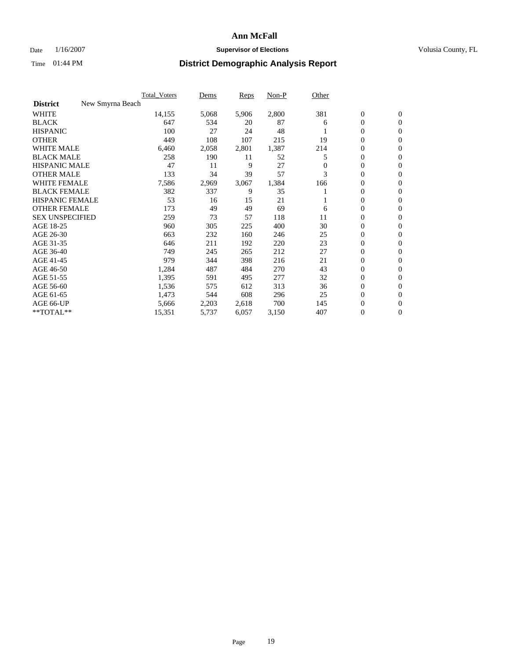### Date  $1/16/2007$  **Supervisor of Elections Supervisor of Elections** Volusia County, FL

|                                     | <b>Total Voters</b> | Dems  | <b>Reps</b> | Non-P | Other    |                  |                  |  |
|-------------------------------------|---------------------|-------|-------------|-------|----------|------------------|------------------|--|
| <b>District</b><br>New Smyrna Beach |                     |       |             |       |          |                  |                  |  |
| <b>WHITE</b>                        | 14,155              | 5,068 | 5,906       | 2,800 | 381      | $\boldsymbol{0}$ | $\mathbf{0}$     |  |
| <b>BLACK</b>                        | 647                 | 534   | 20          | 87    | 6        | $\mathbf{0}$     | $\mathbf{0}$     |  |
| <b>HISPANIC</b>                     | 100                 | 27    | 24          | 48    |          | 0                | $\mathbf{0}$     |  |
| <b>OTHER</b>                        | 449                 | 108   | 107         | 215   | 19       | 0                | $\overline{0}$   |  |
| <b>WHITE MALE</b>                   | 6,460               | 2,058 | 2,801       | 1,387 | 214      | 0                | $\mathbf{0}$     |  |
| <b>BLACK MALE</b>                   | 258                 | 190   | 11          | 52    | 5        | 0                | 0                |  |
| <b>HISPANIC MALE</b>                | 47                  | 11    | 9           | 27    | $\Omega$ | 0                | $\mathbf{0}$     |  |
| <b>OTHER MALE</b>                   | 133                 | 34    | 39          | 57    | 3        | 0                | $\mathbf{0}$     |  |
| <b>WHITE FEMALE</b>                 | 7,586               | 2,969 | 3,067       | 1,384 | 166      | 0                | $\mathbf{0}$     |  |
| <b>BLACK FEMALE</b>                 | 382                 | 337   | 9           | 35    |          | $\mathbf{0}$     | $\mathbf{0}$     |  |
| <b>HISPANIC FEMALE</b>              | 53                  | 16    | 15          | 21    |          | 0                | $\mathbf{0}$     |  |
| <b>OTHER FEMALE</b>                 | 173                 | 49    | 49          | 69    | 6        | 0                | $\mathbf{0}$     |  |
| <b>SEX UNSPECIFIED</b>              | 259                 | 73    | 57          | 118   | 11       | $\boldsymbol{0}$ | $\mathbf{0}$     |  |
| AGE 18-25                           | 960                 | 305   | 225         | 400   | 30       | 0                | $\mathbf{0}$     |  |
| AGE 26-30                           | 663                 | 232   | 160         | 246   | 25       | 0                | $\mathbf{0}$     |  |
| AGE 31-35                           | 646                 | 211   | 192         | 220   | 23       | 0                | $\mathbf{0}$     |  |
| AGE 36-40                           | 749                 | 245   | 265         | 212   | 27       | $\boldsymbol{0}$ | $\mathbf{0}$     |  |
| AGE 41-45                           | 979                 | 344   | 398         | 216   | 21       | 0                | $\mathbf{0}$     |  |
| AGE 46-50                           | 1,284               | 487   | 484         | 270   | 43       | $\mathbf{0}$     | $\mathbf{0}$     |  |
| AGE 51-55                           | 1,395               | 591   | 495         | 277   | 32       | $\overline{0}$   | $\mathbf{0}$     |  |
| AGE 56-60                           | 1,536               | 575   | 612         | 313   | 36       | $\boldsymbol{0}$ | $\mathbf{0}$     |  |
| AGE 61-65                           | 1,473               | 544   | 608         | 296   | 25       | 0                | $\mathbf{0}$     |  |
| AGE 66-UP                           | 5,666               | 2,203 | 2,618       | 700   | 145      | 0                | 0                |  |
| **TOTAL**                           | 15,351              | 5,737 | 6,057       | 3,150 | 407      | 0                | $\boldsymbol{0}$ |  |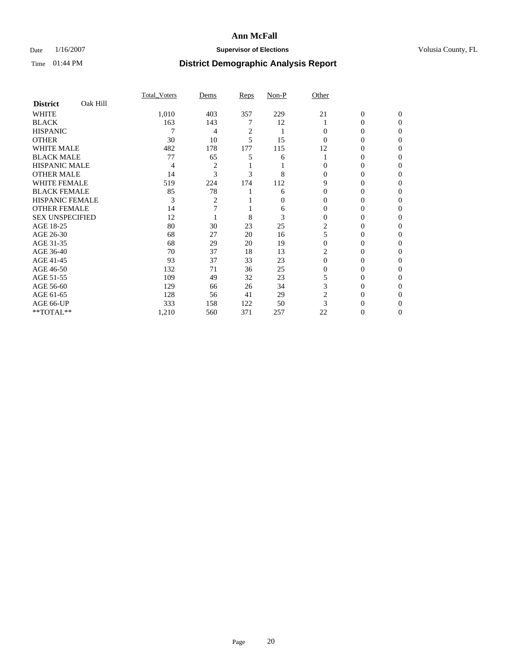### Date  $1/16/2007$  **Supervisor of Elections Supervisor of Elections** Volusia County, FL

|                        |          | <b>Total Voters</b> | Dems           | Reps           | Non-P | Other    |              |              |  |
|------------------------|----------|---------------------|----------------|----------------|-------|----------|--------------|--------------|--|
| <b>District</b>        | Oak Hill |                     |                |                |       |          |              |              |  |
| <b>WHITE</b>           |          | 1,010               | 403            | 357            | 229   | 21       | $\mathbf{0}$ | $\mathbf{0}$ |  |
| <b>BLACK</b>           |          | 163                 | 143            |                | 12    |          | 0            | $\Omega$     |  |
| <b>HISPANIC</b>        |          |                     | 4              | $\overline{c}$ |       | 0        | 0            | $\theta$     |  |
| <b>OTHER</b>           |          | 30                  | 10             | 5              | 15    | 0        | 0            | 0            |  |
| <b>WHITE MALE</b>      |          | 482                 | 178            | 177            | 115   | 12       | 0            |              |  |
| <b>BLACK MALE</b>      |          | 77                  | 65             | 5              | 6     |          | 0            | 0            |  |
| <b>HISPANIC MALE</b>   |          | 4                   | $\overline{c}$ |                |       |          | 0            |              |  |
| <b>OTHER MALE</b>      |          | 14                  | 3              | 3              | 8     | 0        | 0            | 0            |  |
| <b>WHITE FEMALE</b>    |          | 519                 | 224            | 174            | 112   | 9        | 0            | 0            |  |
| <b>BLACK FEMALE</b>    |          | 85                  | 78             |                | 6     | $\Omega$ | 0            | 0            |  |
| <b>HISPANIC FEMALE</b> |          | 3                   | $\overline{2}$ |                | 0     | 0        | 0            | 0            |  |
| <b>OTHER FEMALE</b>    |          | 14                  |                |                | 6     | $\Omega$ | 0            | 0            |  |
| <b>SEX UNSPECIFIED</b> |          | 12                  |                | 8              | 3     | $\Omega$ | 0            | 0            |  |
| AGE 18-25              |          | 80                  | 30             | 23             | 25    | 2        | 0            |              |  |
| AGE 26-30              |          | 68                  | 27             | 20             | 16    |          | 0            |              |  |
| AGE 31-35              |          | 68                  | 29             | 20             | 19    |          | 0            |              |  |
| AGE 36-40              |          | 70                  | 37             | 18             | 13    |          | 0            | 0            |  |
| AGE 41-45              |          | 93                  | 37             | 33             | 23    | $\Omega$ | 0            | 0            |  |
| AGE 46-50              |          | 132                 | 71             | 36             | 25    | 0        | 0            | 0            |  |
| AGE 51-55              |          | 109                 | 49             | 32             | 23    |          | 0            | $\theta$     |  |
| AGE 56-60              |          | 129                 | 66             | 26             | 34    | 3        | 0            | 0            |  |
| AGE 61-65              |          | 128                 | 56             | 41             | 29    | 2        | 0            |              |  |
| AGE 66-UP              |          | 333                 | 158            | 122            | 50    |          |              |              |  |
| **TOTAL**              |          | 1,210               | 560            | 371            | 257   | 22       | 0            | 0            |  |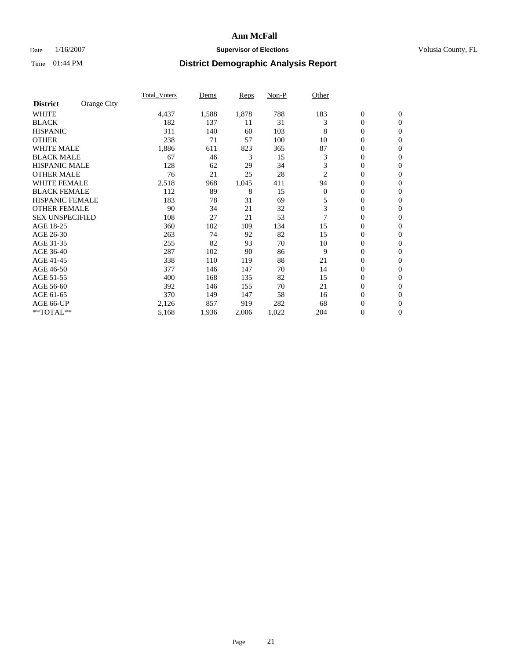### Date  $1/16/2007$  **Supervisor of Elections Supervisor of Elections** Volusia County, FL

|                                | Total Voters | Dems  | <b>Reps</b> | Non-P | Other        |                  |                |
|--------------------------------|--------------|-------|-------------|-------|--------------|------------------|----------------|
| Orange City<br><b>District</b> |              |       |             |       |              |                  |                |
| <b>WHITE</b>                   | 4,437        | 1,588 | 1,878       | 788   | 183          | $\boldsymbol{0}$ | $\mathbf{0}$   |
| <b>BLACK</b>                   | 182          | 137   | 11          | 31    | 3            | $\mathbf{0}$     | $\mathbf{0}$   |
| <b>HISPANIC</b>                | 311          | 140   | 60          | 103   | 8            | 0                | $\mathbf{0}$   |
| <b>OTHER</b>                   | 238          | 71    | 57          | 100   | 10           | $\mathbf{0}$     | $\mathbf{0}$   |
| <b>WHITE MALE</b>              | 1,886        | 611   | 823         | 365   | 87           | 0                | $\mathbf{0}$   |
| <b>BLACK MALE</b>              | 67           | 46    | 3           | 15    | 3            | 0                | $\mathbf{0}$   |
| <b>HISPANIC MALE</b>           | 128          | 62    | 29          | 34    | 3            | $\mathbf{0}$     | $\mathbf{0}$   |
| <b>OTHER MALE</b>              | 76           | 21    | 25          | 28    | 2            | $\mathbf{0}$     | $\mathbf{0}$   |
| <b>WHITE FEMALE</b>            | 2,518        | 968   | 1,045       | 411   | 94           | $\boldsymbol{0}$ | $\mathbf{0}$   |
| <b>BLACK FEMALE</b>            | 112          | 89    | 8           | 15    | $\mathbf{0}$ | 0                | $\mathbf{0}$   |
| <b>HISPANIC FEMALE</b>         | 183          | 78    | 31          | 69    | 5            | 0                | $\mathbf{0}$   |
| <b>OTHER FEMALE</b>            | 90           | 34    | 21          | 32    | 3            | $\boldsymbol{0}$ | $\mathbf{0}$   |
| <b>SEX UNSPECIFIED</b>         | 108          | 27    | 21          | 53    | 7            | 0                | $\mathbf{0}$   |
| AGE 18-25                      | 360          | 102   | 109         | 134   | 15           | $\boldsymbol{0}$ | $\overline{0}$ |
| AGE 26-30                      | 263          | 74    | 92          | 82    | 15           | 0                | $\mathbf{0}$   |
| AGE 31-35                      | 255          | 82    | 93          | 70    | 10           | 0                | $\mathbf{0}$   |
| AGE 36-40                      | 287          | 102   | 90          | 86    | 9            | $\mathbf{0}$     | $\mathbf{0}$   |
| AGE 41-45                      | 338          | 110   | 119         | 88    | 21           | $\overline{0}$   | $\mathbf{0}$   |
| AGE 46-50                      | 377          | 146   | 147         | 70    | 14           | $\boldsymbol{0}$ | $\mathbf{0}$   |
| AGE 51-55                      | 400          | 168   | 135         | 82    | 15           | $\boldsymbol{0}$ | $\mathbf{0}$   |
| AGE 56-60                      | 392          | 146   | 155         | 70    | 21           | 0                | $\mathbf{0}$   |
| AGE 61-65                      | 370          | 149   | 147         | 58    | 16           | $\mathbf{0}$     | $\mathbf{0}$   |
| AGE 66-UP                      | 2,126        | 857   | 919         | 282   | 68           | 0                | $\mathbf{0}$   |
| **TOTAL**                      | 5,168        | 1,936 | 2,006       | 1,022 | 204          | 0                | $\overline{0}$ |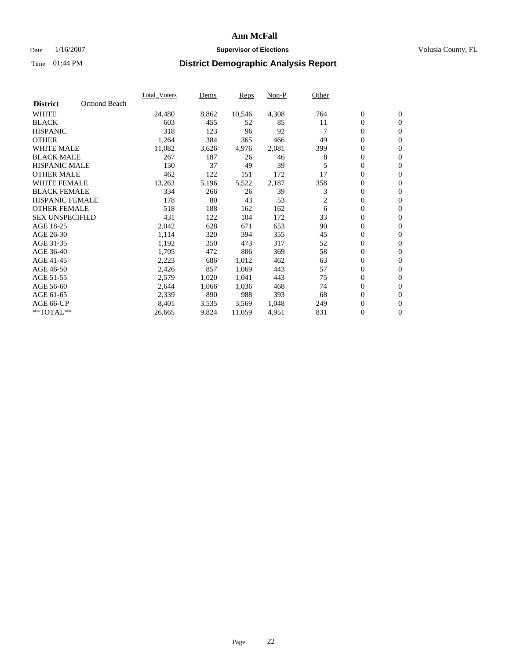### Date  $1/16/2007$  **Supervisor of Elections Supervisor of Elections** Volusia County, FL

|                                 | <b>Total Voters</b> | Dems  | Reps   | Non-P | Other |                  |                  |  |
|---------------------------------|---------------------|-------|--------|-------|-------|------------------|------------------|--|
| Ormond Beach<br><b>District</b> |                     |       |        |       |       |                  |                  |  |
| <b>WHITE</b>                    | 24,480              | 8,862 | 10,546 | 4,308 | 764   | $\mathbf{0}$     | $\mathbf{0}$     |  |
| <b>BLACK</b>                    | 603                 | 455   | 52     | 85    | 11    | 0                | $\mathbf{0}$     |  |
| <b>HISPANIC</b>                 | 318                 | 123   | 96     | 92    |       | 0                | $\overline{0}$   |  |
| <b>OTHER</b>                    | 1,264               | 384   | 365    | 466   | 49    | 0                | $\mathbf{0}$     |  |
| <b>WHITE MALE</b>               | 11,082              | 3,626 | 4,976  | 2,081 | 399   | 0                | $\mathbf{0}$     |  |
| <b>BLACK MALE</b>               | 267                 | 187   | 26     | 46    | 8     | 0                | $\boldsymbol{0}$ |  |
| <b>HISPANIC MALE</b>            | 130                 | 37    | 49     | 39    |       | 0                | $\mathbf{0}$     |  |
| <b>OTHER MALE</b>               | 462                 | 122   | 151    | 172   | 17    | $\mathbf{0}$     | $\mathbf{0}$     |  |
| <b>WHITE FEMALE</b>             | 13,263              | 5,196 | 5,522  | 2,187 | 358   | 0                | $\mathbf{0}$     |  |
| <b>BLACK FEMALE</b>             | 334                 | 266   | 26     | 39    | 3     | $\boldsymbol{0}$ | $\mathbf{0}$     |  |
| <b>HISPANIC FEMALE</b>          | 178                 | 80    | 43     | 53    | 2     | 0                | $\mathbf{0}$     |  |
| <b>OTHER FEMALE</b>             | 518                 | 188   | 162    | 162   | 6     | 0                | $\mathbf{0}$     |  |
| <b>SEX UNSPECIFIED</b>          | 431                 | 122   | 104    | 172   | 33    | 0                | $\mathbf{0}$     |  |
| AGE 18-25                       | 2,042               | 628   | 671    | 653   | 90    | 0                | $\mathbf{0}$     |  |
| AGE 26-30                       | 1,114               | 320   | 394    | 355   | 45    | $\mathbf{0}$     | $\mathbf{0}$     |  |
| AGE 31-35                       | 1,192               | 350   | 473    | 317   | 52    | 0                | $\mathbf{0}$     |  |
| AGE 36-40                       | 1,705               | 472   | 806    | 369   | 58    | 0                | $\mathbf{0}$     |  |
| AGE 41-45                       | 2,223               | 686   | 1,012  | 462   | 63    | 0                | $\mathbf{0}$     |  |
| AGE 46-50                       | 2,426               | 857   | 1,069  | 443   | 57    | 0                | $\mathbf{0}$     |  |
| AGE 51-55                       | 2,579               | 1,020 | 1,041  | 443   | 75    | $\boldsymbol{0}$ | $\mathbf{0}$     |  |
| AGE 56-60                       | 2,644               | 1,066 | 1,036  | 468   | 74    | 0                | $\mathbf{0}$     |  |
| AGE 61-65                       | 2,339               | 890   | 988    | 393   | 68    | $\mathbf{0}$     | $\mathbf{0}$     |  |
| AGE 66-UP                       | 8,401               | 3,535 | 3,569  | 1,048 | 249   | 0                | $\mathbf{0}$     |  |
| $*$ TOTAL $**$                  | 26,665              | 9,824 | 11,059 | 4,951 | 831   | 0                | $\mathbf{0}$     |  |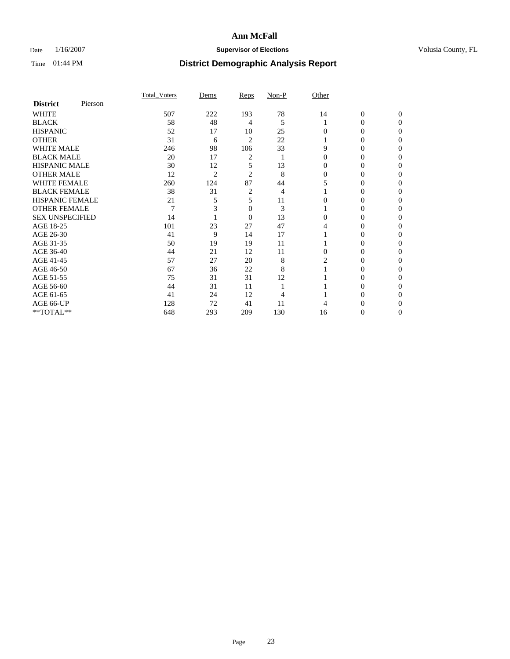### Date  $1/16/2007$  **Supervisor of Elections Supervisor of Elections** Volusia County, FL

|                        |         | <b>Total Voters</b> | Dems           | Reps           | Non-P | Other    |                  |              |  |
|------------------------|---------|---------------------|----------------|----------------|-------|----------|------------------|--------------|--|
| <b>District</b>        | Pierson |                     |                |                |       |          |                  |              |  |
| <b>WHITE</b>           |         | 507                 | 222            | 193            | 78    | 14       | $\boldsymbol{0}$ | $\mathbf{0}$ |  |
| <b>BLACK</b>           |         | 58                  | 48             | 4              | 5     |          | $\theta$         | $\Omega$     |  |
| <b>HISPANIC</b>        |         | 52                  | 17             | 10             | 25    | 0        | 0                | $\theta$     |  |
| <b>OTHER</b>           |         | 31                  | 6              | $\overline{2}$ | 22    |          | 0                |              |  |
| <b>WHITE MALE</b>      |         | 246                 | 98             | 106            | 33    | 9        | 0                |              |  |
| <b>BLACK MALE</b>      |         | 20                  | 17             | 2              |       | 0        | 0                |              |  |
| <b>HISPANIC MALE</b>   |         | 30                  | 12             | 5              | 13    |          | 0                |              |  |
| <b>OTHER MALE</b>      |         | 12                  | $\overline{2}$ | 2              | 8     | 0        | 0                |              |  |
| <b>WHITE FEMALE</b>    |         | 260                 | 124            | 87             | 44    |          | 0                |              |  |
| <b>BLACK FEMALE</b>    |         | 38                  | 31             | 2              | 4     |          | 0                | 0            |  |
| <b>HISPANIC FEMALE</b> |         | 21                  |                | 5              | 11    |          |                  | 0            |  |
| <b>OTHER FEMALE</b>    |         | $\overline{7}$      |                | 0              | 3     |          | 0                | 0            |  |
| <b>SEX UNSPECIFIED</b> |         | 14                  |                | $\overline{0}$ | 13    | 0        | 0                |              |  |
| AGE 18-25              |         | 101                 | 23             | 27             | 47    | 4        | 0                |              |  |
| AGE 26-30              |         | 41                  | 9              | 14             | 17    |          | 0                |              |  |
| AGE 31-35              |         | 50                  | 19             | 19             | 11    |          | 0                |              |  |
| AGE 36-40              |         | 44                  | 21             | 12             | 11    | $\Omega$ | 0                | 0            |  |
| AGE 41-45              |         | 57                  | 27             | 20             | 8     |          |                  |              |  |
| AGE 46-50              |         | 67                  | 36             | 22             | 8     |          | 0                | 0            |  |
| AGE 51-55              |         | 75                  | 31             | 31             | 12    |          |                  | 0            |  |
| AGE 56-60              |         | 44                  | 31             | 11             |       |          | 0                |              |  |
| AGE 61-65              |         | 41                  | 24             | 12             |       |          | 0                |              |  |
| AGE 66-UP              |         | 128                 | 72             | 41             | 11    |          |                  |              |  |
| **TOTAL**              |         | 648                 | 293            | 209            | 130   | 16       | 0                | 0            |  |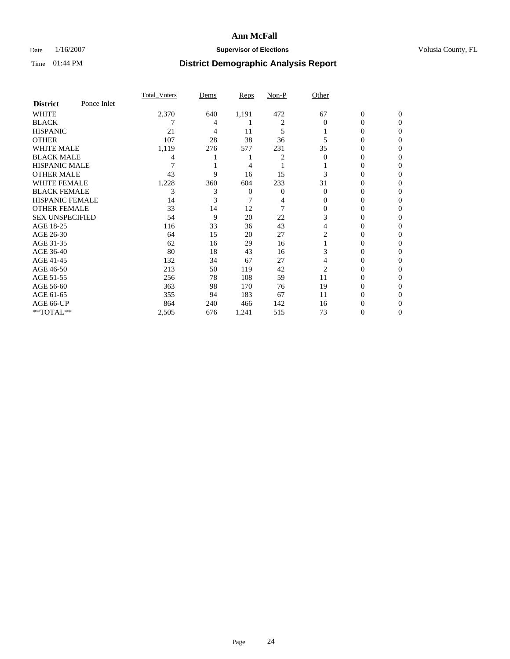### Date  $1/16/2007$  **Supervisor of Elections Supervisor of Elections** Volusia County, FL

|                        |             | <b>Total Voters</b> | Dems | Reps  | Non-P | Other          |                  |              |  |
|------------------------|-------------|---------------------|------|-------|-------|----------------|------------------|--------------|--|
| <b>District</b>        | Ponce Inlet |                     |      |       |       |                |                  |              |  |
| <b>WHITE</b>           |             | 2,370               | 640  | 1,191 | 472   | 67             | $\boldsymbol{0}$ | $\mathbf{0}$ |  |
| <b>BLACK</b>           |             |                     | 4    |       | 2     | $\Omega$       | 0                | $\Omega$     |  |
| <b>HISPANIC</b>        |             | 21                  | 4    | 11    | 5     |                | 0                | $\Omega$     |  |
| <b>OTHER</b>           |             | 107                 | 28   | 38    | 36    |                | 0                | 0            |  |
| <b>WHITE MALE</b>      |             | 1,119               | 276  | 577   | 231   | 35             | 0                |              |  |
| <b>BLACK MALE</b>      |             |                     |      |       | 2     | 0              | 0                | 0            |  |
| <b>HISPANIC MALE</b>   |             |                     |      | 4     |       |                | 0                |              |  |
| <b>OTHER MALE</b>      |             | 43                  | 9    | 16    | 15    |                | $\theta$         | 0            |  |
| <b>WHITE FEMALE</b>    |             | 1,228               | 360  | 604   | 233   | 31             | 0                | 0            |  |
| <b>BLACK FEMALE</b>    |             | 3                   | 3    | 0     | 0     | $\Omega$       | 0                | 0            |  |
| <b>HISPANIC FEMALE</b> |             | 14                  |      |       |       | 0              | 0                | 0            |  |
| <b>OTHER FEMALE</b>    |             | 33                  | 14   | 12    |       | $\Omega$       | 0                | 0            |  |
| <b>SEX UNSPECIFIED</b> |             | 54                  | 9    | 20    | 22    | 3              | 0                | 0            |  |
| AGE 18-25              |             | 116                 | 33   | 36    | 43    | 4              | 0                |              |  |
| AGE 26-30              |             | 64                  | 15   | 20    | 27    | 2              | 0                | 0            |  |
| AGE 31-35              |             | 62                  | 16   | 29    | 16    |                | 0                |              |  |
| AGE 36-40              |             | 80                  | 18   | 43    | 16    | 3              | 0                | 0            |  |
| AGE 41-45              |             | 132                 | 34   | 67    | 27    | 4              | 0                | 0            |  |
| AGE 46-50              |             | 213                 | 50   | 119   | 42    | $\overline{2}$ | 0                | 0            |  |
| AGE 51-55              |             | 256                 | 78   | 108   | 59    | 11             | 0                | $\theta$     |  |
| AGE 56-60              |             | 363                 | 98   | 170   | 76    | 19             | 0                | 0            |  |
| AGE 61-65              |             | 355                 | 94   | 183   | 67    | 11             | 0                |              |  |
| AGE 66-UP              |             | 864                 | 240  | 466   | 142   | 16             | 0                |              |  |
| **TOTAL**              |             | 2,505               | 676  | 1,241 | 515   | 73             | 0                | 0            |  |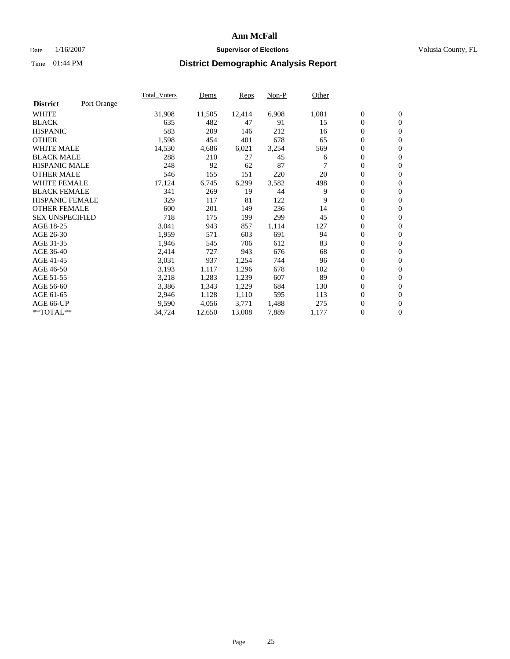#### Date  $1/16/2007$  **Supervisor of Elections Supervisor of Elections** Volusia County, FL

|                        |             | Total Voters | Dems   | <b>Reps</b> | Non-P | Other |                  |                  |  |
|------------------------|-------------|--------------|--------|-------------|-------|-------|------------------|------------------|--|
| <b>District</b>        | Port Orange |              |        |             |       |       |                  |                  |  |
| <b>WHITE</b>           |             | 31,908       | 11,505 | 12,414      | 6,908 | 1,081 | $\boldsymbol{0}$ | $\mathbf{0}$     |  |
| <b>BLACK</b>           |             | 635          | 482    | 47          | 91    | 15    | $\overline{0}$   | $\mathbf{0}$     |  |
| <b>HISPANIC</b>        |             | 583          | 209    | 146         | 212   | 16    | $\boldsymbol{0}$ | $\mathbf{0}$     |  |
| <b>OTHER</b>           |             | 1,598        | 454    | 401         | 678   | 65    | 0                | $\mathbf{0}$     |  |
| <b>WHITE MALE</b>      |             | 14,530       | 4,686  | 6,021       | 3,254 | 569   | 0                | $\mathbf{0}$     |  |
| <b>BLACK MALE</b>      |             | 288          | 210    | 27          | 45    | 6     | $\boldsymbol{0}$ | $\boldsymbol{0}$ |  |
| <b>HISPANIC MALE</b>   |             | 248          | 92     | 62          | 87    |       | $\overline{0}$   | $\mathbf{0}$     |  |
| <b>OTHER MALE</b>      |             | 546          | 155    | 151         | 220   | 20    | $\overline{0}$   | $\mathbf{0}$     |  |
| <b>WHITE FEMALE</b>    |             | 17,124       | 6,745  | 6,299       | 3,582 | 498   | $\overline{0}$   | $\mathbf{0}$     |  |
| <b>BLACK FEMALE</b>    |             | 341          | 269    | 19          | 44    | 9     | $\overline{0}$   | $\mathbf{0}$     |  |
| <b>HISPANIC FEMALE</b> |             | 329          | 117    | 81          | 122   | 9     | $\boldsymbol{0}$ | $\boldsymbol{0}$ |  |
| <b>OTHER FEMALE</b>    |             | 600          | 201    | 149         | 236   | 14    | 0                | $\mathbf{0}$     |  |
| <b>SEX UNSPECIFIED</b> |             | 718          | 175    | 199         | 299   | 45    | $\boldsymbol{0}$ | $\mathbf{0}$     |  |
| AGE 18-25              |             | 3,041        | 943    | 857         | 1,114 | 127   | $\boldsymbol{0}$ | $\mathbf{0}$     |  |
| AGE 26-30              |             | 1,959        | 571    | 603         | 691   | 94    | $\overline{0}$   | $\mathbf{0}$     |  |
| AGE 31-35              |             | 1,946        | 545    | 706         | 612   | 83    | $\overline{0}$   | $\mathbf{0}$     |  |
| AGE 36-40              |             | 2,414        | 727    | 943         | 676   | 68    | $\boldsymbol{0}$ | $\mathbf{0}$     |  |
| AGE 41-45              |             | 3,031        | 937    | 1,254       | 744   | 96    | $\boldsymbol{0}$ | $\mathbf{0}$     |  |
| AGE 46-50              |             | 3,193        | 1,117  | 1,296       | 678   | 102   | 0                | $\mathbf{0}$     |  |
| AGE 51-55              |             | 3,218        | 1,283  | 1,239       | 607   | 89    | $\boldsymbol{0}$ | $\boldsymbol{0}$ |  |
| AGE 56-60              |             | 3,386        | 1,343  | 1,229       | 684   | 130   | $\overline{0}$   | $\mathbf{0}$     |  |
| AGE 61-65              |             | 2,946        | 1,128  | 1,110       | 595   | 113   | $\mathbf{0}$     | $\mathbf{0}$     |  |
| AGE 66-UP              |             | 9,590        | 4,056  | 3,771       | 1,488 | 275   | $\boldsymbol{0}$ | $\boldsymbol{0}$ |  |
| **TOTAL**              |             | 34,724       | 12,650 | 13,008      | 7,889 | 1,177 | $\boldsymbol{0}$ | $\overline{0}$   |  |
|                        |             |              |        |             |       |       |                  |                  |  |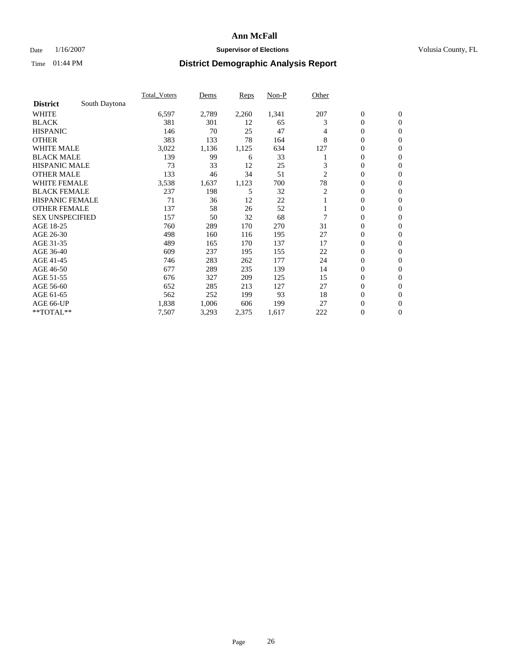### Date  $1/16/2007$  **Supervisor of Elections Supervisor of Elections** Volusia County, FL

|                        |               | <b>Total Voters</b> | Dems  | <b>Reps</b> | Non-P | Other |                  |                  |  |
|------------------------|---------------|---------------------|-------|-------------|-------|-------|------------------|------------------|--|
| <b>District</b>        | South Daytona |                     |       |             |       |       |                  |                  |  |
| <b>WHITE</b>           |               | 6,597               | 2,789 | 2,260       | 1,341 | 207   | $\boldsymbol{0}$ | $\mathbf{0}$     |  |
| <b>BLACK</b>           |               | 381                 | 301   | 12          | 65    | 3     | $\mathbf{0}$     | $\mathbf{0}$     |  |
| <b>HISPANIC</b>        |               | 146                 | 70    | 25          | 47    | 4     | 0                | $\mathbf{0}$     |  |
| <b>OTHER</b>           |               | 383                 | 133   | 78          | 164   | 8     | 0                | $\overline{0}$   |  |
| <b>WHITE MALE</b>      |               | 3,022               | 1,136 | 1,125       | 634   | 127   | 0                | $\mathbf{0}$     |  |
| <b>BLACK MALE</b>      |               | 139                 | 99    | 6           | 33    |       | 0                | $\mathbf{0}$     |  |
| <b>HISPANIC MALE</b>   |               | 73                  | 33    | 12          | 25    | 3     | 0                | $\Omega$         |  |
| <b>OTHER MALE</b>      |               | 133                 | 46    | 34          | 51    | 2     | 0                | $\mathbf{0}$     |  |
| <b>WHITE FEMALE</b>    |               | 3,538               | 1,637 | 1,123       | 700   | 78    | 0                | $\Omega$         |  |
| <b>BLACK FEMALE</b>    |               | 237                 | 198   | 5           | 32    | 2     | $\mathbf{0}$     | $\mathbf{0}$     |  |
| <b>HISPANIC FEMALE</b> |               | 71                  | 36    | 12          | 22    |       | 0                | $\mathbf{0}$     |  |
| <b>OTHER FEMALE</b>    |               | 137                 | 58    | 26          | 52    |       | 0                | $\mathbf{0}$     |  |
| <b>SEX UNSPECIFIED</b> |               | 157                 | 50    | 32          | 68    | 7     | $\boldsymbol{0}$ | $\mathbf{0}$     |  |
| AGE 18-25              |               | 760                 | 289   | 170         | 270   | 31    | 0                | $\mathbf{0}$     |  |
| AGE 26-30              |               | 498                 | 160   | 116         | 195   | 27    | 0                | $\mathbf{0}$     |  |
| AGE 31-35              |               | 489                 | 165   | 170         | 137   | 17    | 0                | $\mathbf{0}$     |  |
| AGE 36-40              |               | 609                 | 237   | 195         | 155   | 22    | $\boldsymbol{0}$ | $\mathbf{0}$     |  |
| AGE 41-45              |               | 746                 | 283   | 262         | 177   | 24    | 0                | $\mathbf{0}$     |  |
| AGE 46-50              |               | 677                 | 289   | 235         | 139   | 14    | $\mathbf{0}$     | $\mathbf{0}$     |  |
| AGE 51-55              |               | 676                 | 327   | 209         | 125   | 15    | $\overline{0}$   | $\mathbf{0}$     |  |
| AGE 56-60              |               | 652                 | 285   | 213         | 127   | 27    | $\mathbf{0}$     | $\mathbf{0}$     |  |
| AGE 61-65              |               | 562                 | 252   | 199         | 93    | 18    | 0                | $\mathbf{0}$     |  |
| AGE 66-UP              |               | 1,838               | 1,006 | 606         | 199   | 27    | 0                | 0                |  |
| **TOTAL**              |               | 7,507               | 3,293 | 2,375       | 1,617 | 222   | 0                | $\boldsymbol{0}$ |  |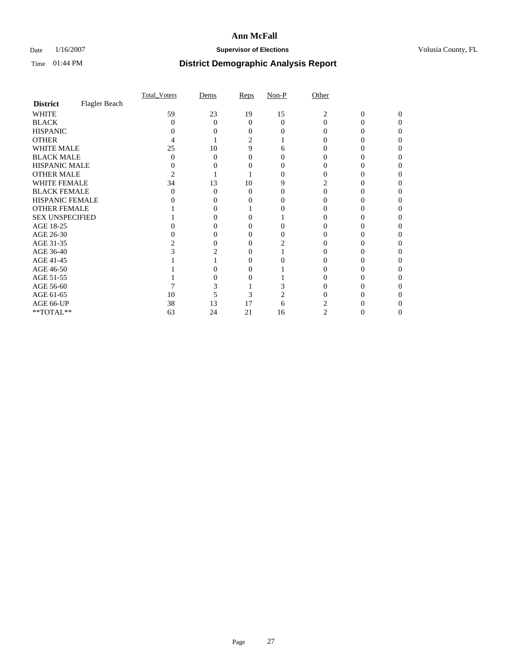### Date  $1/16/2007$  **Supervisor of Elections Supervisor of Elections** Volusia County, FL

|                        |               | <b>Total Voters</b> | Dems     | Reps | $Non-P$ | Other |   |          |  |
|------------------------|---------------|---------------------|----------|------|---------|-------|---|----------|--|
| <b>District</b>        | Flagler Beach |                     |          |      |         |       |   |          |  |
| <b>WHITE</b>           |               | 59                  | 23       | 19   | 15      | 2     | 0 | $\Omega$ |  |
| <b>BLACK</b>           |               | 0                   | $\Omega$ | 0    | 0       | 0     |   |          |  |
| <b>HISPANIC</b>        |               |                     |          |      |         |       |   |          |  |
| <b>OTHER</b>           |               |                     |          | 2    |         |       |   |          |  |
| <b>WHITE MALE</b>      |               | 25                  | 10       | 9    | h       |       |   |          |  |
| <b>BLACK MALE</b>      |               |                     | 0        |      |         |       |   |          |  |
| HISPANIC MALE          |               |                     |          |      |         |       |   |          |  |
| <b>OTHER MALE</b>      |               |                     |          |      |         |       |   |          |  |
| <b>WHITE FEMALE</b>    |               | 34                  | 13       | 10   |         |       |   |          |  |
| <b>BLACK FEMALE</b>    |               |                     | $\Omega$ | 0    |         |       |   |          |  |
| HISPANIC FEMALE        |               |                     |          |      |         |       |   |          |  |
| <b>OTHER FEMALE</b>    |               |                     |          |      |         |       |   |          |  |
| <b>SEX UNSPECIFIED</b> |               |                     |          |      |         |       |   |          |  |
| AGE 18-25              |               |                     |          |      |         |       |   |          |  |
| AGE 26-30              |               |                     | 0        |      |         |       |   |          |  |
| AGE 31-35              |               |                     | 0        |      |         |       |   |          |  |
| AGE 36-40              |               |                     |          |      |         |       |   |          |  |
| AGE 41-45              |               |                     |          |      |         |       |   |          |  |
| AGE 46-50              |               |                     |          |      |         |       |   |          |  |
| AGE 51-55              |               |                     |          |      |         |       |   |          |  |
| AGE 56-60              |               |                     |          |      |         |       |   |          |  |
| AGE 61-65              |               | 10                  |          | 3    |         |       |   |          |  |
| AGE 66-UP              |               | 38                  | 13       | 17   | h       |       |   |          |  |
| $**TOTAL**$            |               | 63                  | 24       | 21   | 16      | 2     | 0 | 0        |  |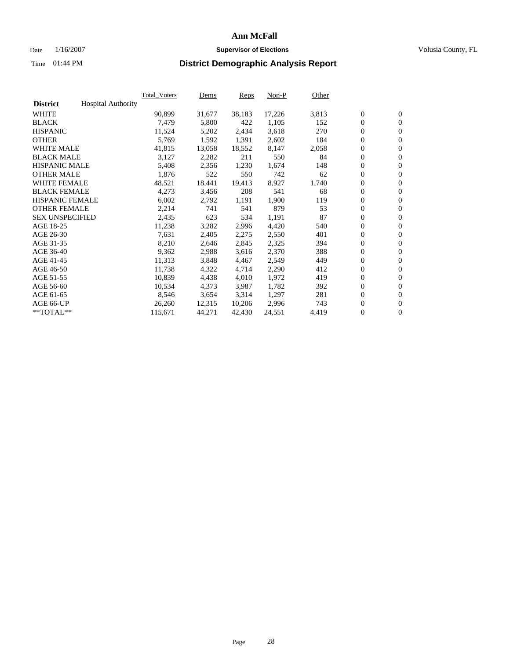#### Date  $1/16/2007$  **Supervisor of Elections Supervisor of Elections** Volusia County, FL

|                        |                           | Total Voters | Dems   | <b>Reps</b> | Non-P  | Other |                  |                  |  |
|------------------------|---------------------------|--------------|--------|-------------|--------|-------|------------------|------------------|--|
| <b>District</b>        | <b>Hospital Authority</b> |              |        |             |        |       |                  |                  |  |
| <b>WHITE</b>           |                           | 90,899       | 31,677 | 38,183      | 17,226 | 3,813 | $\overline{0}$   | $\mathbf{0}$     |  |
| <b>BLACK</b>           |                           | 7,479        | 5,800  | 422         | 1,105  | 152   | $\overline{0}$   | $\mathbf{0}$     |  |
| <b>HISPANIC</b>        |                           | 11,524       | 5,202  | 2,434       | 3,618  | 270   | $\boldsymbol{0}$ | $\mathbf{0}$     |  |
| <b>OTHER</b>           |                           | 5,769        | 1,592  | 1,391       | 2,602  | 184   | $\boldsymbol{0}$ | $\mathbf{0}$     |  |
| <b>WHITE MALE</b>      |                           | 41,815       | 13,058 | 18,552      | 8,147  | 2,058 | $\boldsymbol{0}$ | $\mathbf{0}$     |  |
| <b>BLACK MALE</b>      |                           | 3,127        | 2,282  | 211         | 550    | 84    | $\boldsymbol{0}$ | $\boldsymbol{0}$ |  |
| <b>HISPANIC MALE</b>   |                           | 5,408        | 2,356  | 1,230       | 1,674  | 148   | $\overline{0}$   | $\mathbf{0}$     |  |
| <b>OTHER MALE</b>      |                           | 1,876        | 522    | 550         | 742    | 62    | $\overline{0}$   | $\mathbf{0}$     |  |
| <b>WHITE FEMALE</b>    |                           | 48,521       | 18,441 | 19,413      | 8,927  | 1,740 | $\mathbf{0}$     | $\mathbf{0}$     |  |
| <b>BLACK FEMALE</b>    |                           | 4,273        | 3,456  | 208         | 541    | 68    | $\boldsymbol{0}$ | $\mathbf{0}$     |  |
| <b>HISPANIC FEMALE</b> |                           | 6,002        | 2,792  | 1,191       | 1,900  | 119   | $\boldsymbol{0}$ | $\mathbf{0}$     |  |
| <b>OTHER FEMALE</b>    |                           | 2,214        | 741    | 541         | 879    | 53    | 0                | $\mathbf{0}$     |  |
| <b>SEX UNSPECIFIED</b> |                           | 2,435        | 623    | 534         | 1,191  | 87    | $\boldsymbol{0}$ | $\mathbf{0}$     |  |
| AGE 18-25              |                           | 11,238       | 3,282  | 2,996       | 4,420  | 540   | $\boldsymbol{0}$ | $\mathbf{0}$     |  |
| AGE 26-30              |                           | 7,631        | 2,405  | 2,275       | 2,550  | 401   | $\overline{0}$   | $\mathbf{0}$     |  |
| AGE 31-35              |                           | 8,210        | 2,646  | 2,845       | 2,325  | 394   | $\overline{0}$   | $\mathbf{0}$     |  |
| AGE 36-40              |                           | 9,362        | 2,988  | 3,616       | 2,370  | 388   | $\boldsymbol{0}$ | $\mathbf{0}$     |  |
| AGE 41-45              |                           | 11,313       | 3,848  | 4,467       | 2,549  | 449   | $\boldsymbol{0}$ | $\mathbf{0}$     |  |
| AGE 46-50              |                           | 11,738       | 4,322  | 4,714       | 2,290  | 412   | $\boldsymbol{0}$ | $\mathbf{0}$     |  |
| AGE 51-55              |                           | 10,839       | 4,438  | 4,010       | 1,972  | 419   | $\boldsymbol{0}$ | $\mathbf{0}$     |  |
| AGE 56-60              |                           | 10,534       | 4,373  | 3,987       | 1,782  | 392   | $\overline{0}$   | $\mathbf{0}$     |  |
| AGE 61-65              |                           | 8,546        | 3,654  | 3,314       | 1,297  | 281   | $\mathbf{0}$     | $\boldsymbol{0}$ |  |
| AGE 66-UP              |                           | 26,260       | 12,315 | 10,206      | 2,996  | 743   | $\boldsymbol{0}$ | $\mathbf{0}$     |  |
| **TOTAL**              |                           | 115,671      | 44,271 | 42,430      | 24,551 | 4,419 | $\boldsymbol{0}$ | $\overline{0}$   |  |
|                        |                           |              |        |             |        |       |                  |                  |  |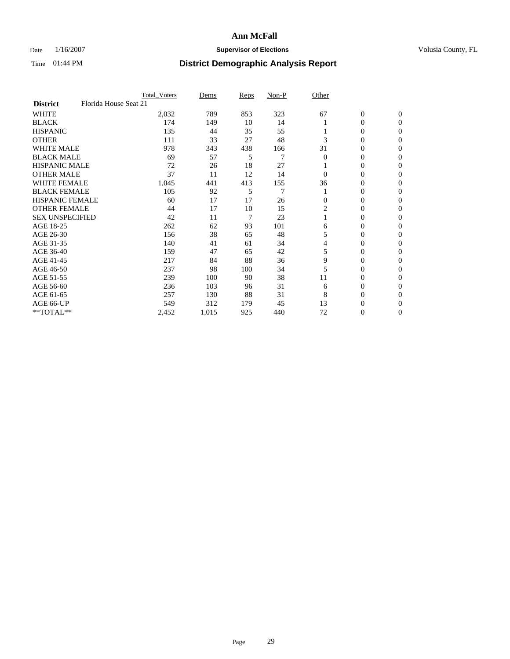### Date  $1/16/2007$  **Supervisor of Elections Supervisor of Elections** Volusia County, FL

|                        | <b>Total_Voters</b>   | Dems  | <b>Reps</b> | Non-P | Other          |                  |                |  |
|------------------------|-----------------------|-------|-------------|-------|----------------|------------------|----------------|--|
| <b>District</b>        | Florida House Seat 21 |       |             |       |                |                  |                |  |
| <b>WHITE</b>           | 2,032                 | 789   | 853         | 323   | 67             | $\boldsymbol{0}$ | $\mathbf{0}$   |  |
| <b>BLACK</b>           | 174                   | 149   | 10          | 14    |                | 0                | $\mathbf{0}$   |  |
| <b>HISPANIC</b>        | 135                   | 44    | 35          | 55    |                | 0                | $\overline{0}$ |  |
| <b>OTHER</b>           | 111                   | 33    | 27          | 48    | 3              | $\overline{0}$   | $\Omega$       |  |
| <b>WHITE MALE</b>      | 978                   | 343   | 438         | 166   | 31             | 0                | $\Omega$       |  |
| <b>BLACK MALE</b>      | 69                    | 57    | 5           | 7     | $\Omega$       | 0                | $\Omega$       |  |
| <b>HISPANIC MALE</b>   | 72                    | 26    | 18          | 27    |                | 0                | 0              |  |
| <b>OTHER MALE</b>      | 37                    | 11    | 12          | 14    | 0              | 0                | 0              |  |
| <b>WHITE FEMALE</b>    | 1,045                 | 441   | 413         | 155   | 36             | 0                | 0              |  |
| <b>BLACK FEMALE</b>    | 105                   | 92    | 5           | 7     |                | 0                | $\mathbf{0}$   |  |
| <b>HISPANIC FEMALE</b> | 60                    | 17    | 17          | 26    | $\Omega$       | 0                | $\Omega$       |  |
| <b>OTHER FEMALE</b>    | 44                    | 17    | 10          | 15    | $\overline{2}$ | 0                | $\Omega$       |  |
| <b>SEX UNSPECIFIED</b> | 42                    | 11    | 7           | 23    |                | 0                | $\Omega$       |  |
| AGE 18-25              | 262                   | 62    | 93          | 101   | 6              | 0                | 0              |  |
| AGE 26-30              | 156                   | 38    | 65          | 48    | 5              | 0                | $\Omega$       |  |
| AGE 31-35              | 140                   | 41    | 61          | 34    | 4              | 0                | 0              |  |
| AGE 36-40              | 159                   | 47    | 65          | 42    | 5              | $\overline{0}$   | 0              |  |
| AGE 41-45              | 217                   | 84    | 88          | 36    | 9              | 0                | 0              |  |
| AGE 46-50              | 237                   | 98    | 100         | 34    | 5              | 0                | $\mathbf{0}$   |  |
| AGE 51-55              | 239                   | 100   | 90          | 38    | 11             | 0                | $\Omega$       |  |
| AGE 56-60              | 236                   | 103   | 96          | 31    | 6              | 0                | $\Omega$       |  |
| AGE 61-65              | 257                   | 130   | 88          | 31    | 8              | 0                | 0              |  |
| AGE 66-UP              | 549                   | 312   | 179         | 45    | 13             | 0                | $_{0}$         |  |
| **TOTAL**              | 2,452                 | 1,015 | 925         | 440   | 72             | $\overline{0}$   | $\overline{0}$ |  |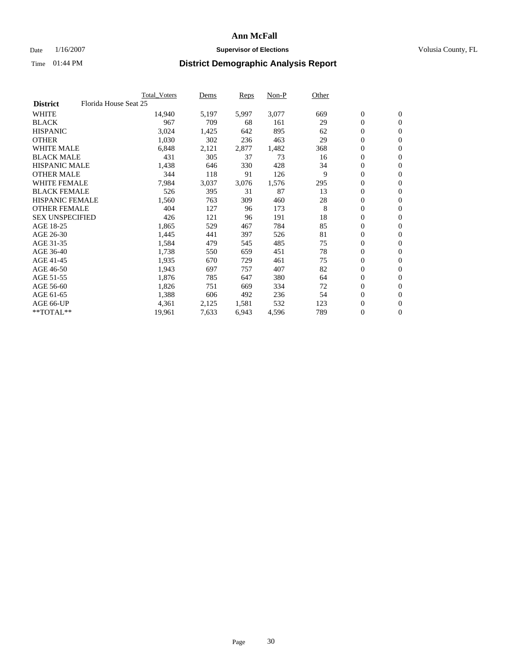#### Date  $1/16/2007$  **Supervisor of Elections Supervisor of Elections** Volusia County, FL

|                        |                       | Total_Voters | Dems  | <b>Reps</b> | Non-P | Other  |                  |                  |  |
|------------------------|-----------------------|--------------|-------|-------------|-------|--------|------------------|------------------|--|
| <b>District</b>        | Florida House Seat 25 |              |       |             |       |        |                  |                  |  |
| <b>WHITE</b>           |                       | 14,940       | 5,197 | 5,997       | 3,077 | 669    | $\overline{0}$   | $\mathbf{0}$     |  |
| <b>BLACK</b>           |                       | 967          | 709   | 68          | 161   | 29     | $\overline{0}$   | $\mathbf{0}$     |  |
| <b>HISPANIC</b>        |                       | 3,024        | 1,425 | 642         | 895   | 62     | $\boldsymbol{0}$ | $\mathbf{0}$     |  |
| <b>OTHER</b>           |                       | 1,030        | 302   | 236         | 463   | 29     | $\boldsymbol{0}$ | $\mathbf{0}$     |  |
| <b>WHITE MALE</b>      |                       | 6,848        | 2,121 | 2,877       | 1,482 | 368    | 0                | $\mathbf{0}$     |  |
| <b>BLACK MALE</b>      |                       | 431          | 305   | 37          | 73    | 16     | $\boldsymbol{0}$ | $\boldsymbol{0}$ |  |
| <b>HISPANIC MALE</b>   |                       | 1,438        | 646   | 330         | 428   | 34     | $\overline{0}$   | $\mathbf{0}$     |  |
| <b>OTHER MALE</b>      |                       | 344          | 118   | 91          | 126   | 9      | $\overline{0}$   | $\mathbf{0}$     |  |
| <b>WHITE FEMALE</b>    |                       | 7,984        | 3,037 | 3,076       | 1,576 | 295    | $\overline{0}$   | $\mathbf{0}$     |  |
| <b>BLACK FEMALE</b>    |                       | 526          | 395   | 31          | 87    | 13     | $\overline{0}$   | $\mathbf{0}$     |  |
| <b>HISPANIC FEMALE</b> |                       | 1,560        | 763   | 309         | 460   | $28\,$ | $\boldsymbol{0}$ | $\boldsymbol{0}$ |  |
| <b>OTHER FEMALE</b>    |                       | 404          | 127   | 96          | 173   | 8      | 0                | $\mathbf{0}$     |  |
| <b>SEX UNSPECIFIED</b> |                       | 426          | 121   | 96          | 191   | 18     | $\boldsymbol{0}$ | $\mathbf{0}$     |  |
| AGE 18-25              |                       | 1,865        | 529   | 467         | 784   | 85     | $\boldsymbol{0}$ | $\mathbf{0}$     |  |
| AGE 26-30              |                       | 1,445        | 441   | 397         | 526   | 81     | $\overline{0}$   | $\mathbf{0}$     |  |
| AGE 31-35              |                       | 1,584        | 479   | 545         | 485   | 75     | $\overline{0}$   | $\mathbf{0}$     |  |
| AGE 36-40              |                       | 1,738        | 550   | 659         | 451   | 78     | $\boldsymbol{0}$ | $\mathbf{0}$     |  |
| AGE 41-45              |                       | 1,935        | 670   | 729         | 461   | 75     | $\boldsymbol{0}$ | $\mathbf{0}$     |  |
| AGE 46-50              |                       | 1,943        | 697   | 757         | 407   | 82     | 0                | $\mathbf{0}$     |  |
| AGE 51-55              |                       | 1,876        | 785   | 647         | 380   | 64     | $\boldsymbol{0}$ | $\boldsymbol{0}$ |  |
| AGE 56-60              |                       | 1,826        | 751   | 669         | 334   | 72     | $\overline{0}$   | $\mathbf{0}$     |  |
| AGE 61-65              |                       | 1,388        | 606   | 492         | 236   | 54     | $\mathbf{0}$     | $\mathbf{0}$     |  |
| AGE 66-UP              |                       | 4,361        | 2,125 | 1,581       | 532   | 123    | $\boldsymbol{0}$ | $\boldsymbol{0}$ |  |
| **TOTAL**              |                       | 19,961       | 7,633 | 6,943       | 4,596 | 789    | 0                | $\overline{0}$   |  |
|                        |                       |              |       |             |       |        |                  |                  |  |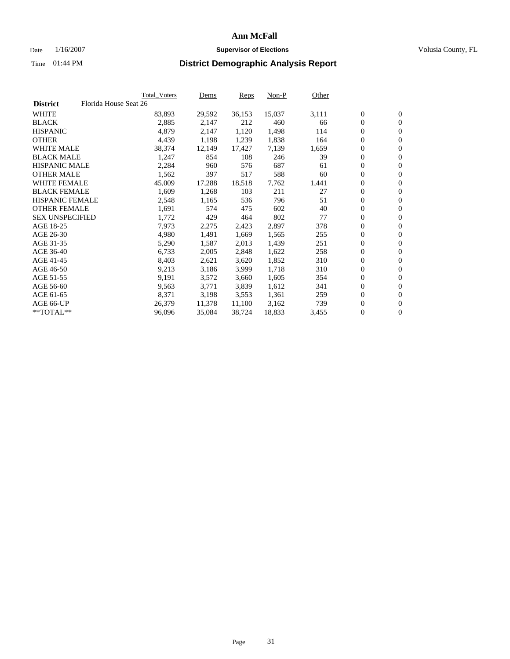#### Date  $1/16/2007$  **Supervisor of Elections Supervisor of Elections** Volusia County, FL

|                        | <b>Total_Voters</b>   | Dems   | <b>Reps</b> | Non-P  | Other |                  |                  |  |
|------------------------|-----------------------|--------|-------------|--------|-------|------------------|------------------|--|
| <b>District</b>        | Florida House Seat 26 |        |             |        |       |                  |                  |  |
| <b>WHITE</b>           | 83,893                | 29,592 | 36,153      | 15,037 | 3,111 | $\overline{0}$   | $\mathbf{0}$     |  |
| <b>BLACK</b>           | 2,885                 | 2,147  | 212         | 460    | 66    | $\overline{0}$   | $\mathbf{0}$     |  |
| <b>HISPANIC</b>        | 4,879                 | 2,147  | 1,120       | 1,498  | 114   | $\boldsymbol{0}$ | $\mathbf{0}$     |  |
| <b>OTHER</b>           | 4,439                 | 1,198  | 1,239       | 1,838  | 164   | 0                | $\mathbf{0}$     |  |
| <b>WHITE MALE</b>      | 38,374                | 12,149 | 17,427      | 7,139  | 1,659 | 0                | $\mathbf{0}$     |  |
| <b>BLACK MALE</b>      | 1,247                 | 854    | 108         | 246    | 39    | $\boldsymbol{0}$ | $\boldsymbol{0}$ |  |
| <b>HISPANIC MALE</b>   | 2,284                 | 960    | 576         | 687    | 61    | $\overline{0}$   | $\mathbf{0}$     |  |
| <b>OTHER MALE</b>      | 1,562                 | 397    | 517         | 588    | 60    | $\overline{0}$   | $\mathbf{0}$     |  |
| <b>WHITE FEMALE</b>    | 45,009                | 17,288 | 18,518      | 7,762  | 1,441 | $\overline{0}$   | $\mathbf{0}$     |  |
| <b>BLACK FEMALE</b>    | 1,609                 | 1,268  | 103         | 211    | 27    | $\overline{0}$   | $\mathbf{0}$     |  |
| <b>HISPANIC FEMALE</b> | 2,548                 | 1,165  | 536         | 796    | 51    | $\boldsymbol{0}$ | $\boldsymbol{0}$ |  |
| <b>OTHER FEMALE</b>    | 1,691                 | 574    | 475         | 602    | 40    | 0                | $\mathbf{0}$     |  |
| <b>SEX UNSPECIFIED</b> | 1,772                 | 429    | 464         | 802    | 77    | $\boldsymbol{0}$ | $\mathbf{0}$     |  |
| AGE 18-25              | 7,973                 | 2,275  | 2,423       | 2,897  | 378   | $\boldsymbol{0}$ | $\mathbf{0}$     |  |
| AGE 26-30              | 4,980                 | 1,491  | 1,669       | 1,565  | 255   | $\overline{0}$   | $\mathbf{0}$     |  |
| AGE 31-35              | 5,290                 | 1,587  | 2,013       | 1,439  | 251   | $\overline{0}$   | $\mathbf{0}$     |  |
| AGE 36-40              | 6,733                 | 2,005  | 2,848       | 1,622  | 258   | $\boldsymbol{0}$ | $\boldsymbol{0}$ |  |
| AGE 41-45              | 8,403                 | 2,621  | 3,620       | 1,852  | 310   | $\boldsymbol{0}$ | $\mathbf{0}$     |  |
| AGE 46-50              | 9,213                 | 3,186  | 3,999       | 1,718  | 310   | 0                | $\mathbf{0}$     |  |
| AGE 51-55              | 9,191                 | 3,572  | 3,660       | 1,605  | 354   | $\boldsymbol{0}$ | $\boldsymbol{0}$ |  |
| AGE 56-60              | 9,563                 | 3,771  | 3,839       | 1,612  | 341   | $\overline{0}$   | $\mathbf{0}$     |  |
| AGE 61-65              | 8,371                 | 3,198  | 3,553       | 1,361  | 259   | $\mathbf{0}$     | $\mathbf{0}$     |  |
| AGE 66-UP              | 26,379                | 11,378 | 11,100      | 3,162  | 739   | $\boldsymbol{0}$ | $\mathbf{0}$     |  |
| **TOTAL**              | 96,096                | 35,084 | 38,724      | 18,833 | 3,455 | 0                | $\overline{0}$   |  |
|                        |                       |        |             |        |       |                  |                  |  |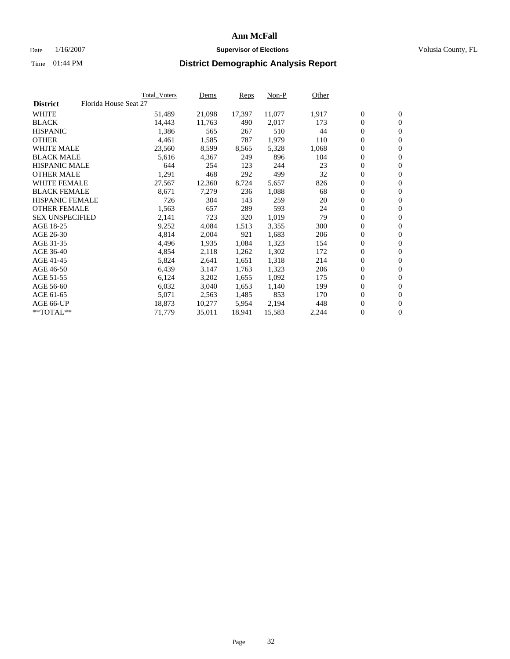#### Date  $1/16/2007$  **Supervisor of Elections Supervisor of Elections** Volusia County, FL

|                        |                       | Total_Voters | Dems   | <b>Reps</b> | Non-P  | Other |                  |                  |  |
|------------------------|-----------------------|--------------|--------|-------------|--------|-------|------------------|------------------|--|
| <b>District</b>        | Florida House Seat 27 |              |        |             |        |       |                  |                  |  |
| <b>WHITE</b>           |                       | 51,489       | 21,098 | 17,397      | 11,077 | 1,917 | $\overline{0}$   | $\mathbf{0}$     |  |
| <b>BLACK</b>           |                       | 14,443       | 11,763 | 490         | 2,017  | 173   | $\overline{0}$   | $\mathbf{0}$     |  |
| <b>HISPANIC</b>        |                       | 1,386        | 565    | 267         | 510    | 44    | $\boldsymbol{0}$ | $\mathbf{0}$     |  |
| <b>OTHER</b>           |                       | 4,461        | 1,585  | 787         | 1,979  | 110   | $\boldsymbol{0}$ | $\mathbf{0}$     |  |
| <b>WHITE MALE</b>      |                       | 23,560       | 8,599  | 8,565       | 5,328  | 1,068 | 0                | $\mathbf{0}$     |  |
| <b>BLACK MALE</b>      |                       | 5,616        | 4,367  | 249         | 896    | 104   | $\boldsymbol{0}$ | $\mathbf{0}$     |  |
| <b>HISPANIC MALE</b>   |                       | 644          | 254    | 123         | 244    | 23    | $\overline{0}$   | $\mathbf{0}$     |  |
| <b>OTHER MALE</b>      |                       | 1,291        | 468    | 292         | 499    | 32    | $\overline{0}$   | $\mathbf{0}$     |  |
| <b>WHITE FEMALE</b>    |                       | 27,567       | 12,360 | 8,724       | 5,657  | 826   | $\overline{0}$   | $\mathbf{0}$     |  |
| <b>BLACK FEMALE</b>    |                       | 8,671        | 7,279  | 236         | 1,088  | 68    | $\boldsymbol{0}$ | $\mathbf{0}$     |  |
| HISPANIC FEMALE        |                       | 726          | 304    | 143         | 259    | 20    | $\boldsymbol{0}$ | $\mathbf{0}$     |  |
| <b>OTHER FEMALE</b>    |                       | 1,563        | 657    | 289         | 593    | 24    | 0                | $\mathbf{0}$     |  |
| <b>SEX UNSPECIFIED</b> |                       | 2,141        | 723    | 320         | 1,019  | 79    | $\boldsymbol{0}$ | $\mathbf{0}$     |  |
| AGE 18-25              |                       | 9,252        | 4,084  | 1,513       | 3,355  | 300   | $\boldsymbol{0}$ | $\mathbf{0}$     |  |
| AGE 26-30              |                       | 4,814        | 2,004  | 921         | 1,683  | 206   | $\overline{0}$   | $\mathbf{0}$     |  |
| AGE 31-35              |                       | 4,496        | 1,935  | 1,084       | 1,323  | 154   | $\overline{0}$   | $\mathbf{0}$     |  |
| AGE 36-40              |                       | 4,854        | 2,118  | 1,262       | 1,302  | 172   | $\boldsymbol{0}$ | $\boldsymbol{0}$ |  |
| AGE 41-45              |                       | 5,824        | 2,641  | 1,651       | 1,318  | 214   | $\boldsymbol{0}$ | $\mathbf{0}$     |  |
| AGE 46-50              |                       | 6,439        | 3,147  | 1,763       | 1,323  | 206   | 0                | $\mathbf{0}$     |  |
| AGE 51-55              |                       | 6,124        | 3,202  | 1,655       | 1,092  | 175   | $\boldsymbol{0}$ | $\boldsymbol{0}$ |  |
| AGE 56-60              |                       | 6,032        | 3,040  | 1,653       | 1,140  | 199   | $\overline{0}$   | $\mathbf{0}$     |  |
| AGE 61-65              |                       | 5,071        | 2,563  | 1,485       | 853    | 170   | $\mathbf{0}$     | $\mathbf{0}$     |  |
| AGE 66-UP              |                       | 18,873       | 10,277 | 5,954       | 2,194  | 448   | $\boldsymbol{0}$ | $\boldsymbol{0}$ |  |
| **TOTAL**              |                       | 71,779       | 35,011 | 18,941      | 15,583 | 2,244 | 0                | $\overline{0}$   |  |
|                        |                       |              |        |             |        |       |                  |                  |  |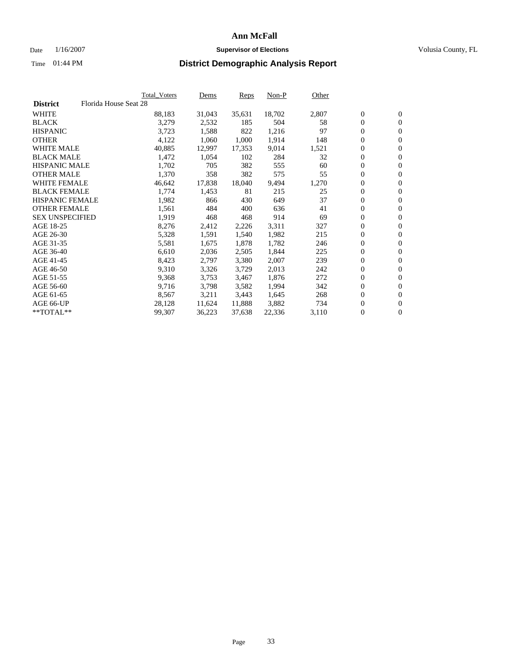### Date  $1/16/2007$  **Supervisor of Elections Supervisor of Elections** Volusia County, FL

|                        | Total_Voters          | Dems   | Reps   | Non-P  | Other |                  |                  |  |
|------------------------|-----------------------|--------|--------|--------|-------|------------------|------------------|--|
| <b>District</b>        | Florida House Seat 28 |        |        |        |       |                  |                  |  |
| <b>WHITE</b>           | 88,183                | 31,043 | 35,631 | 18,702 | 2,807 | $\boldsymbol{0}$ | $\mathbf{0}$     |  |
| <b>BLACK</b>           | 3,279                 | 2,532  | 185    | 504    | 58    | $\overline{0}$   | $\mathbf{0}$     |  |
| <b>HISPANIC</b>        | 3,723                 | 1,588  | 822    | 1,216  | 97    | $\overline{0}$   | $\mathbf{0}$     |  |
| <b>OTHER</b>           | 4,122                 | 1,060  | 1,000  | 1,914  | 148   | 0                | $\overline{0}$   |  |
| <b>WHITE MALE</b>      | 40,885                | 12,997 | 17,353 | 9,014  | 1,521 | $\overline{0}$   | $\mathbf{0}$     |  |
| <b>BLACK MALE</b>      | 1,472                 | 1,054  | 102    | 284    | 32    | $\boldsymbol{0}$ | $\boldsymbol{0}$ |  |
| <b>HISPANIC MALE</b>   | 1,702                 | 705    | 382    | 555    | 60    | 0                | $\mathbf{0}$     |  |
| <b>OTHER MALE</b>      | 1,370                 | 358    | 382    | 575    | 55    | 0                | $\boldsymbol{0}$ |  |
| <b>WHITE FEMALE</b>    | 46,642                | 17,838 | 18,040 | 9,494  | 1,270 | 0                | $\mathbf{0}$     |  |
| <b>BLACK FEMALE</b>    | 1,774                 | 1,453  | 81     | 215    | 25    | $\overline{0}$   | $\mathbf{0}$     |  |
| <b>HISPANIC FEMALE</b> | 1,982                 | 866    | 430    | 649    | 37    | 0                | $\mathbf{0}$     |  |
| <b>OTHER FEMALE</b>    | 1,561                 | 484    | 400    | 636    | 41    | $\overline{0}$   | $\mathbf{0}$     |  |
| <b>SEX UNSPECIFIED</b> | 1,919                 | 468    | 468    | 914    | 69    | $\boldsymbol{0}$ | $\boldsymbol{0}$ |  |
| AGE 18-25              | 8,276                 | 2,412  | 2,226  | 3,311  | 327   | 0                | $\mathbf{0}$     |  |
| AGE 26-30              | 5,328                 | 1,591  | 1,540  | 1,982  | 215   | $\boldsymbol{0}$ | $\boldsymbol{0}$ |  |
| AGE 31-35              | 5,581                 | 1,675  | 1,878  | 1,782  | 246   | 0                | $\mathbf{0}$     |  |
| AGE 36-40              | 6,610                 | 2,036  | 2,505  | 1,844  | 225   | $\boldsymbol{0}$ | $\mathbf{0}$     |  |
| AGE 41-45              | 8,423                 | 2,797  | 3,380  | 2,007  | 239   | 0                | $\mathbf{0}$     |  |
| AGE 46-50              | 9,310                 | 3,326  | 3,729  | 2,013  | 242   | $\overline{0}$   | $\mathbf{0}$     |  |
| AGE 51-55              | 9,368                 | 3,753  | 3,467  | 1,876  | 272   | $\overline{0}$   | $\mathbf{0}$     |  |
| AGE 56-60              | 9,716                 | 3,798  | 3,582  | 1,994  | 342   | $\overline{0}$   | $\mathbf{0}$     |  |
| AGE 61-65              | 8,567                 | 3,211  | 3,443  | 1,645  | 268   | 0                | $\boldsymbol{0}$ |  |
| AGE 66-UP              | 28,128                | 11,624 | 11,888 | 3,882  | 734   | 0                | $\bf{0}$         |  |
| $*$ TOTAL $**$         | 99,307                | 36,223 | 37,638 | 22,336 | 3,110 | 0                | $\boldsymbol{0}$ |  |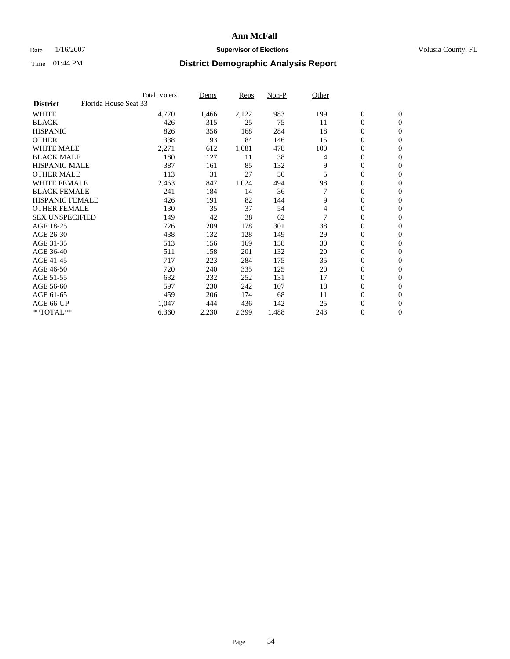### Date  $1/16/2007$  **Supervisor of Elections Supervisor of Elections** Volusia County, FL

|                                          | <b>Total Voters</b> | Dems  | Reps  | Non-P | Other |                  |                  |  |
|------------------------------------------|---------------------|-------|-------|-------|-------|------------------|------------------|--|
| Florida House Seat 33<br><b>District</b> |                     |       |       |       |       |                  |                  |  |
| <b>WHITE</b>                             | 4,770               | 1,466 | 2,122 | 983   | 199   | $\mathbf{0}$     | $\mathbf{0}$     |  |
| <b>BLACK</b>                             | 426                 | 315   | 25    | 75    | 11    | $\mathbf{0}$     | $\mathbf{0}$     |  |
| <b>HISPANIC</b>                          | 826                 | 356   | 168   | 284   | 18    | 0                | $\overline{0}$   |  |
| <b>OTHER</b>                             | 338                 | 93    | 84    | 146   | 15    | 0                | $\mathbf{0}$     |  |
| <b>WHITE MALE</b>                        | 2,271               | 612   | 1,081 | 478   | 100   | 0                | $\mathbf{0}$     |  |
| <b>BLACK MALE</b>                        | 180                 | 127   | 11    | 38    | 4     | 0                | $\boldsymbol{0}$ |  |
| <b>HISPANIC MALE</b>                     | 387                 | 161   | 85    | 132   | 9     | 0                | $\mathbf{0}$     |  |
| <b>OTHER MALE</b>                        | 113                 | 31    | 27    | 50    | 5     | $\mathbf{0}$     | $\mathbf{0}$     |  |
| <b>WHITE FEMALE</b>                      | 2,463               | 847   | 1,024 | 494   | 98    | 0                | $\mathbf{0}$     |  |
| <b>BLACK FEMALE</b>                      | 241                 | 184   | 14    | 36    | 7     | $\mathbf{0}$     | $\mathbf{0}$     |  |
| <b>HISPANIC FEMALE</b>                   | 426                 | 191   | 82    | 144   | 9     | 0                | $\boldsymbol{0}$ |  |
| <b>OTHER FEMALE</b>                      | 130                 | 35    | 37    | 54    | 4     | 0                | $\mathbf{0}$     |  |
| <b>SEX UNSPECIFIED</b>                   | 149                 | 42    | 38    | 62    |       | 0                | $\mathbf{0}$     |  |
| AGE 18-25                                | 726                 | 209   | 178   | 301   | 38    | 0                | $\mathbf{0}$     |  |
| AGE 26-30                                | 438                 | 132   | 128   | 149   | 29    | $\mathbf{0}$     | $\mathbf{0}$     |  |
| AGE 31-35                                | 513                 | 156   | 169   | 158   | 30    | 0                | $\mathbf{0}$     |  |
| AGE 36-40                                | 511                 | 158   | 201   | 132   | 20    | 0                | $\mathbf{0}$     |  |
| AGE 41-45                                | 717                 | 223   | 284   | 175   | 35    | 0                | $\mathbf{0}$     |  |
| AGE 46-50                                | 720                 | 240   | 335   | 125   | 20    | 0                | $\mathbf{0}$     |  |
| AGE 51-55                                | 632                 | 232   | 252   | 131   | 17    | $\boldsymbol{0}$ | $\mathbf{0}$     |  |
| AGE 56-60                                | 597                 | 230   | 242   | 107   | 18    | $\mathbf{0}$     | $\mathbf{0}$     |  |
| AGE 61-65                                | 459                 | 206   | 174   | 68    | 11    | $\mathbf{0}$     | $\mathbf{0}$     |  |
| AGE 66-UP                                | 1,047               | 444   | 436   | 142   | 25    | $\boldsymbol{0}$ | $\mathbf{0}$     |  |
| $*$ TOTAL $**$                           | 6,360               | 2,230 | 2,399 | 1,488 | 243   | 0                | $\boldsymbol{0}$ |  |
|                                          |                     |       |       |       |       |                  |                  |  |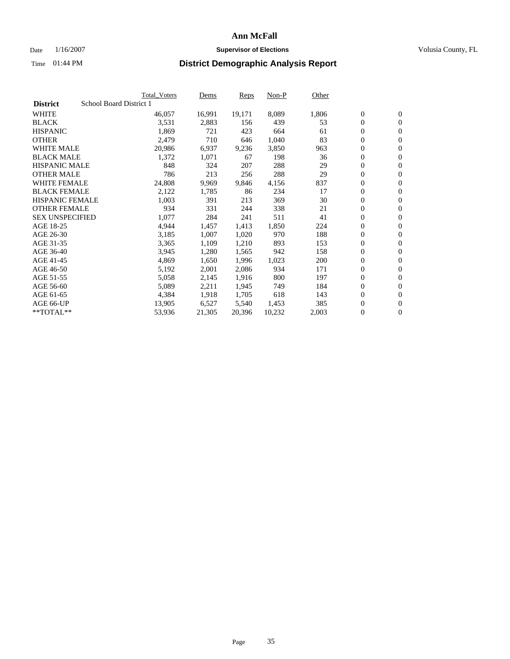#### Date  $1/16/2007$  **Supervisor of Elections Supervisor of Elections** Volusia County, FL

|                        |                         | <b>Total_Voters</b> | Dems   | <b>Reps</b> | Non-P  | Other |                  |                  |  |
|------------------------|-------------------------|---------------------|--------|-------------|--------|-------|------------------|------------------|--|
| <b>District</b>        | School Board District 1 |                     |        |             |        |       |                  |                  |  |
| <b>WHITE</b>           |                         | 46,057              | 16,991 | 19,171      | 8,089  | 1,806 | $\overline{0}$   | $\mathbf{0}$     |  |
| <b>BLACK</b>           |                         | 3,531               | 2,883  | 156         | 439    | 53    | $\overline{0}$   | $\mathbf{0}$     |  |
| <b>HISPANIC</b>        |                         | 1,869               | 721    | 423         | 664    | 61    | $\boldsymbol{0}$ | $\mathbf{0}$     |  |
| <b>OTHER</b>           |                         | 2,479               | 710    | 646         | 1,040  | 83    | 0                | $\mathbf{0}$     |  |
| <b>WHITE MALE</b>      |                         | 20,986              | 6,937  | 9,236       | 3,850  | 963   | 0                | $\mathbf{0}$     |  |
| <b>BLACK MALE</b>      |                         | 1,372               | 1,071  | 67          | 198    | 36    | $\boldsymbol{0}$ | $\mathbf{0}$     |  |
| <b>HISPANIC MALE</b>   |                         | 848                 | 324    | 207         | 288    | 29    | $\overline{0}$   | $\mathbf{0}$     |  |
| <b>OTHER MALE</b>      |                         | 786                 | 213    | 256         | 288    | 29    | $\overline{0}$   | $\mathbf{0}$     |  |
| <b>WHITE FEMALE</b>    |                         | 24,808              | 9,969  | 9,846       | 4,156  | 837   | $\mathbf{0}$     | $\mathbf{0}$     |  |
| <b>BLACK FEMALE</b>    |                         | 2,122               | 1,785  | 86          | 234    | 17    | $\overline{0}$   | $\mathbf{0}$     |  |
| <b>HISPANIC FEMALE</b> |                         | 1,003               | 391    | 213         | 369    | 30    | $\boldsymbol{0}$ | $\boldsymbol{0}$ |  |
| <b>OTHER FEMALE</b>    |                         | 934                 | 331    | 244         | 338    | 21    | 0                | $\mathbf{0}$     |  |
| <b>SEX UNSPECIFIED</b> |                         | 1,077               | 284    | 241         | 511    | 41    | $\boldsymbol{0}$ | $\mathbf{0}$     |  |
| AGE 18-25              |                         | 4,944               | 1,457  | 1,413       | 1,850  | 224   | $\boldsymbol{0}$ | $\mathbf{0}$     |  |
| AGE 26-30              |                         | 3,185               | 1,007  | 1,020       | 970    | 188   | $\overline{0}$   | $\mathbf{0}$     |  |
| AGE 31-35              |                         | 3,365               | 1,109  | 1,210       | 893    | 153   | $\overline{0}$   | $\mathbf{0}$     |  |
| AGE 36-40              |                         | 3,945               | 1,280  | 1,565       | 942    | 158   | $\boldsymbol{0}$ | $\mathbf{0}$     |  |
| AGE 41-45              |                         | 4,869               | 1,650  | 1,996       | 1,023  | 200   | $\boldsymbol{0}$ | $\mathbf{0}$     |  |
| AGE 46-50              |                         | 5,192               | 2,001  | 2,086       | 934    | 171   | 0                | $\mathbf{0}$     |  |
| AGE 51-55              |                         | 5,058               | 2,145  | 1,916       | 800    | 197   | $\boldsymbol{0}$ | $\boldsymbol{0}$ |  |
| AGE 56-60              |                         | 5,089               | 2,211  | 1,945       | 749    | 184   | $\overline{0}$   | $\mathbf{0}$     |  |
| AGE 61-65              |                         | 4,384               | 1,918  | 1,705       | 618    | 143   | $\mathbf{0}$     | $\mathbf{0}$     |  |
| AGE 66-UP              |                         | 13,905              | 6,527  | 5,540       | 1,453  | 385   | $\boldsymbol{0}$ | $\boldsymbol{0}$ |  |
| **TOTAL**              |                         | 53,936              | 21,305 | 20,396      | 10,232 | 2,003 | 0                | $\overline{0}$   |  |
|                        |                         |                     |        |             |        |       |                  |                  |  |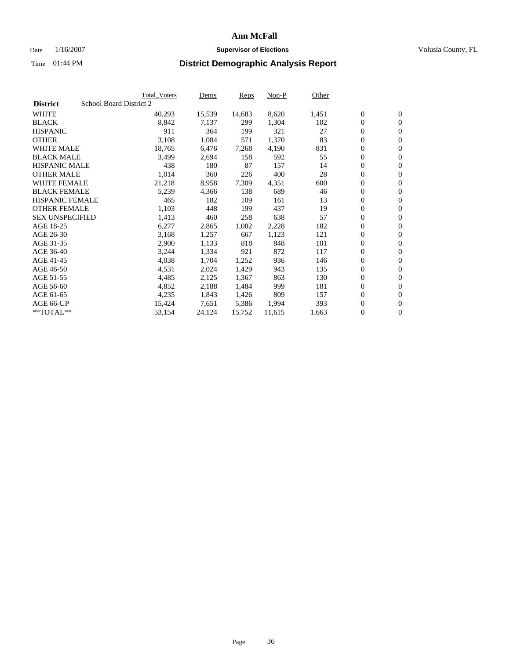### Date  $1/16/2007$  **Supervisor of Elections Supervisor of Elections** Volusia County, FL

|                        |                         | Total Voters | Dems   | <b>Reps</b> | Non-P  | Other |                  |                  |
|------------------------|-------------------------|--------------|--------|-------------|--------|-------|------------------|------------------|
| <b>District</b>        | School Board District 2 |              |        |             |        |       |                  |                  |
| <b>WHITE</b>           |                         | 40,293       | 15,539 | 14,683      | 8,620  | 1,451 | $\boldsymbol{0}$ | $\mathbf{0}$     |
| <b>BLACK</b>           |                         | 8,842        | 7,137  | 299         | 1,304  | 102   | $\overline{0}$   | $\mathbf{0}$     |
| <b>HISPANIC</b>        |                         | 911          | 364    | 199         | 321    | 27    | $\overline{0}$   | $\mathbf{0}$     |
| <b>OTHER</b>           |                         | 3,108        | 1,084  | 571         | 1,370  | 83    | $\overline{0}$   | $\overline{0}$   |
| <b>WHITE MALE</b>      |                         | 18,765       | 6,476  | 7,268       | 4,190  | 831   | $\overline{0}$   | $\mathbf{0}$     |
| <b>BLACK MALE</b>      |                         | 3,499        | 2,694  | 158         | 592    | 55    | $\boldsymbol{0}$ | $\boldsymbol{0}$ |
| <b>HISPANIC MALE</b>   |                         | 438          | 180    | 87          | 157    | 14    | 0                | $\mathbf{0}$     |
| <b>OTHER MALE</b>      |                         | 1,014        | 360    | 226         | 400    | 28    | 0                | $\boldsymbol{0}$ |
| <b>WHITE FEMALE</b>    |                         | 21,218       | 8,958  | 7,309       | 4,351  | 600   | 0                | $\mathbf{0}$     |
| <b>BLACK FEMALE</b>    |                         | 5,239        | 4,366  | 138         | 689    | 46    | $\overline{0}$   | $\mathbf{0}$     |
| <b>HISPANIC FEMALE</b> |                         | 465          | 182    | 109         | 161    | 13    | 0                | $\mathbf{0}$     |
| <b>OTHER FEMALE</b>    |                         | 1,103        | 448    | 199         | 437    | 19    | $\mathbf{0}$     | $\mathbf{0}$     |
| <b>SEX UNSPECIFIED</b> |                         | 1,413        | 460    | 258         | 638    | 57    | $\boldsymbol{0}$ | $\boldsymbol{0}$ |
| AGE 18-25              |                         | 6,277        | 2,865  | 1,002       | 2,228  | 182   | 0                | $\mathbf{0}$     |
| AGE 26-30              |                         | 3,168        | 1,257  | 667         | 1,123  | 121   | 0                | $\mathbf{0}$     |
| AGE 31-35              |                         | 2,900        | 1,133  | 818         | 848    | 101   | 0                | $\mathbf{0}$     |
| AGE 36-40              |                         | 3,244        | 1,334  | 921         | 872    | 117   | $\boldsymbol{0}$ | $\mathbf{0}$     |
| AGE 41-45              |                         | 4,038        | 1,704  | 1,252       | 936    | 146   | 0                | $\mathbf{0}$     |
| AGE 46-50              |                         | 4,531        | 2,024  | 1,429       | 943    | 135   | $\overline{0}$   | $\mathbf{0}$     |
| AGE 51-55              |                         | 4,485        | 2,125  | 1,367       | 863    | 130   | 0                | $\mathbf{0}$     |
| AGE 56-60              |                         | 4,852        | 2,188  | 1,484       | 999    | 181   | $\overline{0}$   | $\mathbf{0}$     |
| AGE 61-65              |                         | 4,235        | 1,843  | 1,426       | 809    | 157   | 0                | $\boldsymbol{0}$ |
| AGE 66-UP              |                         | 15,424       | 7,651  | 5,386       | 1,994  | 393   | 0                | $\bf{0}$         |
| $*$ TOTAL $**$         |                         | 53,154       | 24,124 | 15,752      | 11,615 | 1,663 | 0                | $\boldsymbol{0}$ |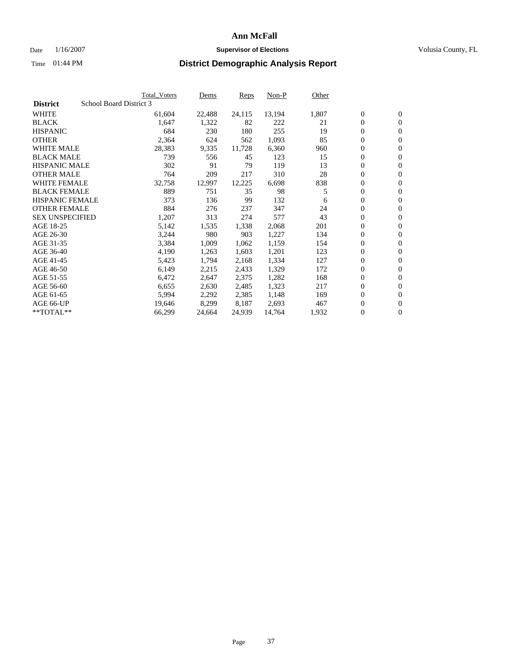### Date  $1/16/2007$  **Supervisor of Elections Supervisor of Elections** Volusia County, FL

|                        | <b>Total_Voters</b>     | Dems       | Reps   | Non-P  | Other |                  |                  |  |
|------------------------|-------------------------|------------|--------|--------|-------|------------------|------------------|--|
| <b>District</b>        | School Board District 3 |            |        |        |       |                  |                  |  |
| <b>WHITE</b>           | 61,604                  | 22,488     | 24,115 | 13,194 | 1,807 | $\boldsymbol{0}$ | $\mathbf{0}$     |  |
| <b>BLACK</b>           | 1,647                   | 1,322      | 82     | 222    | 21    | $\overline{0}$   | $\mathbf{0}$     |  |
| <b>HISPANIC</b>        |                         | 684<br>230 | 180    | 255    | 19    | $\overline{0}$   | $\mathbf{0}$     |  |
| <b>OTHER</b>           | 2,364                   | 624        | 562    | 1,093  | 85    | 0                | $\overline{0}$   |  |
| <b>WHITE MALE</b>      | 28,383                  | 9,335      | 11,728 | 6,360  | 960   | $\overline{0}$   | $\mathbf{0}$     |  |
| <b>BLACK MALE</b>      |                         | 739<br>556 | 45     | 123    | 15    | $\boldsymbol{0}$ | $\mathbf{0}$     |  |
| <b>HISPANIC MALE</b>   |                         | 302<br>91  | 79     | 119    | 13    | 0                | $\mathbf{0}$     |  |
| <b>OTHER MALE</b>      |                         | 764<br>209 | 217    | 310    | 28    | 0                | $\mathbf{0}$     |  |
| <b>WHITE FEMALE</b>    | 32,758                  | 12,997     | 12,225 | 6,698  | 838   | 0                | $\mathbf{0}$     |  |
| <b>BLACK FEMALE</b>    |                         | 889<br>751 | 35     | 98     | 5     | $\overline{0}$   | $\mathbf{0}$     |  |
| <b>HISPANIC FEMALE</b> |                         | 373<br>136 | 99     | 132    | 6     | 0                | $\mathbf{0}$     |  |
| <b>OTHER FEMALE</b>    |                         | 884<br>276 | 237    | 347    | 24    | 0                | $\overline{0}$   |  |
| <b>SEX UNSPECIFIED</b> | 1,207                   | 313        | 274    | 577    | 43    | $\boldsymbol{0}$ | $\boldsymbol{0}$ |  |
| AGE 18-25              | 5,142                   | 1,535      | 1,338  | 2,068  | 201   | 0                | $\mathbf{0}$     |  |
| AGE 26-30              | 3,244                   | 980        | 903    | 1,227  | 134   | 0                | $\mathbf{0}$     |  |
| AGE 31-35              | 3,384                   | 1,009      | 1,062  | 1,159  | 154   | 0                | $\mathbf{0}$     |  |
| AGE 36-40              | 4,190                   | 1,263      | 1,603  | 1,201  | 123   | $\overline{0}$   | $\mathbf{0}$     |  |
| AGE 41-45              | 5,423                   | 1,794      | 2,168  | 1,334  | 127   | 0                | $\mathbf{0}$     |  |
| AGE 46-50              | 6,149                   | 2,215      | 2,433  | 1,329  | 172   | $\overline{0}$   | $\mathbf{0}$     |  |
| AGE 51-55              | 6,472                   | 2,647      | 2,375  | 1,282  | 168   | 0                | $\mathbf{0}$     |  |
| AGE 56-60              | 6,655                   | 2,630      | 2,485  | 1,323  | 217   | $\overline{0}$   | $\overline{0}$   |  |
| AGE 61-65              | 5,994                   | 2,292      | 2,385  | 1,148  | 169   | 0                | $\boldsymbol{0}$ |  |
| AGE 66-UP              | 19,646                  | 8,299      | 8,187  | 2,693  | 467   | 0                | $\bf{0}$         |  |
| $*$ TOTAL $**$         | 66,299                  | 24,664     | 24,939 | 14,764 | 1,932 | 0                | $\boldsymbol{0}$ |  |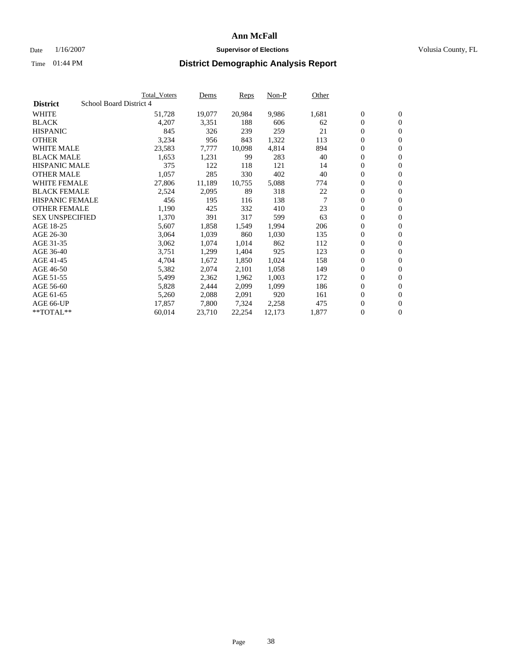#### Date  $1/16/2007$  **Supervisor of Elections Supervisor of Elections** Volusia County, FL

|                        | <b>Total_Voters</b>     | Dems   | <b>Reps</b> | Non-P  | Other |                  |                  |  |
|------------------------|-------------------------|--------|-------------|--------|-------|------------------|------------------|--|
| <b>District</b>        | School Board District 4 |        |             |        |       |                  |                  |  |
| <b>WHITE</b>           | 51,728                  | 19,077 | 20,984      | 9,986  | 1,681 | $\overline{0}$   | $\mathbf{0}$     |  |
| <b>BLACK</b>           | 4,207                   | 3,351  | 188         | 606    | 62    | $\overline{0}$   | $\mathbf{0}$     |  |
| <b>HISPANIC</b>        | 845                     | 326    | 239         | 259    | 21    | $\boldsymbol{0}$ | $\mathbf{0}$     |  |
| <b>OTHER</b>           | 3,234                   | 956    | 843         | 1,322  | 113   | 0                | $\mathbf{0}$     |  |
| <b>WHITE MALE</b>      | 23,583                  | 7,777  | 10,098      | 4,814  | 894   | 0                | $\mathbf{0}$     |  |
| <b>BLACK MALE</b>      | 1,653                   | 1,231  | 99          | 283    | 40    | $\boldsymbol{0}$ | $\boldsymbol{0}$ |  |
| <b>HISPANIC MALE</b>   | 375                     | 122    | 118         | 121    | 14    | $\overline{0}$   | $\mathbf{0}$     |  |
| <b>OTHER MALE</b>      | 1,057                   | 285    | 330         | 402    | 40    | $\overline{0}$   | $\mathbf{0}$     |  |
| <b>WHITE FEMALE</b>    | 27,806                  | 11,189 | 10,755      | 5,088  | 774   | $\overline{0}$   | $\mathbf{0}$     |  |
| <b>BLACK FEMALE</b>    | 2,524                   | 2,095  | 89          | 318    | 22    | $\boldsymbol{0}$ | $\mathbf{0}$     |  |
| <b>HISPANIC FEMALE</b> | 456                     | 195    | 116         | 138    | 7     | $\boldsymbol{0}$ | $\boldsymbol{0}$ |  |
| <b>OTHER FEMALE</b>    | 1,190                   | 425    | 332         | 410    | 23    | 0                | $\mathbf{0}$     |  |
| <b>SEX UNSPECIFIED</b> | 1,370                   | 391    | 317         | 599    | 63    | $\boldsymbol{0}$ | $\mathbf{0}$     |  |
| AGE 18-25              | 5,607                   | 1,858  | 1,549       | 1,994  | 206   | $\boldsymbol{0}$ | $\mathbf{0}$     |  |
| AGE 26-30              | 3,064                   | 1,039  | 860         | 1,030  | 135   | $\overline{0}$   | $\mathbf{0}$     |  |
| AGE 31-35              | 3,062                   | 1,074  | 1,014       | 862    | 112   | $\overline{0}$   | $\mathbf{0}$     |  |
| AGE 36-40              | 3,751                   | 1,299  | 1,404       | 925    | 123   | $\boldsymbol{0}$ | $\mathbf{0}$     |  |
| AGE 41-45              | 4,704                   | 1,672  | 1,850       | 1,024  | 158   | $\boldsymbol{0}$ | $\mathbf{0}$     |  |
| AGE 46-50              | 5,382                   | 2,074  | 2,101       | 1,058  | 149   | 0                | $\mathbf{0}$     |  |
| AGE 51-55              | 5,499                   | 2,362  | 1,962       | 1,003  | 172   | $\boldsymbol{0}$ | $\boldsymbol{0}$ |  |
| AGE 56-60              | 5,828                   | 2,444  | 2,099       | 1,099  | 186   | $\overline{0}$   | $\mathbf{0}$     |  |
| AGE 61-65              | 5,260                   | 2,088  | 2,091       | 920    | 161   | $\mathbf{0}$     | $\mathbf{0}$     |  |
| AGE 66-UP              | 17,857                  | 7,800  | 7,324       | 2,258  | 475   | $\boldsymbol{0}$ | $\boldsymbol{0}$ |  |
| **TOTAL**              | 60,014                  | 23,710 | 22,254      | 12,173 | 1,877 | 0                | $\overline{0}$   |  |
|                        |                         |        |             |        |       |                  |                  |  |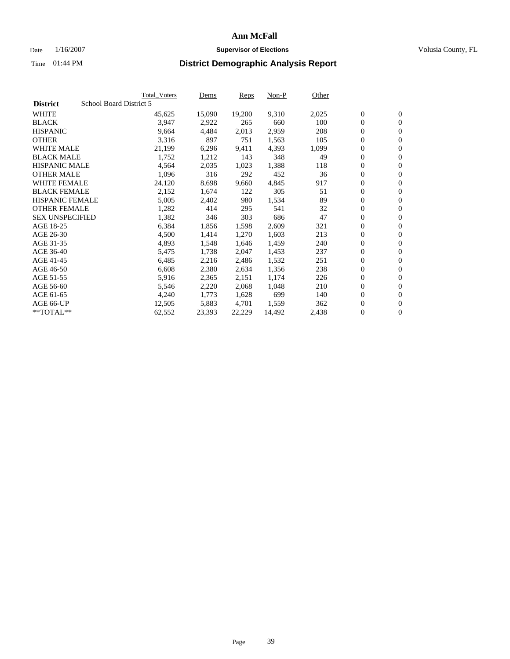#### Date  $1/16/2007$  **Supervisor of Elections Supervisor of Elections** Volusia County, FL

|                        |                         | <b>Total_Voters</b> | Dems   | <b>Reps</b> | Non-P  | Other |                  |                  |  |
|------------------------|-------------------------|---------------------|--------|-------------|--------|-------|------------------|------------------|--|
| <b>District</b>        | School Board District 5 |                     |        |             |        |       |                  |                  |  |
| <b>WHITE</b>           |                         | 45,625              | 15,090 | 19,200      | 9,310  | 2,025 | $\overline{0}$   | $\mathbf{0}$     |  |
| <b>BLACK</b>           |                         | 3,947               | 2,922  | 265         | 660    | 100   | $\overline{0}$   | $\mathbf{0}$     |  |
| <b>HISPANIC</b>        |                         | 9,664               | 4,484  | 2,013       | 2,959  | 208   | $\boldsymbol{0}$ | $\mathbf{0}$     |  |
| <b>OTHER</b>           |                         | 3,316               | 897    | 751         | 1,563  | 105   | $\boldsymbol{0}$ | $\mathbf{0}$     |  |
| <b>WHITE MALE</b>      |                         | 21,199              | 6,296  | 9,411       | 4,393  | 1,099 | 0                | $\mathbf{0}$     |  |
| <b>BLACK MALE</b>      |                         | 1,752               | 1,212  | 143         | 348    | 49    | $\boldsymbol{0}$ | $\boldsymbol{0}$ |  |
| <b>HISPANIC MALE</b>   |                         | 4,564               | 2,035  | 1,023       | 1,388  | 118   | $\overline{0}$   | $\mathbf{0}$     |  |
| <b>OTHER MALE</b>      |                         | 1,096               | 316    | 292         | 452    | 36    | $\overline{0}$   | $\mathbf{0}$     |  |
| <b>WHITE FEMALE</b>    |                         | 24,120              | 8,698  | 9,660       | 4,845  | 917   | $\mathbf{0}$     | $\mathbf{0}$     |  |
| <b>BLACK FEMALE</b>    |                         | 2,152               | 1,674  | 122         | 305    | 51    | $\boldsymbol{0}$ | $\mathbf{0}$     |  |
| <b>HISPANIC FEMALE</b> |                         | 5,005               | 2,402  | 980         | 1,534  | 89    | $\boldsymbol{0}$ | $\boldsymbol{0}$ |  |
| <b>OTHER FEMALE</b>    |                         | 1,282               | 414    | 295         | 541    | 32    | 0                | $\mathbf{0}$     |  |
| <b>SEX UNSPECIFIED</b> |                         | 1,382               | 346    | 303         | 686    | 47    | $\boldsymbol{0}$ | $\mathbf{0}$     |  |
| AGE 18-25              |                         | 6,384               | 1,856  | 1,598       | 2,609  | 321   | $\boldsymbol{0}$ | $\mathbf{0}$     |  |
| AGE 26-30              |                         | 4,500               | 1,414  | 1,270       | 1,603  | 213   | $\overline{0}$   | $\mathbf{0}$     |  |
| AGE 31-35              |                         | 4,893               | 1,548  | 1,646       | 1,459  | 240   | $\overline{0}$   | $\mathbf{0}$     |  |
| AGE 36-40              |                         | 5,475               | 1,738  | 2,047       | 1,453  | 237   | $\boldsymbol{0}$ | $\mathbf{0}$     |  |
| AGE 41-45              |                         | 6,485               | 2,216  | 2,486       | 1,532  | 251   | $\boldsymbol{0}$ | $\mathbf{0}$     |  |
| AGE 46-50              |                         | 6,608               | 2,380  | 2,634       | 1,356  | 238   | 0                | $\mathbf{0}$     |  |
| AGE 51-55              |                         | 5,916               | 2,365  | 2,151       | 1,174  | 226   | $\boldsymbol{0}$ | $\mathbf{0}$     |  |
| AGE 56-60              |                         | 5,546               | 2,220  | 2,068       | 1,048  | 210   | $\overline{0}$   | $\mathbf{0}$     |  |
| AGE 61-65              |                         | 4,240               | 1,773  | 1,628       | 699    | 140   | $\mathbf{0}$     | $\mathbf{0}$     |  |
| AGE 66-UP              |                         | 12,505              | 5,883  | 4,701       | 1,559  | 362   | $\boldsymbol{0}$ | $\mathbf{0}$     |  |
| **TOTAL**              |                         | 62,552              | 23,393 | 22,229      | 14,492 | 2,438 | 0                | $\overline{0}$   |  |
|                        |                         |                     |        |             |        |       |                  |                  |  |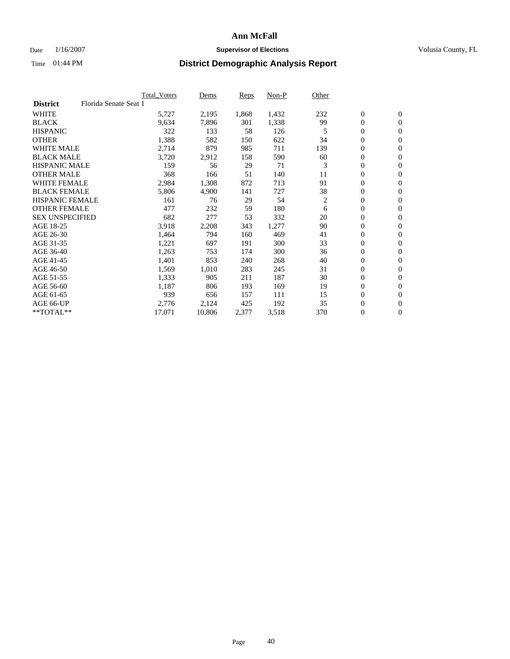### Date  $1/16/2007$  **Supervisor of Elections Supervisor of Elections** Volusia County, FL

|                        | <b>Total Voters</b>   | Dems   | Reps  | Non-P | Other |                  |                  |
|------------------------|-----------------------|--------|-------|-------|-------|------------------|------------------|
| <b>District</b>        | Florida Senate Seat 1 |        |       |       |       |                  |                  |
| <b>WHITE</b>           | 5,727                 | 2,195  | 1,868 | 1,432 | 232   | $\boldsymbol{0}$ | $\mathbf{0}$     |
| <b>BLACK</b>           | 9,634                 | 7,896  | 301   | 1,338 | 99    | $\mathbf{0}$     | $\mathbf{0}$     |
| <b>HISPANIC</b>        | 322                   | 133    | 58    | 126   | 5     | $\boldsymbol{0}$ | $\overline{0}$   |
| <b>OTHER</b>           | 1,388                 | 582    | 150   | 622   | 34    | 0                | $\mathbf{0}$     |
| <b>WHITE MALE</b>      | 2,714                 | 879    | 985   | 711   | 139   | 0                | $\mathbf{0}$     |
| <b>BLACK MALE</b>      | 3,720                 | 2,912  | 158   | 590   | 60    | 0                | $\mathbf{0}$     |
| <b>HISPANIC MALE</b>   | 159                   | 56     | 29    | 71    | 3     | 0                | $\mathbf{0}$     |
| <b>OTHER MALE</b>      | 368                   | 166    | 51    | 140   | 11    | $\mathbf{0}$     | $\mathbf{0}$     |
| <b>WHITE FEMALE</b>    | 2,984                 | 1,308  | 872   | 713   | 91    | 0                | $\mathbf{0}$     |
| <b>BLACK FEMALE</b>    | 5,806                 | 4,900  | 141   | 727   | 38    | $\boldsymbol{0}$ | $\mathbf{0}$     |
| <b>HISPANIC FEMALE</b> | 161                   | 76     | 29    | 54    | 2     | 0                | $\boldsymbol{0}$ |
| <b>OTHER FEMALE</b>    | 477                   | 232    | 59    | 180   | 6     | 0                | $\mathbf{0}$     |
| <b>SEX UNSPECIFIED</b> | 682                   | 277    | 53    | 332   | 20    | 0                | $\mathbf{0}$     |
| AGE 18-25              | 3,918                 | 2,208  | 343   | 1,277 | 90    | 0                | $\mathbf{0}$     |
| AGE 26-30              | 1,464                 | 794    | 160   | 469   | 41    | $\mathbf{0}$     | $\mathbf{0}$     |
| AGE 31-35              | 1,221                 | 697    | 191   | 300   | 33    | 0                | $\mathbf{0}$     |
| AGE 36-40              | 1,263                 | 753    | 174   | 300   | 36    | 0                | $\mathbf{0}$     |
| AGE 41-45              | 1,401                 | 853    | 240   | 268   | 40    | 0                | $\mathbf{0}$     |
| AGE 46-50              | 1,569                 | 1,010  | 283   | 245   | 31    | 0                | $\mathbf{0}$     |
| AGE 51-55              | 1,333                 | 905    | 211   | 187   | 30    | $\boldsymbol{0}$ | $\boldsymbol{0}$ |
| AGE 56-60              | 1,187                 | 806    | 193   | 169   | 19    | 0                | $\mathbf{0}$     |
| AGE 61-65              | 939                   | 656    | 157   | 111   | 15    | $\mathbf{0}$     | $\mathbf{0}$     |
| AGE 66-UP              | 2,776                 | 2,124  | 425   | 192   | 35    | $\boldsymbol{0}$ | $\boldsymbol{0}$ |
| $*$ TOTAL $**$         | 17,071                | 10,806 | 2,377 | 3,518 | 370   | 0                | $\mathbf{0}$     |
|                        |                       |        |       |       |       |                  |                  |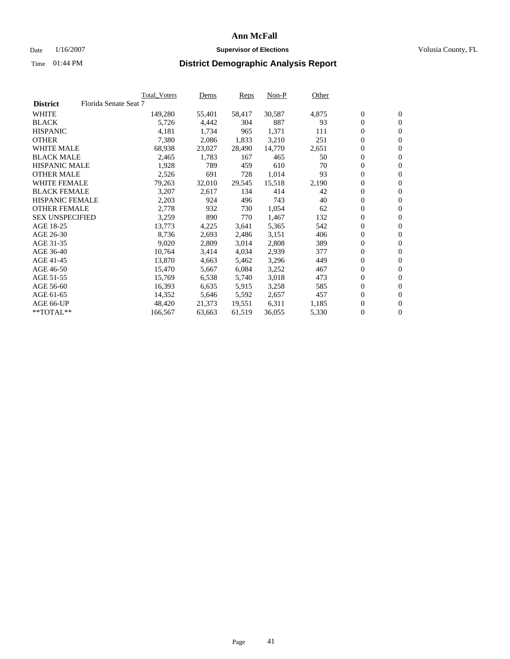### Date  $1/16/2007$  **Supervisor of Elections Supervisor of Elections** Volusia County, FL

|                        |                       | Total_Voters | Dems   | Reps   | Non-P  | Other |                  |                  |  |
|------------------------|-----------------------|--------------|--------|--------|--------|-------|------------------|------------------|--|
| <b>District</b>        | Florida Senate Seat 7 |              |        |        |        |       |                  |                  |  |
| <b>WHITE</b>           |                       | 149,280      | 55,401 | 58,417 | 30,587 | 4,875 | $\boldsymbol{0}$ | $\mathbf{0}$     |  |
| <b>BLACK</b>           |                       | 5,726        | 4,442  | 304    | 887    | 93    | $\mathbf{0}$     | $\mathbf{0}$     |  |
| <b>HISPANIC</b>        |                       | 4,181        | 1,734  | 965    | 1,371  | 111   | $\overline{0}$   | $\mathbf{0}$     |  |
| <b>OTHER</b>           |                       | 7,380        | 2,086  | 1,833  | 3,210  | 251   | 0                | $\overline{0}$   |  |
| <b>WHITE MALE</b>      |                       | 68,938       | 23,027 | 28,490 | 14,770 | 2,651 | $\overline{0}$   | $\mathbf{0}$     |  |
| <b>BLACK MALE</b>      |                       | 2,465        | 1,783  | 167    | 465    | 50    | $\boldsymbol{0}$ | $\boldsymbol{0}$ |  |
| <b>HISPANIC MALE</b>   |                       | 1,928        | 789    | 459    | 610    | 70    | 0                | $\mathbf{0}$     |  |
| <b>OTHER MALE</b>      |                       | 2,526        | 691    | 728    | 1,014  | 93    | 0                | $\boldsymbol{0}$ |  |
| <b>WHITE FEMALE</b>    |                       | 79,263       | 32,010 | 29,545 | 15,518 | 2,190 | 0                | $\mathbf{0}$     |  |
| <b>BLACK FEMALE</b>    |                       | 3,207        | 2,617  | 134    | 414    | 42    | $\overline{0}$   | $\mathbf{0}$     |  |
| <b>HISPANIC FEMALE</b> |                       | 2,203        | 924    | 496    | 743    | 40    | 0                | $\mathbf{0}$     |  |
| <b>OTHER FEMALE</b>    |                       | 2,778        | 932    | 730    | 1,054  | 62    | $\overline{0}$   | $\mathbf{0}$     |  |
| <b>SEX UNSPECIFIED</b> |                       | 3,259        | 890    | 770    | 1,467  | 132   | $\boldsymbol{0}$ | $\boldsymbol{0}$ |  |
| AGE 18-25              |                       | 13,773       | 4,225  | 3,641  | 5,365  | 542   | 0                | $\mathbf{0}$     |  |
| AGE 26-30              |                       | 8,736        | 2,693  | 2,486  | 3,151  | 406   | 0                | $\boldsymbol{0}$ |  |
| AGE 31-35              |                       | 9,020        | 2,809  | 3,014  | 2,808  | 389   | 0                | $\mathbf{0}$     |  |
| AGE 36-40              |                       | 10,764       | 3,414  | 4,034  | 2,939  | 377   | $\boldsymbol{0}$ | $\mathbf{0}$     |  |
| AGE 41-45              |                       | 13,870       | 4,663  | 5,462  | 3,296  | 449   | 0                | $\mathbf{0}$     |  |
| AGE 46-50              |                       | 15,470       | 5,667  | 6,084  | 3,252  | 467   | $\overline{0}$   | $\mathbf{0}$     |  |
| AGE 51-55              |                       | 15,769       | 6,538  | 5,740  | 3,018  | 473   | $\overline{0}$   | $\mathbf{0}$     |  |
| AGE 56-60              |                       | 16,393       | 6,635  | 5,915  | 3,258  | 585   | $\boldsymbol{0}$ | $\mathbf{0}$     |  |
| AGE 61-65              |                       | 14,352       | 5,646  | 5,592  | 2,657  | 457   | 0                | $\boldsymbol{0}$ |  |
| AGE 66-UP              |                       | 48,420       | 21,373 | 19,551 | 6,311  | 1,185 | 0                | $\bf{0}$         |  |
| $*$ TOTAL $**$         |                       | 166,567      | 63,663 | 61,519 | 36,055 | 5,330 | 0                | $\boldsymbol{0}$ |  |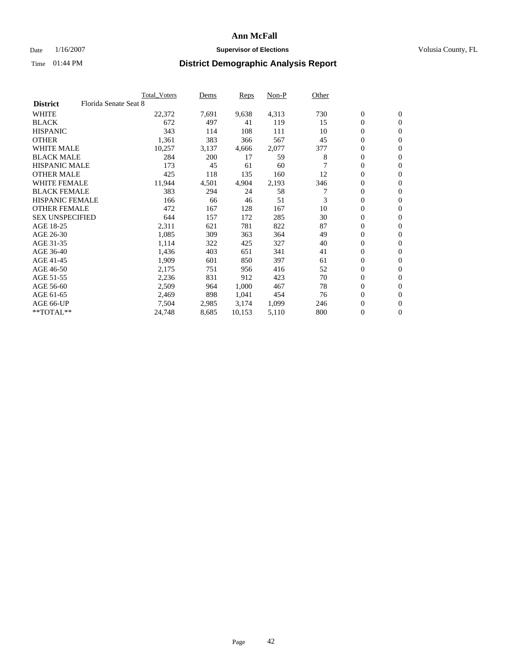### Date  $1/16/2007$  **Supervisor of Elections Supervisor of Elections** Volusia County, FL

|                        |                       | <b>Total Voters</b> | Dems  | Reps   | Non-P | Other |                  |                  |  |
|------------------------|-----------------------|---------------------|-------|--------|-------|-------|------------------|------------------|--|
| <b>District</b>        | Florida Senate Seat 8 |                     |       |        |       |       |                  |                  |  |
| <b>WHITE</b>           |                       | 22,372              | 7,691 | 9,638  | 4,313 | 730   | $\boldsymbol{0}$ | $\mathbf{0}$     |  |
| <b>BLACK</b>           |                       | 672                 | 497   | 41     | 119   | 15    | $\mathbf{0}$     | $\mathbf{0}$     |  |
| <b>HISPANIC</b>        |                       | 343                 | 114   | 108    | 111   | 10    | 0                | $\overline{0}$   |  |
| <b>OTHER</b>           |                       | 1,361               | 383   | 366    | 567   | 45    | 0                | $\mathbf{0}$     |  |
| <b>WHITE MALE</b>      |                       | 10,257              | 3,137 | 4,666  | 2,077 | 377   | 0                | $\mathbf{0}$     |  |
| <b>BLACK MALE</b>      |                       | 284                 | 200   | 17     | 59    | 8     | $\boldsymbol{0}$ | $\boldsymbol{0}$ |  |
| <b>HISPANIC MALE</b>   |                       | 173                 | 45    | 61     | 60    |       | 0                | $\mathbf{0}$     |  |
| <b>OTHER MALE</b>      |                       | 425                 | 118   | 135    | 160   | 12    | $\mathbf{0}$     | $\mathbf{0}$     |  |
| <b>WHITE FEMALE</b>    |                       | 11,944              | 4,501 | 4,904  | 2,193 | 346   | 0                | $\mathbf{0}$     |  |
| <b>BLACK FEMALE</b>    |                       | 383                 | 294   | 24     | 58    | 7     | $\boldsymbol{0}$ | $\mathbf{0}$     |  |
| <b>HISPANIC FEMALE</b> |                       | 166                 | 66    | 46     | 51    | 3     | $\boldsymbol{0}$ | $\mathbf{0}$     |  |
| <b>OTHER FEMALE</b>    |                       | 472                 | 167   | 128    | 167   | 10    | 0                | $\mathbf{0}$     |  |
| <b>SEX UNSPECIFIED</b> |                       | 644                 | 157   | 172    | 285   | 30    | 0                | $\mathbf{0}$     |  |
| AGE 18-25              |                       | 2,311               | 621   | 781    | 822   | 87    | 0                | $\mathbf{0}$     |  |
| AGE 26-30              |                       | 1,085               | 309   | 363    | 364   | 49    | $\mathbf{0}$     | $\mathbf{0}$     |  |
| AGE 31-35              |                       | 1,114               | 322   | 425    | 327   | 40    | 0                | $\mathbf{0}$     |  |
| AGE 36-40              |                       | 1,436               | 403   | 651    | 341   | 41    | 0                | $\mathbf{0}$     |  |
| AGE 41-45              |                       | 1,909               | 601   | 850    | 397   | 61    | $\boldsymbol{0}$ | $\mathbf{0}$     |  |
| AGE 46-50              |                       | 2,175               | 751   | 956    | 416   | 52    | 0                | $\mathbf{0}$     |  |
| AGE 51-55              |                       | 2,236               | 831   | 912    | 423   | 70    | $\boldsymbol{0}$ | $\mathbf{0}$     |  |
| AGE 56-60              |                       | 2,509               | 964   | 1,000  | 467   | 78    | 0                | $\mathbf{0}$     |  |
| AGE 61-65              |                       | 2,469               | 898   | 1,041  | 454   | 76    | $\mathbf{0}$     | $\mathbf{0}$     |  |
| AGE 66-UP              |                       | 7,504               | 2,985 | 3,174  | 1,099 | 246   | 0                | $\mathbf{0}$     |  |
| $*$ TOTAL $**$         |                       | 24,748              | 8,685 | 10,153 | 5,110 | 800   | 0                | $\boldsymbol{0}$ |  |
|                        |                       |                     |       |        |       |       |                  |                  |  |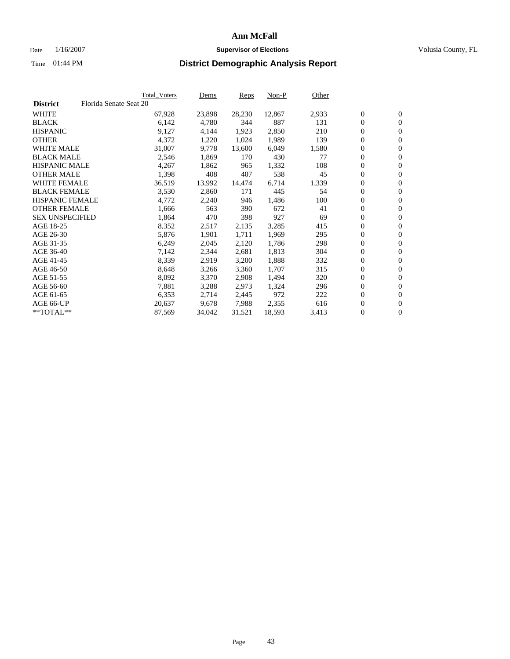#### Date  $1/16/2007$  **Supervisor of Elections Supervisor of Elections** Volusia County, FL

|                        |                        | <b>Total_Voters</b> | Dems   | <b>Reps</b> | Non-P  | Other |                  |                  |  |
|------------------------|------------------------|---------------------|--------|-------------|--------|-------|------------------|------------------|--|
| <b>District</b>        | Florida Senate Seat 20 |                     |        |             |        |       |                  |                  |  |
| <b>WHITE</b>           |                        | 67,928              | 23,898 | 28,230      | 12,867 | 2,933 | $\overline{0}$   | $\mathbf{0}$     |  |
| <b>BLACK</b>           |                        | 6,142               | 4,780  | 344         | 887    | 131   | $\overline{0}$   | $\mathbf{0}$     |  |
| <b>HISPANIC</b>        |                        | 9,127               | 4,144  | 1,923       | 2,850  | 210   | $\boldsymbol{0}$ | $\mathbf{0}$     |  |
| <b>OTHER</b>           |                        | 4,372               | 1,220  | 1,024       | 1,989  | 139   | $\boldsymbol{0}$ | $\mathbf{0}$     |  |
| <b>WHITE MALE</b>      |                        | 31,007              | 9,778  | 13,600      | 6,049  | 1,580 | 0                | $\mathbf{0}$     |  |
| <b>BLACK MALE</b>      |                        | 2,546               | 1,869  | 170         | 430    | 77    | $\boldsymbol{0}$ | $\boldsymbol{0}$ |  |
| <b>HISPANIC MALE</b>   |                        | 4,267               | 1,862  | 965         | 1,332  | 108   | $\overline{0}$   | $\mathbf{0}$     |  |
| <b>OTHER MALE</b>      |                        | 1,398               | 408    | 407         | 538    | 45    | $\overline{0}$   | $\mathbf{0}$     |  |
| <b>WHITE FEMALE</b>    |                        | 36,519              | 13,992 | 14,474      | 6,714  | 1,339 | $\mathbf{0}$     | $\mathbf{0}$     |  |
| <b>BLACK FEMALE</b>    |                        | 3,530               | 2,860  | 171         | 445    | 54    | $\boldsymbol{0}$ | $\mathbf{0}$     |  |
| <b>HISPANIC FEMALE</b> |                        | 4,772               | 2,240  | 946         | 1,486  | 100   | $\boldsymbol{0}$ | $\boldsymbol{0}$ |  |
| <b>OTHER FEMALE</b>    |                        | 1,666               | 563    | 390         | 672    | 41    | 0                | $\mathbf{0}$     |  |
| <b>SEX UNSPECIFIED</b> |                        | 1,864               | 470    | 398         | 927    | 69    | $\boldsymbol{0}$ | $\mathbf{0}$     |  |
| AGE 18-25              |                        | 8,352               | 2,517  | 2,135       | 3,285  | 415   | $\boldsymbol{0}$ | $\mathbf{0}$     |  |
| AGE 26-30              |                        | 5,876               | 1,901  | 1,711       | 1,969  | 295   | $\overline{0}$   | $\mathbf{0}$     |  |
| AGE 31-35              |                        | 6,249               | 2,045  | 2,120       | 1,786  | 298   | $\overline{0}$   | $\mathbf{0}$     |  |
| AGE 36-40              |                        | 7,142               | 2,344  | 2,681       | 1,813  | 304   | $\boldsymbol{0}$ | $\boldsymbol{0}$ |  |
| AGE 41-45              |                        | 8,339               | 2,919  | 3,200       | 1,888  | 332   | $\boldsymbol{0}$ | $\mathbf{0}$     |  |
| AGE 46-50              |                        | 8,648               | 3,266  | 3,360       | 1,707  | 315   | 0                | $\mathbf{0}$     |  |
| AGE 51-55              |                        | 8,092               | 3,370  | 2,908       | 1,494  | 320   | $\boldsymbol{0}$ | $\boldsymbol{0}$ |  |
| AGE 56-60              |                        | 7,881               | 3,288  | 2,973       | 1,324  | 296   | $\overline{0}$   | $\mathbf{0}$     |  |
| AGE 61-65              |                        | 6,353               | 2,714  | 2,445       | 972    | 222   | $\mathbf{0}$     | $\boldsymbol{0}$ |  |
| AGE 66-UP              |                        | 20,637              | 9,678  | 7,988       | 2,355  | 616   | $\boldsymbol{0}$ | $\boldsymbol{0}$ |  |
| **TOTAL**              |                        | 87,569              | 34,042 | 31,521      | 18,593 | 3,413 | 0                | $\overline{0}$   |  |
|                        |                        |                     |        |             |        |       |                  |                  |  |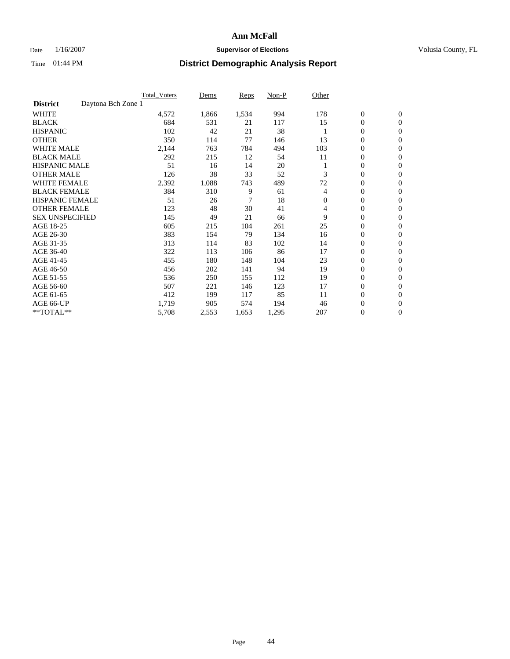### Date  $1/16/2007$  **Supervisor of Elections Supervisor of Elections** Volusia County, FL

|                                       | <b>Total Voters</b> | Dems  | Reps  | Non-P | Other    |                  |                  |  |
|---------------------------------------|---------------------|-------|-------|-------|----------|------------------|------------------|--|
| Daytona Bch Zone 1<br><b>District</b> |                     |       |       |       |          |                  |                  |  |
| <b>WHITE</b>                          | 4,572               | 1,866 | 1,534 | 994   | 178      | $\boldsymbol{0}$ | $\boldsymbol{0}$ |  |
| <b>BLACK</b>                          | 684                 | 531   | 21    | 117   | 15       | $\mathbf{0}$     | $\mathbf{0}$     |  |
| <b>HISPANIC</b>                       | 102                 | 42    | 21    | 38    |          | $\mathbf{0}$     | $\mathbf{0}$     |  |
| <b>OTHER</b>                          | 350                 | 114   | 77    | 146   | 13       | 0                | $\mathbf{0}$     |  |
| <b>WHITE MALE</b>                     | 2,144               | 763   | 784   | 494   | 103      | 0                | $\mathbf{0}$     |  |
| <b>BLACK MALE</b>                     | 292                 | 215   | 12    | 54    | 11       | 0                | $\boldsymbol{0}$ |  |
| <b>HISPANIC MALE</b>                  | 51                  | 16    | 14    | 20    |          | 0                | $\mathbf{0}$     |  |
| <b>OTHER MALE</b>                     | 126                 | 38    | 33    | 52    | 3        | 0                | $\mathbf{0}$     |  |
| <b>WHITE FEMALE</b>                   | 2,392               | 1,088 | 743   | 489   | 72       | 0                | $\mathbf{0}$     |  |
| <b>BLACK FEMALE</b>                   | 384                 | 310   | 9     | 61    | 4        | $\mathbf{0}$     | $\mathbf{0}$     |  |
| <b>HISPANIC FEMALE</b>                | 51                  | 26    | 7     | 18    | $\Omega$ | 0                | $\mathbf{0}$     |  |
| <b>OTHER FEMALE</b>                   | 123                 | 48    | 30    | 41    | 4        | 0                | $\mathbf{0}$     |  |
| <b>SEX UNSPECIFIED</b>                | 145                 | 49    | 21    | 66    | 9        | $\boldsymbol{0}$ | $\mathbf{0}$     |  |
| AGE 18-25                             | 605                 | 215   | 104   | 261   | 25       | 0                | $\mathbf{0}$     |  |
| AGE 26-30                             | 383                 | 154   | 79    | 134   | 16       | 0                | $\mathbf{0}$     |  |
| AGE 31-35                             | 313                 | 114   | 83    | 102   | 14       | 0                | $\mathbf{0}$     |  |
| AGE 36-40                             | 322                 | 113   | 106   | 86    | 17       | $\boldsymbol{0}$ | $\mathbf{0}$     |  |
| AGE 41-45                             | 455                 | 180   | 148   | 104   | 23       | 0                | $\mathbf{0}$     |  |
| AGE 46-50                             | 456                 | 202   | 141   | 94    | 19       | $\mathbf{0}$     | $\mathbf{0}$     |  |
| AGE 51-55                             | 536                 | 250   | 155   | 112   | 19       | 0                | $\mathbf{0}$     |  |
| AGE 56-60                             | 507                 | 221   | 146   | 123   | 17       | 0                | $\mathbf{0}$     |  |
| AGE 61-65                             | 412                 | 199   | 117   | 85    | 11       | 0                | $\mathbf{0}$     |  |
| AGE 66-UP                             | 1,719               | 905   | 574   | 194   | 46       | 0                | 0                |  |
| **TOTAL**                             | 5,708               | 2,553 | 1,653 | 1,295 | 207      | $\boldsymbol{0}$ | $\boldsymbol{0}$ |  |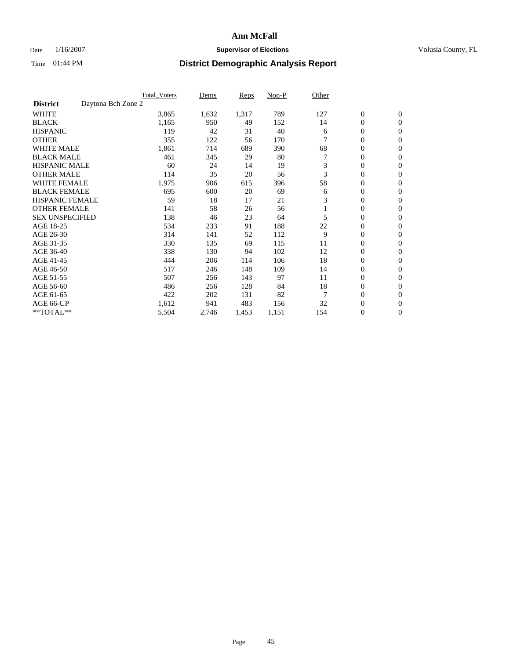### Date  $1/16/2007$  **Supervisor of Elections Supervisor of Elections** Volusia County, FL

|                                       | <b>Total Voters</b> | Dems  | Reps  | Non-P | Other |                  |                  |  |
|---------------------------------------|---------------------|-------|-------|-------|-------|------------------|------------------|--|
| Daytona Bch Zone 2<br><b>District</b> |                     |       |       |       |       |                  |                  |  |
| <b>WHITE</b>                          | 3,865               | 1,632 | 1,317 | 789   | 127   | $\boldsymbol{0}$ | $\boldsymbol{0}$ |  |
| <b>BLACK</b>                          | 1,165               | 950   | 49    | 152   | 14    | $\mathbf{0}$     | $\mathbf{0}$     |  |
| <b>HISPANIC</b>                       | 119                 | 42    | 31    | 40    | 6     | 0                | $\mathbf{0}$     |  |
| <b>OTHER</b>                          | 355                 | 122   | 56    | 170   |       | 0                | $\overline{0}$   |  |
| <b>WHITE MALE</b>                     | 1,861               | 714   | 689   | 390   | 68    | 0                | $\mathbf{0}$     |  |
| <b>BLACK MALE</b>                     | 461                 | 345   | 29    | 80    |       | 0                | $\mathbf{0}$     |  |
| <b>HISPANIC MALE</b>                  | 60                  | 24    | 14    | 19    | 3     | 0                | $\mathbf{0}$     |  |
| <b>OTHER MALE</b>                     | 114                 | 35    | 20    | 56    | 3     | 0                | $\mathbf{0}$     |  |
| <b>WHITE FEMALE</b>                   | 1,975               | 906   | 615   | 396   | 58    | 0                | $\mathbf{0}$     |  |
| <b>BLACK FEMALE</b>                   | 695                 | 600   | 20    | 69    | 6     | 0                | $\mathbf{0}$     |  |
| <b>HISPANIC FEMALE</b>                | 59                  | 18    | 17    | 21    | 3     | 0                | $\mathbf{0}$     |  |
| <b>OTHER FEMALE</b>                   | 141                 | 58    | 26    | 56    |       | 0                | $\mathbf{0}$     |  |
| <b>SEX UNSPECIFIED</b>                | 138                 | 46    | 23    | 64    | 5     | 0                | $\mathbf{0}$     |  |
| AGE 18-25                             | 534                 | 233   | 91    | 188   | 22    | 0                | $\mathbf{0}$     |  |
| AGE 26-30                             | 314                 | 141   | 52    | 112   | 9     | 0                | $\mathbf{0}$     |  |
| AGE 31-35                             | 330                 | 135   | 69    | 115   | 11    | 0                | $\mathbf{0}$     |  |
| AGE 36-40                             | 338                 | 130   | 94    | 102   | 12    | 0                | $\mathbf{0}$     |  |
| AGE 41-45                             | 444                 | 206   | 114   | 106   | 18    | 0                | $\mathbf{0}$     |  |
| AGE 46-50                             | 517                 | 246   | 148   | 109   | 14    | 0                | $\mathbf{0}$     |  |
| AGE 51-55                             | 507                 | 256   | 143   | 97    | 11    | 0                | $\mathbf{0}$     |  |
| AGE 56-60                             | 486                 | 256   | 128   | 84    | 18    | 0                | $\mathbf{0}$     |  |
| AGE 61-65                             | 422                 | 202   | 131   | 82    | 7     | 0                | $\mathbf{0}$     |  |
| AGE 66-UP                             | 1,612               | 941   | 483   | 156   | 32    | 0                | 0                |  |
| **TOTAL**                             | 5,504               | 2,746 | 1,453 | 1,151 | 154   | 0                | $\boldsymbol{0}$ |  |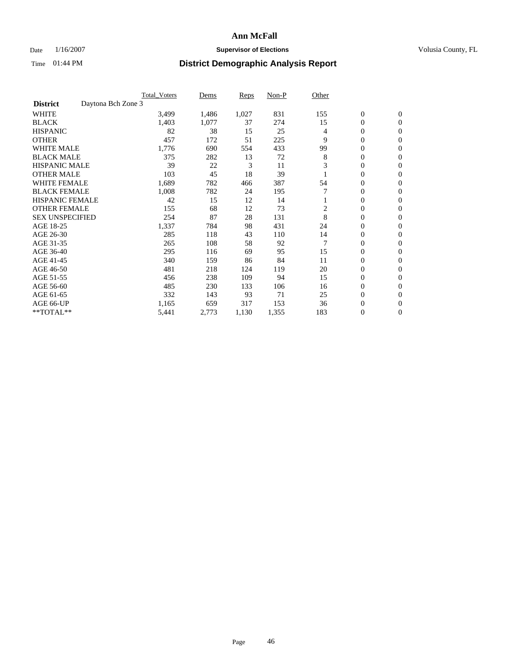### Date  $1/16/2007$  **Supervisor of Elections Supervisor of Elections** Volusia County, FL

|                                       | <b>Total Voters</b> | Dems  | Reps  | Non-P | Other          |                  |                  |  |
|---------------------------------------|---------------------|-------|-------|-------|----------------|------------------|------------------|--|
| Daytona Bch Zone 3<br><b>District</b> |                     |       |       |       |                |                  |                  |  |
| <b>WHITE</b>                          | 3,499               | 1,486 | 1,027 | 831   | 155            | $\boldsymbol{0}$ | $\boldsymbol{0}$ |  |
| <b>BLACK</b>                          | 1,403               | 1,077 | 37    | 274   | 15             | $\mathbf{0}$     | $\mathbf{0}$     |  |
| <b>HISPANIC</b>                       | 82                  | 38    | 15    | 25    | 4              | 0                | $\mathbf{0}$     |  |
| <b>OTHER</b>                          | 457                 | 172   | 51    | 225   | 9              | 0                | $\overline{0}$   |  |
| <b>WHITE MALE</b>                     | 1,776               | 690   | 554   | 433   | 99             | 0                | $\mathbf{0}$     |  |
| <b>BLACK MALE</b>                     | 375                 | 282   | 13    | 72    | 8              | 0                | $\mathbf{0}$     |  |
| <b>HISPANIC MALE</b>                  | 39                  | 22    | 3     | 11    | 3              | 0                | $\mathbf{0}$     |  |
| <b>OTHER MALE</b>                     | 103                 | 45    | 18    | 39    |                | 0                | $\mathbf{0}$     |  |
| <b>WHITE FEMALE</b>                   | 1,689               | 782   | 466   | 387   | 54             | 0                | $\Omega$         |  |
| <b>BLACK FEMALE</b>                   | 1,008               | 782   | 24    | 195   |                | $\mathbf{0}$     | $\mathbf{0}$     |  |
| <b>HISPANIC FEMALE</b>                | 42                  | 15    | 12    | 14    |                | 0                | $\mathbf{0}$     |  |
| <b>OTHER FEMALE</b>                   | 155                 | 68    | 12    | 73    | $\overline{2}$ | 0                | $\mathbf{0}$     |  |
| <b>SEX UNSPECIFIED</b>                | 254                 | 87    | 28    | 131   | 8              | $\boldsymbol{0}$ | $\mathbf{0}$     |  |
| AGE 18-25                             | 1,337               | 784   | 98    | 431   | 24             | 0                | $\mathbf{0}$     |  |
| AGE 26-30                             | 285                 | 118   | 43    | 110   | 14             | 0                | $\mathbf{0}$     |  |
| AGE 31-35                             | 265                 | 108   | 58    | 92    | 7              | 0                | $\mathbf{0}$     |  |
| AGE 36-40                             | 295                 | 116   | 69    | 95    | 15             | $\boldsymbol{0}$ | $\mathbf{0}$     |  |
| AGE 41-45                             | 340                 | 159   | 86    | 84    | 11             | 0                | $\mathbf{0}$     |  |
| AGE 46-50                             | 481                 | 218   | 124   | 119   | 20             | $\mathbf{0}$     | $\mathbf{0}$     |  |
| AGE 51-55                             | 456                 | 238   | 109   | 94    | 15             | 0                | $\mathbf{0}$     |  |
| AGE 56-60                             | 485                 | 230   | 133   | 106   | 16             | 0                | $\mathbf{0}$     |  |
| AGE 61-65                             | 332                 | 143   | 93    | 71    | 25             | 0                | $\mathbf{0}$     |  |
| AGE 66-UP                             | 1,165               | 659   | 317   | 153   | 36             | 0                | 0                |  |
| **TOTAL**                             | 5,441               | 2,773 | 1,130 | 1,355 | 183            | 0                | $\boldsymbol{0}$ |  |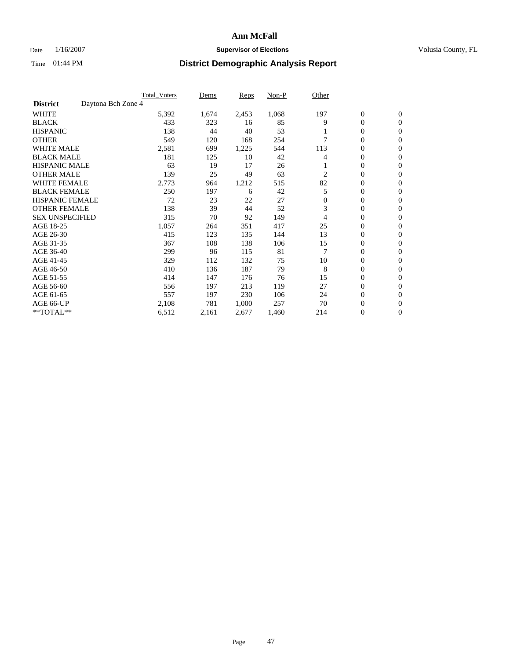### Date  $1/16/2007$  **Supervisor of Elections Supervisor of Elections** Volusia County, FL

|                                       | <b>Total_Voters</b> | Dems  | <b>Reps</b> | Non-P | Other    |                  |                  |  |
|---------------------------------------|---------------------|-------|-------------|-------|----------|------------------|------------------|--|
| Daytona Bch Zone 4<br><b>District</b> |                     |       |             |       |          |                  |                  |  |
| <b>WHITE</b>                          | 5,392               | 1,674 | 2,453       | 1,068 | 197      | $\boldsymbol{0}$ | $\mathbf{0}$     |  |
| <b>BLACK</b>                          | 433                 | 323   | 16          | 85    | 9        | $\overline{0}$   | $\mathbf{0}$     |  |
| <b>HISPANIC</b>                       | 138                 | 44    | 40          | 53    |          | $\mathbf{0}$     | $\mathbf{0}$     |  |
| <b>OTHER</b>                          | 549                 | 120   | 168         | 254   |          | $\overline{0}$   | $\overline{0}$   |  |
| <b>WHITE MALE</b>                     | 2,581               | 699   | 1,225       | 544   | 113      | $\overline{0}$   | $\mathbf{0}$     |  |
| <b>BLACK MALE</b>                     | 181                 | 125   | 10          | 42    | 4        | $\boldsymbol{0}$ | $\mathbf{0}$     |  |
| <b>HISPANIC MALE</b>                  | 63                  | 19    | 17          | 26    |          | $\overline{0}$   | $\Omega$         |  |
| <b>OTHER MALE</b>                     | 139                 | 25    | 49          | 63    | 2        | $\boldsymbol{0}$ | $\bf{0}$         |  |
| <b>WHITE FEMALE</b>                   | 2,773               | 964   | 1,212       | 515   | 82       | $\overline{0}$   | $\Omega$         |  |
| <b>BLACK FEMALE</b>                   | 250                 | 197   | 6           | 42    | 5        | $\overline{0}$   | $\mathbf{0}$     |  |
| <b>HISPANIC FEMALE</b>                | 72                  | 23    | 22          | 27    | $\Omega$ | $\overline{0}$   | $\mathbf{0}$     |  |
| <b>OTHER FEMALE</b>                   | 138                 | 39    | 44          | 52    | 3        | $\overline{0}$   | $\mathbf{0}$     |  |
| <b>SEX UNSPECIFIED</b>                | 315                 | 70    | 92          | 149   | 4        | $\boldsymbol{0}$ | $\mathbf{0}$     |  |
| AGE 18-25                             | 1,057               | 264   | 351         | 417   | 25       | $\overline{0}$   | $\Omega$         |  |
| AGE 26-30                             | 415                 | 123   | 135         | 144   | 13       | $\boldsymbol{0}$ | $\mathbf{0}$     |  |
| AGE 31-35                             | 367                 | 108   | 138         | 106   | 15       | $\boldsymbol{0}$ | 0                |  |
| AGE 36-40                             | 299                 | 96    | 115         | 81    |          | $\overline{0}$   | $\mathbf{0}$     |  |
| AGE 41-45                             | 329                 | 112   | 132         | 75    | 10       | $\mathbf{0}$     | $\mathbf{0}$     |  |
| AGE 46-50                             | 410                 | 136   | 187         | 79    | 8        | $\overline{0}$   | $\mathbf{0}$     |  |
| AGE 51-55                             | 414                 | 147   | 176         | 76    | 15       | $\overline{0}$   | $\mathbf{0}$     |  |
| AGE 56-60                             | 556                 | 197   | 213         | 119   | 27       | $\overline{0}$   | $\mathbf{0}$     |  |
| AGE 61-65                             | 557                 | 197   | 230         | 106   | 24       | $\boldsymbol{0}$ | $\mathbf{0}$     |  |
| AGE 66-UP                             | 2,108               | 781   | 1,000       | 257   | 70       | $\mathbf{0}$     | 0                |  |
| **TOTAL**                             | 6,512               | 2,161 | 2,677       | 1,460 | 214      | $\boldsymbol{0}$ | $\boldsymbol{0}$ |  |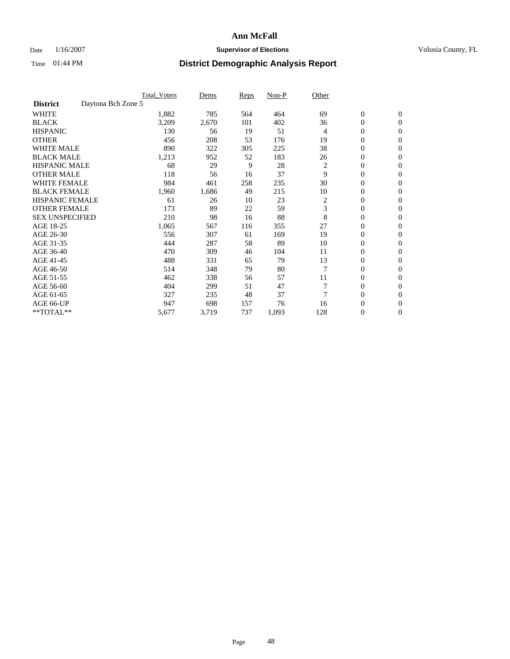### Date  $1/16/2007$  **Supervisor of Elections Supervisor of Elections** Volusia County, FL

|                        | <b>Total Voters</b> | Dems  | Reps | Non-P | Other          |                  |                  |  |
|------------------------|---------------------|-------|------|-------|----------------|------------------|------------------|--|
| <b>District</b>        | Daytona Bch Zone 5  |       |      |       |                |                  |                  |  |
| <b>WHITE</b>           | 1,882               | 785   | 564  | 464   | 69             | $\boldsymbol{0}$ | $\mathbf{0}$     |  |
| <b>BLACK</b>           | 3,209               | 2,670 | 101  | 402   | 36             | 0                | $\mathbf{0}$     |  |
| <b>HISPANIC</b>        | 130                 | 56    | 19   | 51    | 4              | 0                | $\mathbf{0}$     |  |
| <b>OTHER</b>           | 456                 | 208   | 53   | 176   | 19             | 0                | $\mathbf{0}$     |  |
| <b>WHITE MALE</b>      | 890                 | 322   | 305  | 225   | 38             | 0                | $\mathbf{0}$     |  |
| <b>BLACK MALE</b>      | 1,213               | 952   | 52   | 183   | 26             | 0                | $\mathbf{0}$     |  |
| <b>HISPANIC MALE</b>   | 68                  | 29    | 9    | 28    | $\overline{c}$ | 0                | $\mathbf{0}$     |  |
| <b>OTHER MALE</b>      | 118                 | 56    | 16   | 37    | 9              | $\mathbf{0}$     | $\mathbf{0}$     |  |
| <b>WHITE FEMALE</b>    | 984                 | 461   | 258  | 235   | 30             | 0                | $\mathbf{0}$     |  |
| <b>BLACK FEMALE</b>    | 1,960               | 1,686 | 49   | 215   | 10             | $\boldsymbol{0}$ | $\mathbf{0}$     |  |
| <b>HISPANIC FEMALE</b> | 61                  | 26    | 10   | 23    | 2              | 0                | $\mathbf{0}$     |  |
| <b>OTHER FEMALE</b>    | 173                 | 89    | 22   | 59    | 3              | 0                | $\mathbf{0}$     |  |
| <b>SEX UNSPECIFIED</b> | 210                 | 98    | 16   | 88    | 8              | 0                | $\mathbf{0}$     |  |
| AGE 18-25              | 1,065               | 567   | 116  | 355   | 27             | 0                | $\mathbf{0}$     |  |
| AGE 26-30              | 556                 | 307   | 61   | 169   | 19             | $\mathbf{0}$     | $\mathbf{0}$     |  |
| AGE 31-35              | 444                 | 287   | 58   | 89    | 10             | 0                | $\mathbf{0}$     |  |
| AGE 36-40              | 470                 | 309   | 46   | 104   | 11             | 0                | $\mathbf{0}$     |  |
| AGE 41-45              | 488                 | 331   | 65   | 79    | 13             | 0                | $\mathbf{0}$     |  |
| AGE 46-50              | 514                 | 348   | 79   | 80    |                | 0                | $\mathbf{0}$     |  |
| AGE 51-55              | 462                 | 338   | 56   | 57    | 11             | $\boldsymbol{0}$ | $\boldsymbol{0}$ |  |
| AGE 56-60              | 404                 | 299   | 51   | 47    |                | 0                | $\mathbf{0}$     |  |
| AGE 61-65              | 327                 | 235   | 48   | 37    | 7              | $\mathbf{0}$     | $\mathbf{0}$     |  |
| AGE 66-UP              | 947                 | 698   | 157  | 76    | 16             | 0                | $\boldsymbol{0}$ |  |
| **TOTAL**              | 5,677               | 3,719 | 737  | 1,093 | 128            | 0                | $\boldsymbol{0}$ |  |
|                        |                     |       |      |       |                |                  |                  |  |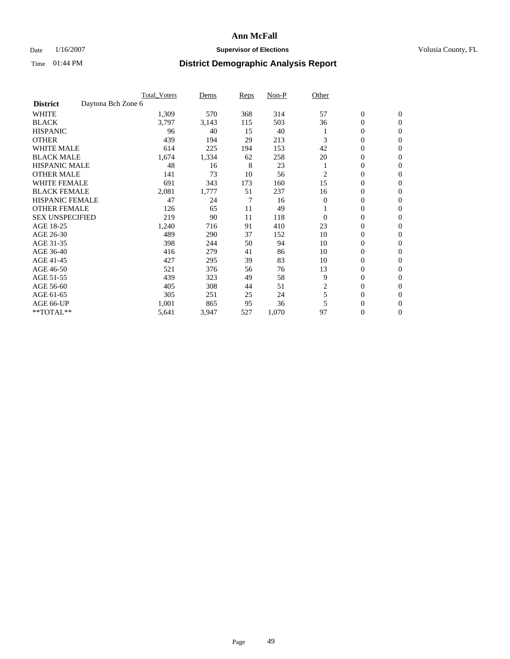### Date  $1/16/2007$  **Supervisor of Elections Supervisor of Elections** Volusia County, FL

|                        |                    | <b>Total Voters</b> | Dems  | Reps | Non-P | Other          |                  |                  |
|------------------------|--------------------|---------------------|-------|------|-------|----------------|------------------|------------------|
| <b>District</b>        | Daytona Bch Zone 6 |                     |       |      |       |                |                  |                  |
| <b>WHITE</b>           |                    | 1,309               | 570   | 368  | 314   | 57             | $\boldsymbol{0}$ | $\mathbf{0}$     |
| <b>BLACK</b>           |                    | 3,797               | 3,143 | 115  | 503   | 36             | 0                | $\mathbf{0}$     |
| <b>HISPANIC</b>        |                    | 96                  | 40    | 15   | 40    |                | 0                | $\mathbf{0}$     |
| <b>OTHER</b>           |                    | 439                 | 194   | 29   | 213   | 3              | 0                | $\mathbf{0}$     |
| <b>WHITE MALE</b>      |                    | 614                 | 225   | 194  | 153   | 42             | 0                | $\mathbf{0}$     |
| <b>BLACK MALE</b>      |                    | 1,674               | 1,334 | 62   | 258   | 20             | 0                | $\mathbf{0}$     |
| <b>HISPANIC MALE</b>   |                    | 48                  | 16    | 8    | 23    |                | 0                | $\mathbf{0}$     |
| <b>OTHER MALE</b>      |                    | 141                 | 73    | 10   | 56    | 2              | $\mathbf{0}$     | $\mathbf{0}$     |
| <b>WHITE FEMALE</b>    |                    | 691                 | 343   | 173  | 160   | 15             | 0                | $\mathbf{0}$     |
| <b>BLACK FEMALE</b>    |                    | 2,081               | 1,777 | 51   | 237   | 16             | 0                | $\mathbf{0}$     |
| <b>HISPANIC FEMALE</b> |                    | 47                  | 24    | 7    | 16    | $\overline{0}$ | 0                | $\mathbf{0}$     |
| <b>OTHER FEMALE</b>    |                    | 126                 | 65    | 11   | 49    |                | 0                | $\mathbf{0}$     |
| <b>SEX UNSPECIFIED</b> |                    | 219                 | 90    | 11   | 118   | $\Omega$       | 0                | 0                |
| AGE 18-25              |                    | 1,240               | 716   | 91   | 410   | 23             | 0                | $\Omega$         |
| AGE 26-30              |                    | 489                 | 290   | 37   | 152   | 10             | $\mathbf{0}$     | $\mathbf{0}$     |
| AGE 31-35              |                    | 398                 | 244   | 50   | 94    | 10             | 0                | $\mathbf{0}$     |
| AGE 36-40              |                    | 416                 | 279   | 41   | 86    | 10             | 0                | $\mathbf{0}$     |
| AGE 41-45              |                    | 427                 | 295   | 39   | 83    | 10             | 0                | $\mathbf{0}$     |
| AGE 46-50              |                    | 521                 | 376   | 56   | 76    | 13             | 0                | $\Omega$         |
| AGE 51-55              |                    | 439                 | 323   | 49   | 58    | 9              | $\boldsymbol{0}$ | $\mathbf{0}$     |
| AGE 56-60              |                    | 405                 | 308   | 44   | 51    | $\overline{c}$ | 0                | $\mathbf{0}$     |
| AGE 61-65              |                    | 305                 | 251   | 25   | 24    | 5              | $\overline{0}$   | $\mathbf{0}$     |
| AGE 66-UP              |                    | 1,001               | 865   | 95   | 36    | 5              | 0                | $\mathbf{0}$     |
| **TOTAL**              |                    | 5,641               | 3,947 | 527  | 1,070 | 97             | 0                | $\boldsymbol{0}$ |
|                        |                    |                     |       |      |       |                |                  |                  |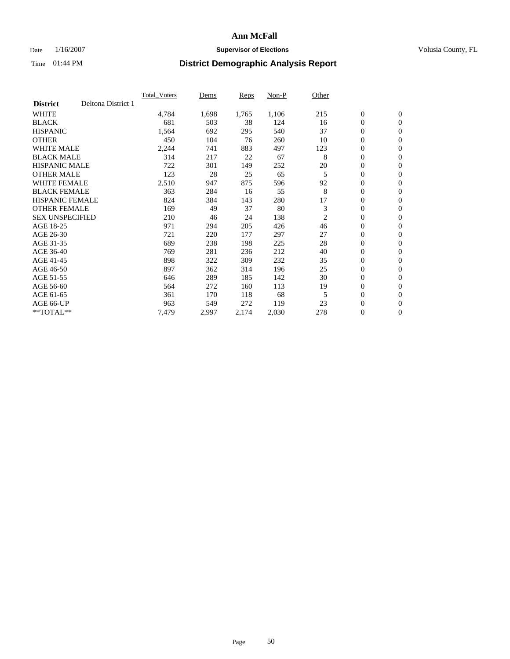### Date  $1/16/2007$  **Supervisor of Elections Supervisor of Elections** Volusia County, FL

|                        |                    | <b>Total_Voters</b> | Dems  | <b>Reps</b> | Non-P | Other          |                  |                  |  |
|------------------------|--------------------|---------------------|-------|-------------|-------|----------------|------------------|------------------|--|
| <b>District</b>        | Deltona District 1 |                     |       |             |       |                |                  |                  |  |
| <b>WHITE</b>           |                    | 4,784               | 1,698 | 1,765       | 1,106 | 215            | $\overline{0}$   | $\mathbf{0}$     |  |
| <b>BLACK</b>           |                    | 681                 | 503   | 38          | 124   | 16             | $\overline{0}$   | $\mathbf{0}$     |  |
| <b>HISPANIC</b>        |                    | 1,564               | 692   | 295         | 540   | 37             | $\boldsymbol{0}$ | $\mathbf{0}$     |  |
| <b>OTHER</b>           |                    | 450                 | 104   | 76          | 260   | 10             | $\boldsymbol{0}$ | $\mathbf{0}$     |  |
| <b>WHITE MALE</b>      |                    | 2,244               | 741   | 883         | 497   | 123            | 0                | $\mathbf{0}$     |  |
| <b>BLACK MALE</b>      |                    | 314                 | 217   | 22          | 67    | 8              | $\boldsymbol{0}$ | $\mathbf{0}$     |  |
| <b>HISPANIC MALE</b>   |                    | 722                 | 301   | 149         | 252   | 20             | $\overline{0}$   | $\mathbf{0}$     |  |
| <b>OTHER MALE</b>      |                    | 123                 | 28    | 25          | 65    | 5              | $\overline{0}$   | $\mathbf{0}$     |  |
| <b>WHITE FEMALE</b>    |                    | 2,510               | 947   | 875         | 596   | 92             | $\overline{0}$   | $\mathbf{0}$     |  |
| <b>BLACK FEMALE</b>    |                    | 363                 | 284   | 16          | 55    | 8              | $\overline{0}$   | $\mathbf{0}$     |  |
| <b>HISPANIC FEMALE</b> |                    | 824                 | 384   | 143         | 280   | 17             | $\boldsymbol{0}$ | $\mathbf{0}$     |  |
| <b>OTHER FEMALE</b>    |                    | 169                 | 49    | 37          | 80    | 3              | 0                | $\mathbf{0}$     |  |
| <b>SEX UNSPECIFIED</b> |                    | 210                 | 46    | 24          | 138   | $\overline{2}$ | $\boldsymbol{0}$ | $\mathbf{0}$     |  |
| AGE 18-25              |                    | 971                 | 294   | 205         | 426   | 46             | $\boldsymbol{0}$ | $\mathbf{0}$     |  |
| AGE 26-30              |                    | 721                 | 220   | 177         | 297   | 27             | $\overline{0}$   | $\mathbf{0}$     |  |
| AGE 31-35              |                    | 689                 | 238   | 198         | 225   | 28             | $\overline{0}$   | $\mathbf{0}$     |  |
| AGE 36-40              |                    | 769                 | 281   | 236         | 212   | 40             | $\boldsymbol{0}$ | $\mathbf{0}$     |  |
| AGE 41-45              |                    | 898                 | 322   | 309         | 232   | 35             | $\boldsymbol{0}$ | $\mathbf{0}$     |  |
| AGE 46-50              |                    | 897                 | 362   | 314         | 196   | 25             | 0                | $\mathbf{0}$     |  |
| AGE 51-55              |                    | 646                 | 289   | 185         | 142   | 30             | $\boldsymbol{0}$ | $\boldsymbol{0}$ |  |
| AGE 56-60              |                    | 564                 | 272   | 160         | 113   | 19             | $\overline{0}$   | $\mathbf{0}$     |  |
| AGE 61-65              |                    | 361                 | 170   | 118         | 68    | 5              | $\mathbf{0}$     | $\mathbf{0}$     |  |
| AGE 66-UP              |                    | 963                 | 549   | 272         | 119   | 23             | $\boldsymbol{0}$ | $\boldsymbol{0}$ |  |
| **TOTAL**              |                    | 7,479               | 2,997 | 2,174       | 2,030 | 278            | 0                | $\overline{0}$   |  |
|                        |                    |                     |       |             |       |                |                  |                  |  |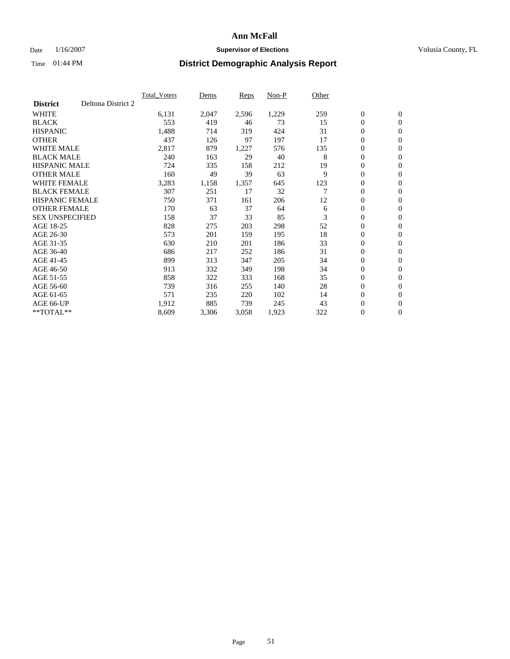### Date  $1/16/2007$  **Supervisor of Elections Supervisor of Elections** Volusia County, FL

|                        |                    | <b>Total Voters</b> | Dems  | Reps  | Non-P | Other |                  |                  |  |
|------------------------|--------------------|---------------------|-------|-------|-------|-------|------------------|------------------|--|
| <b>District</b>        | Deltona District 2 |                     |       |       |       |       |                  |                  |  |
| <b>WHITE</b>           |                    | 6,131               | 2,047 | 2,596 | 1,229 | 259   | $\boldsymbol{0}$ | $\mathbf{0}$     |  |
| <b>BLACK</b>           |                    | 553                 | 419   | 46    | 73    | 15    | $\mathbf{0}$     | $\mathbf{0}$     |  |
| <b>HISPANIC</b>        |                    | 1,488               | 714   | 319   | 424   | 31    | 0                | $\mathbf{0}$     |  |
| <b>OTHER</b>           |                    | 437                 | 126   | 97    | 197   | 17    | 0                | $\mathbf{0}$     |  |
| <b>WHITE MALE</b>      |                    | 2,817               | 879   | 1,227 | 576   | 135   | 0                | $\mathbf{0}$     |  |
| <b>BLACK MALE</b>      |                    | 240                 | 163   | 29    | 40    | 8     | $\boldsymbol{0}$ | $\boldsymbol{0}$ |  |
| <b>HISPANIC MALE</b>   |                    | 724                 | 335   | 158   | 212   | 19    | 0                | $\mathbf{0}$     |  |
| <b>OTHER MALE</b>      |                    | 160                 | 49    | 39    | 63    | 9     | $\mathbf{0}$     | $\mathbf{0}$     |  |
| <b>WHITE FEMALE</b>    |                    | 3,283               | 1,158 | 1,357 | 645   | 123   | 0                | $\mathbf{0}$     |  |
| <b>BLACK FEMALE</b>    |                    | 307                 | 251   | 17    | 32    | 7     | $\mathbf{0}$     | $\mathbf{0}$     |  |
| <b>HISPANIC FEMALE</b> |                    | 750                 | 371   | 161   | 206   | 12    | 0                | $\boldsymbol{0}$ |  |
| <b>OTHER FEMALE</b>    |                    | 170                 | 63    | 37    | 64    | 6     | 0                | $\mathbf{0}$     |  |
| <b>SEX UNSPECIFIED</b> |                    | 158                 | 37    | 33    | 85    | 3     | $\boldsymbol{0}$ | $\mathbf{0}$     |  |
| AGE 18-25              |                    | 828                 | 275   | 203   | 298   | 52    | 0                | $\mathbf{0}$     |  |
| AGE 26-30              |                    | 573                 | 201   | 159   | 195   | 18    | $\mathbf{0}$     | $\mathbf{0}$     |  |
| AGE 31-35              |                    | 630                 | 210   | 201   | 186   | 33    | 0                | $\mathbf{0}$     |  |
| AGE 36-40              |                    | 686                 | 217   | 252   | 186   | 31    | 0                | $\mathbf{0}$     |  |
| AGE 41-45              |                    | 899                 | 313   | 347   | 205   | 34    | 0                | $\mathbf{0}$     |  |
| AGE 46-50              |                    | 913                 | 332   | 349   | 198   | 34    | 0                | $\mathbf{0}$     |  |
| AGE 51-55              |                    | 858                 | 322   | 333   | 168   | 35    | $\boldsymbol{0}$ | $\boldsymbol{0}$ |  |
| AGE 56-60              |                    | 739                 | 316   | 255   | 140   | 28    | 0                | $\mathbf{0}$     |  |
| AGE 61-65              |                    | 571                 | 235   | 220   | 102   | 14    | $\mathbf{0}$     | $\mathbf{0}$     |  |
| AGE 66-UP              |                    | 1,912               | 885   | 739   | 245   | 43    | 0                | $\boldsymbol{0}$ |  |
| $*$ TOTAL $**$         |                    | 8,609               | 3,306 | 3,058 | 1,923 | 322   | 0                | $\mathbf{0}$     |  |
|                        |                    |                     |       |       |       |       |                  |                  |  |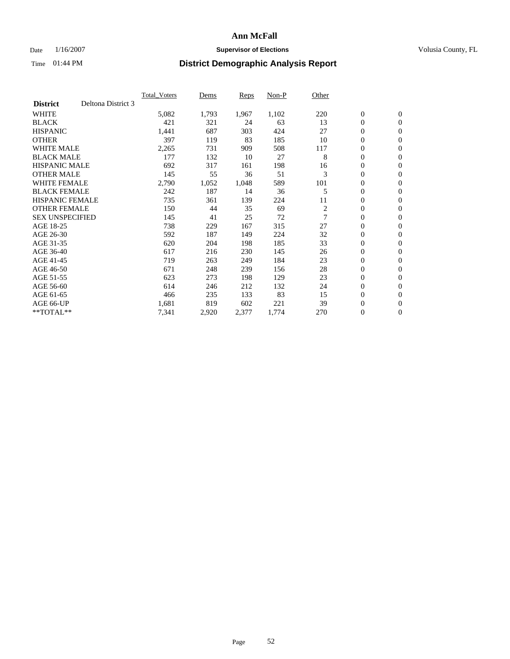### Date  $1/16/2007$  **Supervisor of Elections Supervisor of Elections** Volusia County, FL

|                        |                    | <b>Total Voters</b> | Dems  | Reps  | Non-P | Other          |                  |                  |  |
|------------------------|--------------------|---------------------|-------|-------|-------|----------------|------------------|------------------|--|
| <b>District</b>        | Deltona District 3 |                     |       |       |       |                |                  |                  |  |
| <b>WHITE</b>           |                    | 5,082               | 1,793 | 1,967 | 1,102 | 220            | $\boldsymbol{0}$ | $\boldsymbol{0}$ |  |
| <b>BLACK</b>           |                    | 421                 | 321   | 24    | 63    | 13             | $\mathbf{0}$     | $\mathbf{0}$     |  |
| <b>HISPANIC</b>        |                    | 1,441               | 687   | 303   | 424   | 27             | $\mathbf{0}$     | $\mathbf{0}$     |  |
| <b>OTHER</b>           |                    | 397                 | 119   | 83    | 185   | 10             | 0                | $\mathbf{0}$     |  |
| <b>WHITE MALE</b>      |                    | 2,265               | 731   | 909   | 508   | 117            | 0                | $\mathbf{0}$     |  |
| <b>BLACK MALE</b>      |                    | 177                 | 132   | 10    | 27    | 8              | 0                | $\boldsymbol{0}$ |  |
| <b>HISPANIC MALE</b>   |                    | 692                 | 317   | 161   | 198   | 16             | 0                | $\mathbf{0}$     |  |
| <b>OTHER MALE</b>      |                    | 145                 | 55    | 36    | 51    | 3              | 0                | $\mathbf{0}$     |  |
| <b>WHITE FEMALE</b>    |                    | 2,790               | 1,052 | 1,048 | 589   | 101            | 0                | $\mathbf{0}$     |  |
| <b>BLACK FEMALE</b>    |                    | 242                 | 187   | 14    | 36    | 5              | $\mathbf{0}$     | $\mathbf{0}$     |  |
| <b>HISPANIC FEMALE</b> |                    | 735                 | 361   | 139   | 224   | 11             | 0                | $\mathbf{0}$     |  |
| <b>OTHER FEMALE</b>    |                    | 150                 | 44    | 35    | 69    | $\overline{c}$ | $\overline{0}$   | $\mathbf{0}$     |  |
| <b>SEX UNSPECIFIED</b> |                    | 145                 | 41    | 25    | 72    | $\overline{7}$ | $\boldsymbol{0}$ | $\mathbf{0}$     |  |
| AGE 18-25              |                    | 738                 | 229   | 167   | 315   | 27             | 0                | $\mathbf{0}$     |  |
| AGE 26-30              |                    | 592                 | 187   | 149   | 224   | 32             | 0                | $\mathbf{0}$     |  |
| AGE 31-35              |                    | 620                 | 204   | 198   | 185   | 33             | 0                | $\mathbf{0}$     |  |
| AGE 36-40              |                    | 617                 | 216   | 230   | 145   | 26             | $\boldsymbol{0}$ | $\mathbf{0}$     |  |
| AGE 41-45              |                    | 719                 | 263   | 249   | 184   | 23             | 0                | $\mathbf{0}$     |  |
| AGE 46-50              |                    | 671                 | 248   | 239   | 156   | 28             | $\mathbf{0}$     | $\mathbf{0}$     |  |
| AGE 51-55              |                    | 623                 | 273   | 198   | 129   | 23             | $\overline{0}$   | $\mathbf{0}$     |  |
| AGE 56-60              |                    | 614                 | 246   | 212   | 132   | 24             | $\boldsymbol{0}$ | $\mathbf{0}$     |  |
| AGE 61-65              |                    | 466                 | 235   | 133   | 83    | 15             | 0                | $\mathbf{0}$     |  |
| AGE 66-UP              |                    | 1,681               | 819   | 602   | 221   | 39             | 0                | 0                |  |
| $*$ TOTAL $**$         |                    | 7,341               | 2,920 | 2,377 | 1,774 | 270            | 0                | $\boldsymbol{0}$ |  |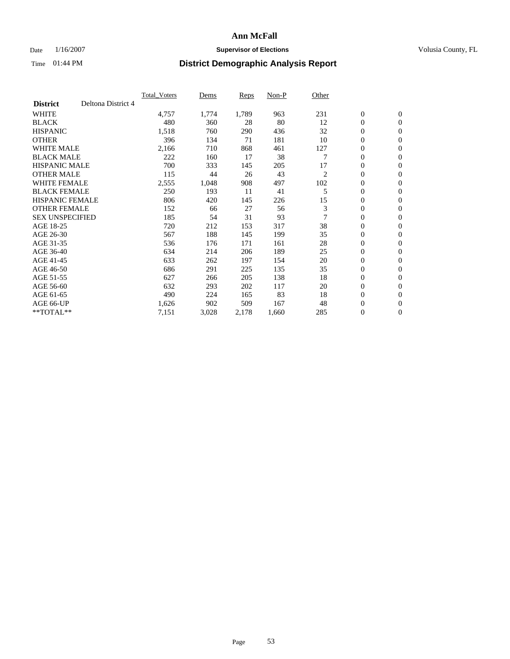### Date  $1/16/2007$  **Supervisor of Elections Supervisor of Elections** Volusia County, FL

|                        |                    | <b>Total Voters</b> | Dems  | Reps  | Non-P | Other |                  |                  |  |
|------------------------|--------------------|---------------------|-------|-------|-------|-------|------------------|------------------|--|
| <b>District</b>        | Deltona District 4 |                     |       |       |       |       |                  |                  |  |
| <b>WHITE</b>           |                    | 4,757               | 1,774 | 1,789 | 963   | 231   | $\boldsymbol{0}$ | $\boldsymbol{0}$ |  |
| <b>BLACK</b>           |                    | 480                 | 360   | 28    | 80    | 12    | $\mathbf{0}$     | $\mathbf{0}$     |  |
| <b>HISPANIC</b>        |                    | 1,518               | 760   | 290   | 436   | 32    | $\mathbf{0}$     | $\mathbf{0}$     |  |
| <b>OTHER</b>           |                    | 396                 | 134   | 71    | 181   | 10    | 0                | $\mathbf{0}$     |  |
| <b>WHITE MALE</b>      |                    | 2,166               | 710   | 868   | 461   | 127   | 0                | $\mathbf{0}$     |  |
| <b>BLACK MALE</b>      |                    | 222                 | 160   | 17    | 38    |       | 0                | $\boldsymbol{0}$ |  |
| <b>HISPANIC MALE</b>   |                    | 700                 | 333   | 145   | 205   | 17    | 0                | $\mathbf{0}$     |  |
| <b>OTHER MALE</b>      |                    | 115                 | 44    | 26    | 43    | 2     | 0                | $\mathbf{0}$     |  |
| <b>WHITE FEMALE</b>    |                    | 2,555               | 1,048 | 908   | 497   | 102   | 0                | $\mathbf{0}$     |  |
| <b>BLACK FEMALE</b>    |                    | 250                 | 193   | 11    | 41    | 5     | $\mathbf{0}$     | $\mathbf{0}$     |  |
| <b>HISPANIC FEMALE</b> |                    | 806                 | 420   | 145   | 226   | 15    | 0                | $\mathbf{0}$     |  |
| <b>OTHER FEMALE</b>    |                    | 152                 | 66    | 27    | 56    | 3     | $\overline{0}$   | $\mathbf{0}$     |  |
| <b>SEX UNSPECIFIED</b> |                    | 185                 | 54    | 31    | 93    | 7     | $\boldsymbol{0}$ | $\boldsymbol{0}$ |  |
| AGE 18-25              |                    | 720                 | 212   | 153   | 317   | 38    | 0                | $\mathbf{0}$     |  |
| AGE 26-30              |                    | 567                 | 188   | 145   | 199   | 35    | 0                | $\mathbf{0}$     |  |
| AGE 31-35              |                    | 536                 | 176   | 171   | 161   | 28    | 0                | $\mathbf{0}$     |  |
| AGE 36-40              |                    | 634                 | 214   | 206   | 189   | 25    | $\boldsymbol{0}$ | $\mathbf{0}$     |  |
| AGE 41-45              |                    | 633                 | 262   | 197   | 154   | 20    | 0                | $\mathbf{0}$     |  |
| AGE 46-50              |                    | 686                 | 291   | 225   | 135   | 35    | $\mathbf{0}$     | $\mathbf{0}$     |  |
| AGE 51-55              |                    | 627                 | 266   | 205   | 138   | 18    | $\overline{0}$   | $\mathbf{0}$     |  |
| AGE 56-60              |                    | 632                 | 293   | 202   | 117   | 20    | 0                | $\mathbf{0}$     |  |
| AGE 61-65              |                    | 490                 | 224   | 165   | 83    | 18    | 0                | 0                |  |
| AGE 66-UP              |                    | 1,626               | 902   | 509   | 167   | 48    | 0                | 0                |  |
| $*$ TOTAL $**$         |                    | 7,151               | 3,028 | 2,178 | 1,660 | 285   | 0                | $\boldsymbol{0}$ |  |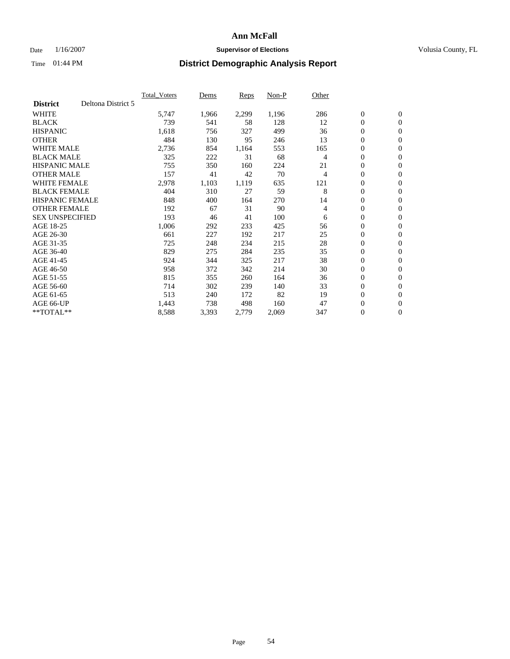### Date  $1/16/2007$  **Supervisor of Elections Supervisor of Elections** Volusia County, FL

|                                       | <b>Total_Voters</b> | Dems  | Reps  | Non-P | Other |                  |                  |  |
|---------------------------------------|---------------------|-------|-------|-------|-------|------------------|------------------|--|
| Deltona District 5<br><b>District</b> |                     |       |       |       |       |                  |                  |  |
| <b>WHITE</b>                          | 5,747               | 1,966 | 2,299 | 1,196 | 286   | $\boldsymbol{0}$ | $\mathbf{0}$     |  |
| <b>BLACK</b>                          | 739                 | 541   | 58    | 128   | 12    | $\overline{0}$   | $\mathbf{0}$     |  |
| <b>HISPANIC</b>                       | 1,618               | 756   | 327   | 499   | 36    | $\boldsymbol{0}$ | $\mathbf{0}$     |  |
| <b>OTHER</b>                          | 484                 | 130   | 95    | 246   | 13    | $\boldsymbol{0}$ | $\mathbf{0}$     |  |
| <b>WHITE MALE</b>                     | 2,736               | 854   | 1,164 | 553   | 165   | $\boldsymbol{0}$ | $\mathbf{0}$     |  |
| <b>BLACK MALE</b>                     | 325                 | 222   | 31    | 68    | 4     | $\boldsymbol{0}$ | $\boldsymbol{0}$ |  |
| <b>HISPANIC MALE</b>                  | 755                 | 350   | 160   | 224   | 21    | $\overline{0}$   | $\mathbf{0}$     |  |
| <b>OTHER MALE</b>                     | 157                 | 41    | 42    | 70    | 4     | $\mathbf{0}$     | $\mathbf{0}$     |  |
| <b>WHITE FEMALE</b>                   | 2,978               | 1,103 | 1,119 | 635   | 121   | $\overline{0}$   | $\mathbf{0}$     |  |
| <b>BLACK FEMALE</b>                   | 404                 | 310   | 27    | 59    | 8     | $\overline{0}$   | $\mathbf{0}$     |  |
| <b>HISPANIC FEMALE</b>                | 848                 | 400   | 164   | 270   | 14    | $\boldsymbol{0}$ | $\boldsymbol{0}$ |  |
| <b>OTHER FEMALE</b>                   | 192                 | 67    | 31    | 90    | 4     | $\overline{0}$   | $\mathbf{0}$     |  |
| <b>SEX UNSPECIFIED</b>                | 193                 | 46    | 41    | 100   | 6     | $\boldsymbol{0}$ | $\mathbf{0}$     |  |
| AGE 18-25                             | 1,006               | 292   | 233   | 425   | 56    | $\overline{0}$   | $\mathbf{0}$     |  |
| AGE 26-30                             | 661                 | 227   | 192   | 217   | 25    | $\overline{0}$   | $\mathbf{0}$     |  |
| AGE 31-35                             | 725                 | 248   | 234   | 215   | 28    | $\boldsymbol{0}$ | $\mathbf{0}$     |  |
| AGE 36-40                             | 829                 | 275   | 284   | 235   | 35    | $\boldsymbol{0}$ | $\mathbf{0}$     |  |
| AGE 41-45                             | 924                 | 344   | 325   | 217   | 38    | $\boldsymbol{0}$ | $\mathbf{0}$     |  |
| AGE 46-50                             | 958                 | 372   | 342   | 214   | 30    | $\boldsymbol{0}$ | $\mathbf{0}$     |  |
| AGE 51-55                             | 815                 | 355   | 260   | 164   | 36    | $\boldsymbol{0}$ | $\boldsymbol{0}$ |  |
| AGE 56-60                             | 714                 | 302   | 239   | 140   | 33    | $\overline{0}$   | $\mathbf{0}$     |  |
| AGE 61-65                             | 513                 | 240   | 172   | 82    | 19    | $\mathbf{0}$     | $\mathbf{0}$     |  |
| AGE 66-UP                             | 1,443               | 738   | 498   | 160   | 47    | $\boldsymbol{0}$ | $\boldsymbol{0}$ |  |
| **TOTAL**                             | 8,588               | 3,393 | 2,779 | 2,069 | 347   | $\boldsymbol{0}$ | $\mathbf{0}$     |  |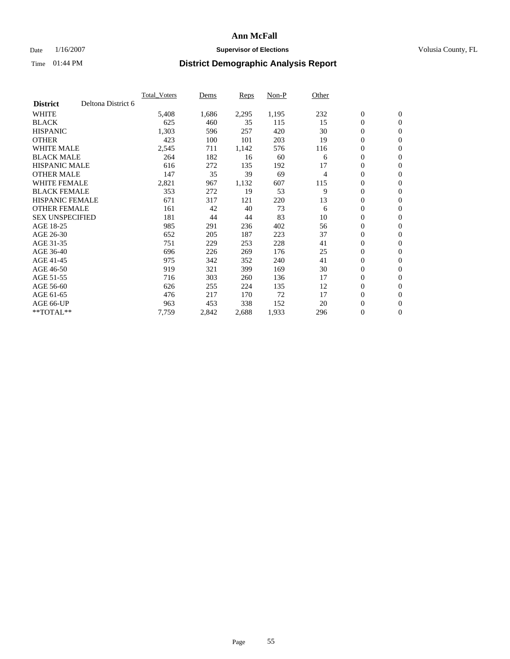### Date  $1/16/2007$  **Supervisor of Elections Supervisor of Elections** Volusia County, FL

|                        |                    | <b>Total Voters</b> | Dems  | Reps  | Non-P | Other |                  |                  |  |
|------------------------|--------------------|---------------------|-------|-------|-------|-------|------------------|------------------|--|
| <b>District</b>        | Deltona District 6 |                     |       |       |       |       |                  |                  |  |
| <b>WHITE</b>           |                    | 5,408               | 1,686 | 2,295 | 1,195 | 232   | $\boldsymbol{0}$ | $\boldsymbol{0}$ |  |
| <b>BLACK</b>           |                    | 625                 | 460   | 35    | 115   | 15    | $\mathbf{0}$     | $\mathbf{0}$     |  |
| <b>HISPANIC</b>        |                    | 1,303               | 596   | 257   | 420   | 30    | $\mathbf{0}$     | $\mathbf{0}$     |  |
| <b>OTHER</b>           |                    | 423                 | 100   | 101   | 203   | 19    | 0                | $\mathbf{0}$     |  |
| <b>WHITE MALE</b>      |                    | 2,545               | 711   | 1,142 | 576   | 116   | 0                | $\mathbf{0}$     |  |
| <b>BLACK MALE</b>      |                    | 264                 | 182   | 16    | 60    | 6     | 0                | $\mathbf{0}$     |  |
| <b>HISPANIC MALE</b>   |                    | 616                 | 272   | 135   | 192   | 17    | 0                | $\mathbf{0}$     |  |
| <b>OTHER MALE</b>      |                    | 147                 | 35    | 39    | 69    | 4     | 0                | $\mathbf{0}$     |  |
| <b>WHITE FEMALE</b>    |                    | 2,821               | 967   | 1,132 | 607   | 115   | 0                | $\mathbf{0}$     |  |
| <b>BLACK FEMALE</b>    |                    | 353                 | 272   | 19    | 53    | 9     | $\mathbf{0}$     | $\mathbf{0}$     |  |
| <b>HISPANIC FEMALE</b> |                    | 671                 | 317   | 121   | 220   | 13    | 0                | $\mathbf{0}$     |  |
| <b>OTHER FEMALE</b>    |                    | 161                 | 42    | 40    | 73    | 6     | $\mathbf{0}$     | $\mathbf{0}$     |  |
| <b>SEX UNSPECIFIED</b> |                    | 181                 | 44    | 44    | 83    | 10    | $\boldsymbol{0}$ | $\boldsymbol{0}$ |  |
| AGE 18-25              |                    | 985                 | 291   | 236   | 402   | 56    | 0                | $\mathbf{0}$     |  |
| AGE 26-30              |                    | 652                 | 205   | 187   | 223   | 37    | 0                | $\mathbf{0}$     |  |
| AGE 31-35              |                    | 751                 | 229   | 253   | 228   | 41    | 0                | $\mathbf{0}$     |  |
| AGE 36-40              |                    | 696                 | 226   | 269   | 176   | 25    | $\boldsymbol{0}$ | $\mathbf{0}$     |  |
| AGE 41-45              |                    | 975                 | 342   | 352   | 240   | 41    | 0                | $\mathbf{0}$     |  |
| AGE 46-50              |                    | 919                 | 321   | 399   | 169   | 30    | $\mathbf{0}$     | $\mathbf{0}$     |  |
| AGE 51-55              |                    | 716                 | 303   | 260   | 136   | 17    | $\overline{0}$   | $\mathbf{0}$     |  |
| AGE 56-60              |                    | 626                 | 255   | 224   | 135   | 12    | $\boldsymbol{0}$ | $\mathbf{0}$     |  |
| AGE 61-65              |                    | 476                 | 217   | 170   | 72    | 17    | 0                | $\boldsymbol{0}$ |  |
| AGE 66-UP              |                    | 963                 | 453   | 338   | 152   | 20    | 0                | 0                |  |
| $*$ TOTAL $**$         |                    | 7,759               | 2,842 | 2,688 | 1,933 | 296   | 0                | $\boldsymbol{0}$ |  |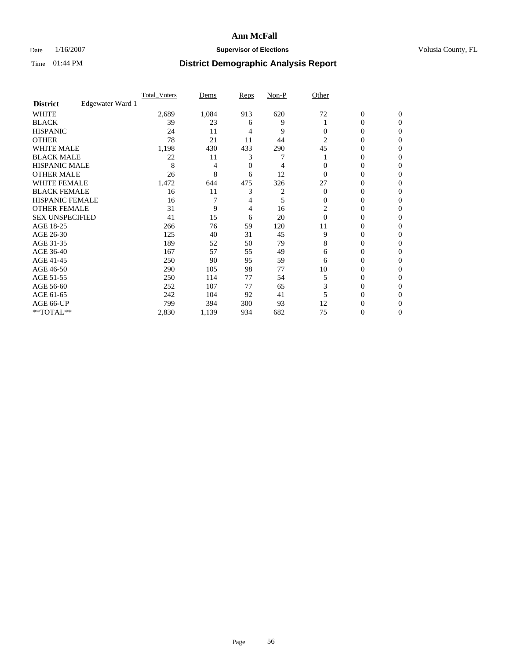### Date  $1/16/2007$  **Supervisor of Elections Supervisor of Elections** Volusia County, FL

|                        |                  | <b>Total Voters</b> | Dems  | Reps | Non-P | Other    |                  |              |  |
|------------------------|------------------|---------------------|-------|------|-------|----------|------------------|--------------|--|
| <b>District</b>        | Edgewater Ward 1 |                     |       |      |       |          |                  |              |  |
| <b>WHITE</b>           |                  | 2,689               | 1,084 | 913  | 620   | 72       | $\boldsymbol{0}$ | $\mathbf{0}$ |  |
| <b>BLACK</b>           |                  | 39                  | 23    | 6    | 9     |          | 0                | $\mathbf{0}$ |  |
| <b>HISPANIC</b>        |                  | 24                  | 11    | 4    | 9     | $\Omega$ | 0                | $\Omega$     |  |
| <b>OTHER</b>           |                  | 78                  | 21    | 11   | 44    | 2        | $\overline{0}$   | $\theta$     |  |
| <b>WHITE MALE</b>      |                  | 1,198               | 430   | 433  | 290   | 45       | 0                | 0            |  |
| <b>BLACK MALE</b>      |                  | 22                  | 11    | 3    |       |          | 0                | 0            |  |
| <b>HISPANIC MALE</b>   |                  | 8                   | 4     | 0    | 4     |          | 0                |              |  |
| <b>OTHER MALE</b>      |                  | 26                  | 8     | 6    | 12    | 0        | 0                | 0            |  |
| WHITE FEMALE           |                  | 1,472               | 644   | 475  | 326   | 27       | 0                | 0            |  |
| <b>BLACK FEMALE</b>    |                  | 16                  | 11    | 3    | 2     | $\Omega$ | 0                | 0            |  |
| <b>HISPANIC FEMALE</b> |                  | 16                  |       | 4    | 5     | 0        | 0                | $\Omega$     |  |
| <b>OTHER FEMALE</b>    |                  | 31                  | 9     | 4    | 16    | 2        | 0                | $\theta$     |  |
| <b>SEX UNSPECIFIED</b> |                  | 41                  | 15    | 6    | 20    | $\Omega$ | 0                | $\theta$     |  |
| AGE 18-25              |                  | 266                 | 76    | 59   | 120   | 11       | 0                | $_{0}$       |  |
| AGE 26-30              |                  | 125                 | 40    | 31   | 45    | 9        | 0                | 0            |  |
| AGE 31-35              |                  | 189                 | 52    | 50   | 79    | 8        | 0                |              |  |
| AGE 36-40              |                  | 167                 | 57    | 55   | 49    | 6        | 0                | 0            |  |
| AGE 41-45              |                  | 250                 | 90    | 95   | 59    | 6        | 0                | 0            |  |
| AGE 46-50              |                  | 290                 | 105   | 98   | 77    | 10       | 0                | $\Omega$     |  |
| AGE 51-55              |                  | 250                 | 114   | 77   | 54    | 5        | 0                | $\theta$     |  |
| AGE 56-60              |                  | 252                 | 107   | 77   | 65    | 3        | 0                | $\theta$     |  |
| AGE 61-65              |                  | 242                 | 104   | 92   | 41    |          | 0                | 0            |  |
| AGE 66-UP              |                  | 799                 | 394   | 300  | 93    | 12       | 0                |              |  |
| **TOTAL**              |                  | 2,830               | 1,139 | 934  | 682   | 75       | 0                | 0            |  |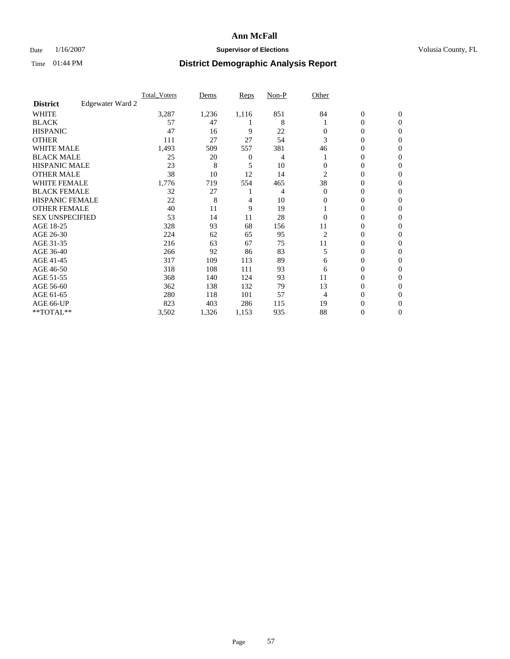### Date  $1/16/2007$  **Supervisor of Elections Supervisor of Elections** Volusia County, FL

|                        |                  | Total Voters | Dems  | Reps         | Non-P | Other    |                  |                |  |
|------------------------|------------------|--------------|-------|--------------|-------|----------|------------------|----------------|--|
| <b>District</b>        | Edgewater Ward 2 |              |       |              |       |          |                  |                |  |
| <b>WHITE</b>           |                  | 3,287        | 1,236 | 1,116        | 851   | 84       | $\boldsymbol{0}$ | $\mathbf{0}$   |  |
| <b>BLACK</b>           |                  | 57           | 47    |              | 8     |          | $\overline{0}$   | $\mathbf{0}$   |  |
| <b>HISPANIC</b>        |                  | 47           | 16    | 9            | 22    | 0        | $\mathbf{0}$     | $\mathbf{0}$   |  |
| <b>OTHER</b>           |                  | 111          | 27    | 27           | 54    | 3        | $\overline{0}$   | $\overline{0}$ |  |
| <b>WHITE MALE</b>      |                  | 1,493        | 509   | 557          | 381   | 46       | $\mathbf{0}$     | $\Omega$       |  |
| <b>BLACK MALE</b>      |                  | 25           | 20    | $\mathbf{0}$ | 4     |          | $\mathbf{0}$     | 0              |  |
| <b>HISPANIC MALE</b>   |                  | 23           | 8     | 5            | 10    | 0        | $\mathbf{0}$     | 0              |  |
| <b>OTHER MALE</b>      |                  | 38           | 10    | 12           | 14    | 2        | $\overline{0}$   | 0              |  |
| <b>WHITE FEMALE</b>    |                  | 1,776        | 719   | 554          | 465   | 38       | $\Omega$         | 0              |  |
| <b>BLACK FEMALE</b>    |                  | 32           | 27    |              | 4     | $\Omega$ | $\overline{0}$   | $\mathbf{0}$   |  |
| <b>HISPANIC FEMALE</b> |                  | 22           | 8     | 4            | 10    | 0        | $\Omega$         | $\Omega$       |  |
| <b>OTHER FEMALE</b>    |                  | 40           | 11    | 9            | 19    |          | $\mathbf{0}$     | $\mathbf{0}$   |  |
| <b>SEX UNSPECIFIED</b> |                  | 53           | 14    | 11           | 28    | $\Omega$ | $\mathbf{0}$     | $\Omega$       |  |
| AGE 18-25              |                  | 328          | 93    | 68           | 156   | 11       | $\mathbf{0}$     | 0              |  |
| AGE 26-30              |                  | 224          | 62    | 65           | 95    | 2        | $\overline{0}$   | $\Omega$       |  |
| AGE 31-35              |                  | 216          | 63    | 67           | 75    | 11       | $\mathbf{0}$     | 0              |  |
| AGE 36-40              |                  | 266          | 92    | 86           | 83    | 5        | $\overline{0}$   | 0              |  |
| AGE 41-45              |                  | 317          | 109   | 113          | 89    | 6        | $\mathbf{0}$     | 0              |  |
| AGE 46-50              |                  | 318          | 108   | 111          | 93    | 6        | $\mathbf{0}$     | $\mathbf{0}$   |  |
| AGE 51-55              |                  | 368          | 140   | 124          | 93    | 11       | $\mathbf{0}$     | $\Omega$       |  |
| AGE 56-60              |                  | 362          | 138   | 132          | 79    | 13       | $\overline{0}$   | $\Omega$       |  |
| AGE 61-65              |                  | 280          | 118   | 101          | 57    | 4        | $\mathbf{0}$     | 0              |  |
| AGE 66-UP              |                  | 823          | 403   | 286          | 115   | 19       | 0                |                |  |
| **TOTAL**              |                  | 3,502        | 1,326 | 1,153        | 935   | 88       | $\boldsymbol{0}$ | $\mathbf{0}$   |  |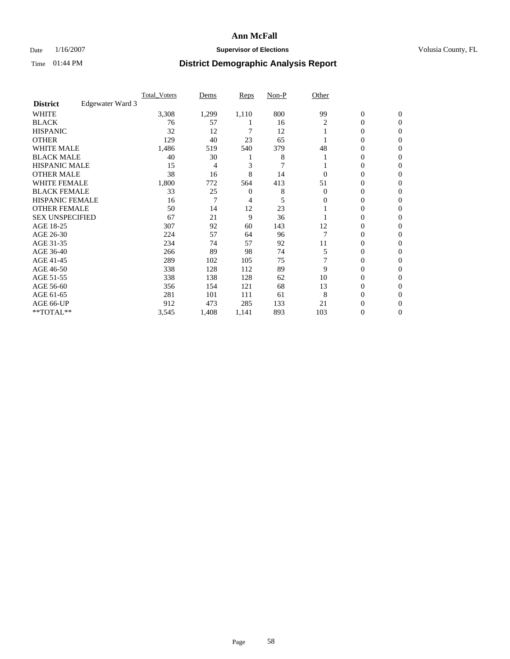### Date  $1/16/2007$  **Supervisor of Elections Supervisor of Elections** Volusia County, FL

|                        |                  | <b>Total Voters</b> | Dems  | Reps  | Non-P | Other    |                  |                  |  |
|------------------------|------------------|---------------------|-------|-------|-------|----------|------------------|------------------|--|
| <b>District</b>        | Edgewater Ward 3 |                     |       |       |       |          |                  |                  |  |
| <b>WHITE</b>           |                  | 3,308               | 1,299 | 1,110 | 800   | 99       | $\boldsymbol{0}$ | $\mathbf{0}$     |  |
| <b>BLACK</b>           |                  | 76                  | 57    |       | 16    | 2        | 0                | $\mathbf{0}$     |  |
| <b>HISPANIC</b>        |                  | 32                  | 12    |       | 12    |          | 0                | $\mathbf{0}$     |  |
| <b>OTHER</b>           |                  | 129                 | 40    | 23    | 65    |          | 0                | $\boldsymbol{0}$ |  |
| <b>WHITE MALE</b>      |                  | 1,486               | 519   | 540   | 379   | 48       | 0                | $\theta$         |  |
| <b>BLACK MALE</b>      |                  | 40                  | 30    |       | 8     |          | 0                | 0                |  |
| <b>HISPANIC MALE</b>   |                  | 15                  | 4     | 3     | 7     |          | 0                | 0                |  |
| <b>OTHER MALE</b>      |                  | 38                  | 16    | 8     | 14    | 0        | 0                | 0                |  |
| WHITE FEMALE           |                  | 1,800               | 772   | 564   | 413   | 51       | 0                | 0                |  |
| <b>BLACK FEMALE</b>    |                  | 33                  | 25    | 0     | 8     | $\Omega$ | 0                | $\mathbf{0}$     |  |
| <b>HISPANIC FEMALE</b> |                  | 16                  | 7     | 4     | 5     | 0        | 0                | $\Omega$         |  |
| <b>OTHER FEMALE</b>    |                  | 50                  | 14    | 12    | 23    |          | 0                | $\theta$         |  |
| <b>SEX UNSPECIFIED</b> |                  | 67                  | 21    | 9     | 36    |          | 0                | $\Omega$         |  |
| AGE 18-25              |                  | 307                 | 92    | 60    | 143   | 12       | 0                | 0                |  |
| AGE 26-30              |                  | 224                 | 57    | 64    | 96    |          | 0                | $\Omega$         |  |
| AGE 31-35              |                  | 234                 | 74    | 57    | 92    | 11       | 0                | 0                |  |
| AGE 36-40              |                  | 266                 | 89    | 98    | 74    | 5        | 0                | 0                |  |
| AGE 41-45              |                  | 289                 | 102   | 105   | 75    |          | 0                | 0                |  |
| AGE 46-50              |                  | 338                 | 128   | 112   | 89    | 9        | 0                | $\mathbf{0}$     |  |
| AGE 51-55              |                  | 338                 | 138   | 128   | 62    | 10       | 0                | $\Omega$         |  |
| AGE 56-60              |                  | 356                 | 154   | 121   | 68    | 13       | 0                | $\theta$         |  |
| AGE 61-65              |                  | 281                 | 101   | 111   | 61    | 8        | 0                | 0                |  |
| AGE 66-UP              |                  | 912                 | 473   | 285   | 133   | 21       | 0                |                  |  |
| **TOTAL**              |                  | 3,545               | 1,408 | 1,141 | 893   | 103      | 0                | $\mathbf{0}$     |  |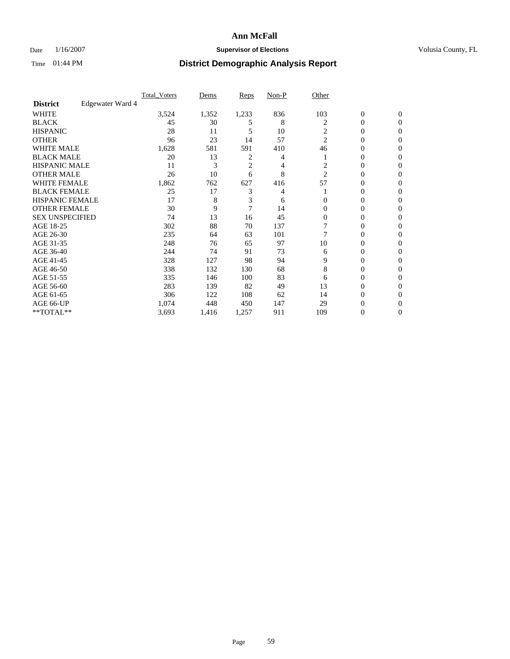### Date  $1/16/2007$  **Supervisor of Elections Supervisor of Elections** Volusia County, FL

|                        |                  | Total Voters | Dems  | Reps           | Non-P | Other          |                  |                |  |
|------------------------|------------------|--------------|-------|----------------|-------|----------------|------------------|----------------|--|
| <b>District</b>        | Edgewater Ward 4 |              |       |                |       |                |                  |                |  |
| <b>WHITE</b>           |                  | 3,524        | 1,352 | 1,233          | 836   | 103            | $\boldsymbol{0}$ | $\mathbf{0}$   |  |
| <b>BLACK</b>           |                  | 45           | 30    | 5              | 8     | 2              | $\overline{0}$   | $\mathbf{0}$   |  |
| <b>HISPANIC</b>        |                  | 28           | 11    | 5              | 10    | 2              | $\mathbf{0}$     | $\mathbf{0}$   |  |
| <b>OTHER</b>           |                  | 96           | 23    | 14             | 57    | $\overline{c}$ | $\overline{0}$   | $\overline{0}$ |  |
| <b>WHITE MALE</b>      |                  | 1,628        | 581   | 591            | 410   | 46             | $\mathbf{0}$     | $\Omega$       |  |
| <b>BLACK MALE</b>      |                  | 20           | 13    | $\overline{c}$ | 4     |                | 0                | 0              |  |
| <b>HISPANIC MALE</b>   |                  | 11           | 3     | $\overline{2}$ | 4     | 2              | $\mathbf{0}$     | 0              |  |
| <b>OTHER MALE</b>      |                  | 26           | 10    | 6              | 8     | 2              | $\overline{0}$   | 0              |  |
| <b>WHITE FEMALE</b>    |                  | 1,862        | 762   | 627            | 416   | 57             | $\Omega$         | 0              |  |
| <b>BLACK FEMALE</b>    |                  | 25           | 17    | 3              | 4     |                | $\overline{0}$   | $\mathbf{0}$   |  |
| <b>HISPANIC FEMALE</b> |                  | 17           | 8     | 3              | 6     | $\Omega$       | $\mathbf{0}$     | $\Omega$       |  |
| <b>OTHER FEMALE</b>    |                  | 30           | 9     | 7              | 14    | $\Omega$       | $\mathbf{0}$     | $\mathbf{0}$   |  |
| <b>SEX UNSPECIFIED</b> |                  | 74           | 13    | 16             | 45    | $\Omega$       | $\overline{0}$   | $\Omega$       |  |
| AGE 18-25              |                  | 302          | 88    | 70             | 137   |                | $\mathbf{0}$     | 0              |  |
| AGE 26-30              |                  | 235          | 64    | 63             | 101   |                | $\overline{0}$   | $\Omega$       |  |
| AGE 31-35              |                  | 248          | 76    | 65             | 97    | 10             | $\mathbf{0}$     | 0              |  |
| AGE 36-40              |                  | 244          | 74    | 91             | 73    | 6              | $\overline{0}$   | $\mathbf{0}$   |  |
| AGE 41-45              |                  | 328          | 127   | 98             | 94    | 9              | $\mathbf{0}$     | 0              |  |
| AGE 46-50              |                  | 338          | 132   | 130            | 68    | 8              | $\mathbf{0}$     | $\mathbf{0}$   |  |
| AGE 51-55              |                  | 335          | 146   | 100            | 83    | 6              | $\mathbf{0}$     | $\Omega$       |  |
| AGE 56-60              |                  | 283          | 139   | 82             | 49    | 13             | $\overline{0}$   | $\Omega$       |  |
| AGE 61-65              |                  | 306          | 122   | 108            | 62    | 14             | $\mathbf{0}$     | 0              |  |
| AGE 66-UP              |                  | 1,074        | 448   | 450            | 147   | 29             | 0                |                |  |
| **TOTAL**              |                  | 3,693        | 1,416 | 1,257          | 911   | 109            | $\boldsymbol{0}$ | $\mathbf{0}$   |  |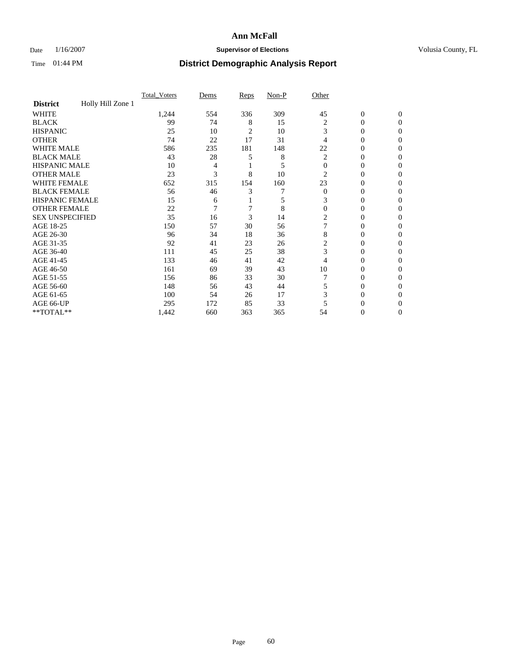### Date  $1/16/2007$  **Supervisor of Elections Supervisor of Elections** Volusia County, FL

|                        |                   | Total Voters | Dems | Reps | Non-P | Other          |                  |                  |
|------------------------|-------------------|--------------|------|------|-------|----------------|------------------|------------------|
| <b>District</b>        | Holly Hill Zone 1 |              |      |      |       |                |                  |                  |
| <b>WHITE</b>           |                   | 1,244        | 554  | 336  | 309   | 45             | $\boldsymbol{0}$ | $\mathbf{0}$     |
| <b>BLACK</b>           |                   | 99           | 74   | 8    | 15    | 2              | 0                | $\Omega$         |
| <b>HISPANIC</b>        |                   | 25           | 10   | 2    | 10    | 3              | 0                | $\mathbf{0}$     |
| <b>OTHER</b>           |                   | 74           | 22   | 17   | 31    | 4              | 0                | $\theta$         |
| WHITE MALE             |                   | 586          | 235  | 181  | 148   | 22             | 0                | $\mathbf{0}$     |
| <b>BLACK MALE</b>      |                   | 43           | 28   | 5    | 8     | 2              | 0                | 0                |
| <b>HISPANIC MALE</b>   |                   | 10           | 4    |      | 5     | $\Omega$       | 0                | 0                |
| <b>OTHER MALE</b>      |                   | 23           | 3    | 8    | 10    | 2              | 0                | $\Omega$         |
| <b>WHITE FEMALE</b>    |                   | 652          | 315  | 154  | 160   | 23             | 0                | $\Omega$         |
| <b>BLACK FEMALE</b>    |                   | 56           | 46   | 3    |       | $\overline{0}$ | 0                | $\overline{0}$   |
| <b>HISPANIC FEMALE</b> |                   | 15           | 6    |      | 5     | 3              | 0                | 0                |
| <b>OTHER FEMALE</b>    |                   | 22           | 7    | 7    | 8     | $\theta$       | 0                | 0                |
| <b>SEX UNSPECIFIED</b> |                   | 35           | 16   | 3    | 14    | 2              | 0                | 0                |
| AGE 18-25              |                   | 150          | 57   | 30   | 56    |                | 0                | $\mathbf{0}$     |
| AGE 26-30              |                   | 96           | 34   | 18   | 36    | 8              | 0                | $\Omega$         |
| AGE 31-35              |                   | 92           | 41   | 23   | 26    | 2              | 0                | $\boldsymbol{0}$ |
| AGE 36-40              |                   | 111          | 45   | 25   | 38    | 3              | 0                | $\mathbf{0}$     |
| AGE 41-45              |                   | 133          | 46   | 41   | 42    | 4              | 0                | $\Omega$         |
| AGE 46-50              |                   | 161          | 69   | 39   | 43    | 10             | 0                | $\mathbf{0}$     |
| AGE 51-55              |                   | 156          | 86   | 33   | 30    |                | 0                | $\Omega$         |
| AGE 56-60              |                   | 148          | 56   | 43   | 44    | 5              | 0                | $\mathbf{0}$     |
| AGE 61-65              |                   | 100          | 54   | 26   | 17    | 3              | 0                | $\mathbf{0}$     |
| AGE 66-UP              |                   | 295          | 172  | 85   | 33    |                | 0                | 0                |
| **TOTAL**              |                   | 1,442        | 660  | 363  | 365   | 54             | 0                | 0                |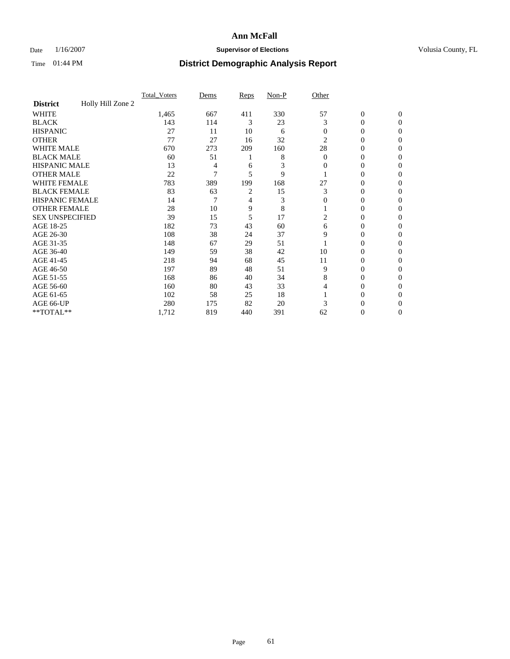### Date  $1/16/2007$  **Supervisor of Elections Supervisor of Elections** Volusia County, FL

|                        |                   | Total Voters | Dems | Reps | Non-P | Other          |                  |                  |
|------------------------|-------------------|--------------|------|------|-------|----------------|------------------|------------------|
| <b>District</b>        | Holly Hill Zone 2 |              |      |      |       |                |                  |                  |
| <b>WHITE</b>           |                   | 1,465        | 667  | 411  | 330   | 57             | $\boldsymbol{0}$ | $\mathbf{0}$     |
| <b>BLACK</b>           |                   | 143          | 114  | 3    | 23    | 3              | $\theta$         | $\Omega$         |
| <b>HISPANIC</b>        |                   | 27           | 11   | 10   | 6     | $\overline{0}$ | 0                | $\mathbf{0}$     |
| <b>OTHER</b>           |                   | 77           | 27   | 16   | 32    | $\overline{2}$ | $\overline{0}$   | $\theta$         |
| WHITE MALE             |                   | 670          | 273  | 209  | 160   | 28             | 0                | $\theta$         |
| <b>BLACK MALE</b>      |                   | 60           | 51   |      | 8     | $\overline{0}$ | 0                | 0                |
| <b>HISPANIC MALE</b>   |                   | 13           | 4    | 6    | 3     | 0              | 0                | 0                |
| <b>OTHER MALE</b>      |                   | 22           | 7    | 5    | 9     |                | 0                | $\Omega$         |
| <b>WHITE FEMALE</b>    |                   | 783          | 389  | 199  | 168   | 27             | 0                | $\Omega$         |
| <b>BLACK FEMALE</b>    |                   | 83           | 63   | 2    | 15    | 3              | $\overline{0}$   | $\overline{0}$   |
| <b>HISPANIC FEMALE</b> |                   | 14           | 7    | 4    | 3     | $\mathbf{0}$   | $\overline{0}$   | 0                |
| <b>OTHER FEMALE</b>    |                   | 28           | 10   | 9    | 8     |                | 0                | 0                |
| <b>SEX UNSPECIFIED</b> |                   | 39           | 15   | 5    | 17    | 2              | 0                | 0                |
| AGE 18-25              |                   | 182          | 73   | 43   | 60    | 6              | 0                | $\mathbf{0}$     |
| AGE 26-30              |                   | 108          | 38   | 24   | 37    | 9              | 0                | $\Omega$         |
| AGE 31-35              |                   | 148          | 67   | 29   | 51    |                | 0                | $\boldsymbol{0}$ |
| AGE 36-40              |                   | 149          | 59   | 38   | 42    | 10             | 0                | $\mathbf{0}$     |
| AGE 41-45              |                   | 218          | 94   | 68   | 45    | 11             | 0                | 0                |
| AGE 46-50              |                   | 197          | 89   | 48   | 51    | 9              | 0                | $\mathbf{0}$     |
| AGE 51-55              |                   | 168          | 86   | 40   | 34    | 8              | 0                | $\Omega$         |
| AGE 56-60              |                   | 160          | 80   | 43   | 33    | 4              | 0                | $\mathbf{0}$     |
| AGE 61-65              |                   | 102          | 58   | 25   | 18    |                | 0                | $\boldsymbol{0}$ |
| AGE 66-UP              |                   | 280          | 175  | 82   | 20    | 3              | 0                | 0                |
| **TOTAL**              |                   | 1,712        | 819  | 440  | 391   | 62             | 0                | $\mathbf{0}$     |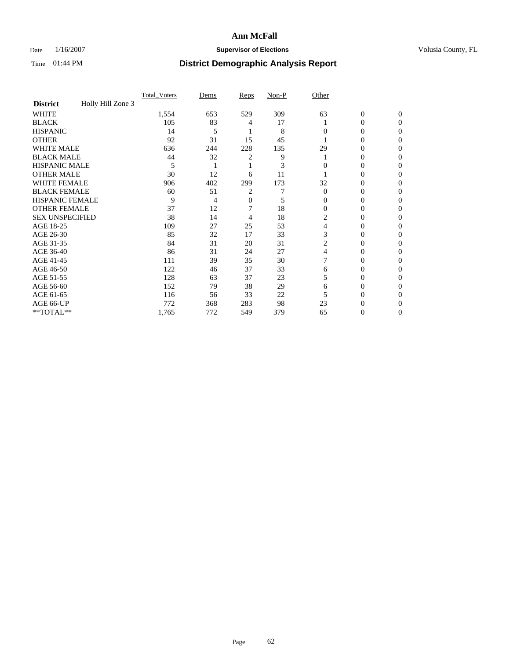### Date  $1/16/2007$  **Supervisor of Elections Supervisor of Elections** Volusia County, FL

|                        |                   | <b>Total Voters</b> | Dems | Reps | Non-P | Other    |                  |              |  |
|------------------------|-------------------|---------------------|------|------|-------|----------|------------------|--------------|--|
| <b>District</b>        | Holly Hill Zone 3 |                     |      |      |       |          |                  |              |  |
| <b>WHITE</b>           |                   | 1,554               | 653  | 529  | 309   | 63       | $\boldsymbol{0}$ | $\mathbf{0}$ |  |
| <b>BLACK</b>           |                   | 105                 | 83   | 4    | 17    |          | 0                | $\Omega$     |  |
| <b>HISPANIC</b>        |                   | 14                  | 5    |      | 8     | 0        | 0                | $\theta$     |  |
| <b>OTHER</b>           |                   | 92                  | 31   | 15   | 45    |          | 0                | 0            |  |
| <b>WHITE MALE</b>      |                   | 636                 | 244  | 228  | 135   | 29       | 0                |              |  |
| <b>BLACK MALE</b>      |                   | 44                  | 32   | 2    | 9     |          | 0                | 0            |  |
| <b>HISPANIC MALE</b>   |                   | 5                   |      |      | 3     |          | 0                |              |  |
| <b>OTHER MALE</b>      |                   | 30                  | 12   | 6    | 11    |          | 0                | 0            |  |
| WHITE FEMALE           |                   | 906                 | 402  | 299  | 173   | 32       | 0                | 0            |  |
| <b>BLACK FEMALE</b>    |                   | 60                  | 51   | 2    |       | $\Omega$ | 0                | 0            |  |
| <b>HISPANIC FEMALE</b> |                   | 9                   | 4    | 0    | 5     | 0        | 0                | 0            |  |
| <b>OTHER FEMALE</b>    |                   | 37                  | 12   |      | 18    | $\Omega$ | 0                | 0            |  |
| <b>SEX UNSPECIFIED</b> |                   | 38                  | 14   | 4    | 18    | 2        | 0                | 0            |  |
| AGE 18-25              |                   | 109                 | 27   | 25   | 53    | 4        | 0                |              |  |
| AGE 26-30              |                   | 85                  | 32   | 17   | 33    | 3        | 0                | 0            |  |
| AGE 31-35              |                   | 84                  | 31   | 20   | 31    | 2        | 0                |              |  |
| AGE 36-40              |                   | 86                  | 31   | 24   | 27    | 4        | 0                | 0            |  |
| AGE 41-45              |                   | 111                 | 39   | 35   | 30    |          | 0                | 0            |  |
| AGE 46-50              |                   | 122                 | 46   | 37   | 33    | 6        | 0                | 0            |  |
| AGE 51-55              |                   | 128                 | 63   | 37   | 23    | 5        | 0                | $\theta$     |  |
| AGE 56-60              |                   | 152                 | 79   | 38   | 29    | 6        | 0                | 0            |  |
| AGE 61-65              |                   | 116                 | 56   | 33   | 22    |          | 0                |              |  |
| AGE 66-UP              |                   | 772                 | 368  | 283  | 98    | 23       |                  |              |  |
| **TOTAL**              |                   | 1,765               | 772  | 549  | 379   | 65       | 0                | 0            |  |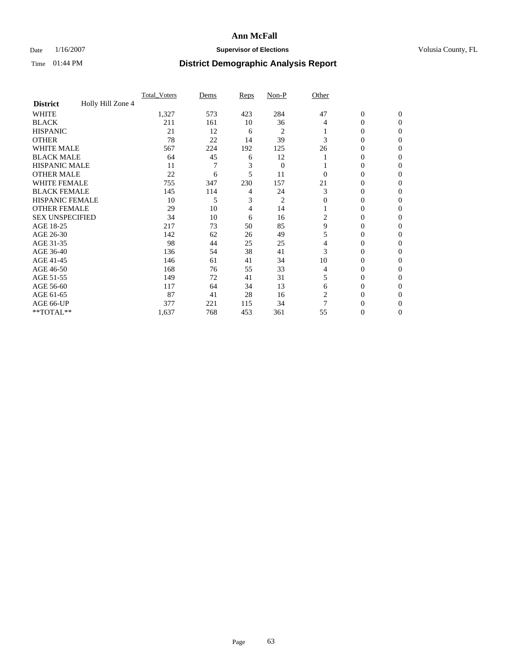### Date  $1/16/2007$  **Supervisor of Elections Supervisor of Elections** Volusia County, FL

|                        |                   | <b>Total Voters</b> | Dems | Reps | Non-P          | Other    |                  |              |  |
|------------------------|-------------------|---------------------|------|------|----------------|----------|------------------|--------------|--|
| <b>District</b>        | Holly Hill Zone 4 |                     |      |      |                |          |                  |              |  |
| <b>WHITE</b>           |                   | 1,327               | 573  | 423  | 284            | 47       | $\boldsymbol{0}$ | $\mathbf{0}$ |  |
| <b>BLACK</b>           |                   | 211                 | 161  | 10   | 36             | 4        | 0                | $\mathbf{0}$ |  |
| <b>HISPANIC</b>        |                   | 21                  | 12   | 6    | 2              |          | 0                | $\mathbf{0}$ |  |
| <b>OTHER</b>           |                   | 78                  | 22   | 14   | 39             | 3        | $\overline{0}$   | $\theta$     |  |
| <b>WHITE MALE</b>      |                   | 567                 | 224  | 192  | 125            | 26       | 0                | 0            |  |
| <b>BLACK MALE</b>      |                   | 64                  | 45   | 6    | 12             |          | 0                | 0            |  |
| <b>HISPANIC MALE</b>   |                   | 11                  |      | 3    | $\overline{0}$ |          | 0                | 0            |  |
| <b>OTHER MALE</b>      |                   | 22                  | 6    | 5    | 11             | $\Omega$ | 0                | 0            |  |
| WHITE FEMALE           |                   | 755                 | 347  | 230  | 157            | 21       | 0                | 0            |  |
| <b>BLACK FEMALE</b>    |                   | 145                 | 114  | 4    | 24             | 3        | 0                | 0            |  |
| <b>HISPANIC FEMALE</b> |                   | 10                  | 5    | 3    | 2              | $\Omega$ | 0                | $\Omega$     |  |
| <b>OTHER FEMALE</b>    |                   | 29                  | 10   | 4    | 14             |          | 0                | $\theta$     |  |
| <b>SEX UNSPECIFIED</b> |                   | 34                  | 10   | 6    | 16             | 2        | 0                | $\theta$     |  |
| AGE 18-25              |                   | 217                 | 73   | 50   | 85             | 9        | 0                | $_{0}$       |  |
| AGE 26-30              |                   | 142                 | 62   | 26   | 49             | 5        | 0                | 0            |  |
| AGE 31-35              |                   | 98                  | 44   | 25   | 25             | 4        | 0                | 0            |  |
| AGE 36-40              |                   | 136                 | 54   | 38   | 41             | 3        | 0                | 0            |  |
| AGE 41-45              |                   | 146                 | 61   | 41   | 34             | 10       | 0                | 0            |  |
| AGE 46-50              |                   | 168                 | 76   | 55   | 33             | 4        | 0                | $\mathbf{0}$ |  |
| AGE 51-55              |                   | 149                 | 72   | 41   | 31             | 5        | 0                | $\Omega$     |  |
| AGE 56-60              |                   | 117                 | 64   | 34   | 13             | 6        | 0                | $\theta$     |  |
| AGE 61-65              |                   | 87                  | 41   | 28   | 16             | 2        | 0                | 0            |  |
| AGE 66-UP              |                   | 377                 | 221  | 115  | 34             |          | 0                |              |  |
| **TOTAL**              |                   | 1,637               | 768  | 453  | 361            | 55       | 0                | 0            |  |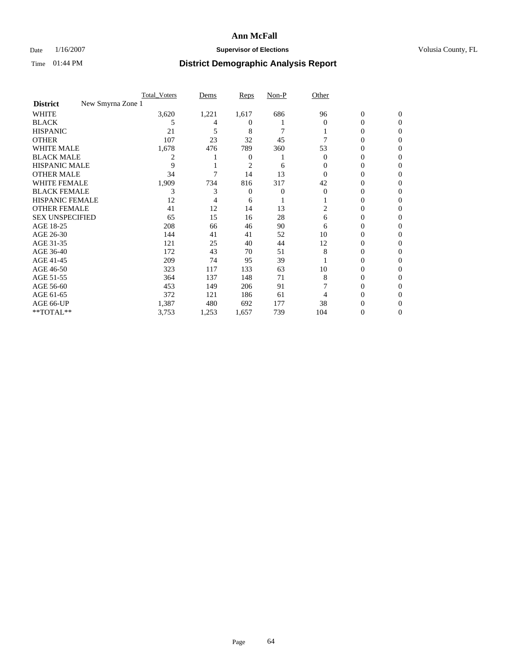### Date  $1/16/2007$  **Supervisor of Elections Supervisor of Elections** Volusia County, FL

|                                      | <b>Total Voters</b> | Dems  | Reps   | Non-P | Other    |                  |              |  |
|--------------------------------------|---------------------|-------|--------|-------|----------|------------------|--------------|--|
| New Smyrna Zone 1<br><b>District</b> |                     |       |        |       |          |                  |              |  |
| <b>WHITE</b>                         | 3,620               | 1,221 | 1,617  | 686   | 96       | $\boldsymbol{0}$ | $\mathbf{0}$ |  |
| <b>BLACK</b>                         | 5                   | 4     | $_{0}$ |       | $\Omega$ | 0                | $\Omega$     |  |
| <b>HISPANIC</b>                      | 21                  | 5     | 8      | 7     |          | 0                | $\theta$     |  |
| <b>OTHER</b>                         | 107                 | 23    | 32     | 45    |          | 0                | 0            |  |
| <b>WHITE MALE</b>                    | 1,678               | 476   | 789    | 360   | 53       | 0                |              |  |
| <b>BLACK MALE</b>                    | 2                   |       | 0      |       | 0        | 0                | 0            |  |
| <b>HISPANIC MALE</b>                 | 9                   |       | 2      | 6     |          | 0                |              |  |
| <b>OTHER MALE</b>                    | 34                  |       | 14     | 13    | 0        | 0                | 0            |  |
| WHITE FEMALE                         | 1,909               | 734   | 816    | 317   | 42       | 0                | 0            |  |
| <b>BLACK FEMALE</b>                  | 3                   | 3     | 0      | 0     | $\Omega$ | 0                | 0            |  |
| <b>HISPANIC FEMALE</b>               | 12                  |       | 6      |       |          | 0                | 0            |  |
| <b>OTHER FEMALE</b>                  | 41                  | 12    | 14     | 13    | 2        | 0                | 0            |  |
| <b>SEX UNSPECIFIED</b>               | 65                  | 15    | 16     | 28    | 6        | 0                | 0            |  |
| AGE 18-25                            | 208                 | 66    | 46     | 90    | 6        | 0                |              |  |
| AGE 26-30                            | 144                 | 41    | 41     | 52    | 10       | 0                | 0            |  |
| AGE 31-35                            | 121                 | 25    | 40     | 44    | 12       | 0                |              |  |
| AGE 36-40                            | 172                 | 43    | 70     | 51    | 8        | 0                | 0            |  |
| AGE 41-45                            | 209                 | 74    | 95     | 39    |          | 0                | 0            |  |
| AGE 46-50                            | 323                 | 117   | 133    | 63    | 10       | 0                | 0            |  |
| AGE 51-55                            | 364                 | 137   | 148    | 71    | 8        | 0                | $\theta$     |  |
| AGE 56-60                            | 453                 | 149   | 206    | 91    |          | 0                | 0            |  |
| AGE 61-65                            | 372                 | 121   | 186    | 61    |          | 0                |              |  |
| AGE 66-UP                            | 1,387               | 480   | 692    | 177   | 38       | 0                |              |  |
| **TOTAL**                            | 3,753               | 1,253 | 1,657  | 739   | 104      | 0                | 0            |  |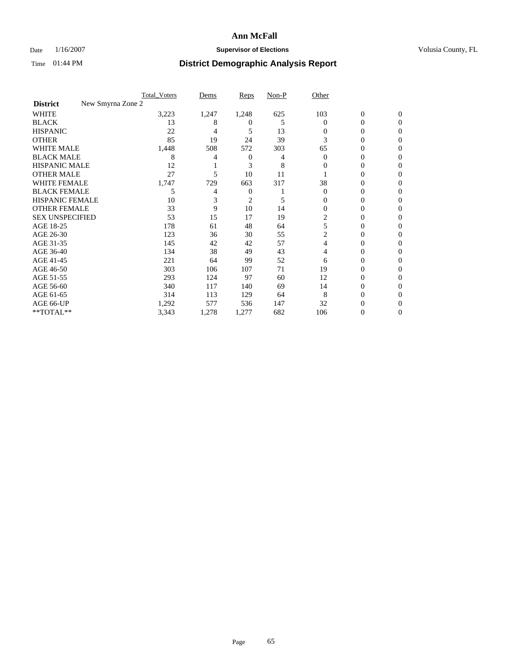### Date  $1/16/2007$  **Supervisor of Elections Supervisor of Elections** Volusia County, FL

|                                      | <b>Total Voters</b> | Dems  | Reps   | Non-P | Other    |                  |              |  |
|--------------------------------------|---------------------|-------|--------|-------|----------|------------------|--------------|--|
| New Smyrna Zone 2<br><b>District</b> |                     |       |        |       |          |                  |              |  |
| <b>WHITE</b>                         | 3,223               | 1,247 | 1,248  | 625   | 103      | $\boldsymbol{0}$ | $\mathbf{0}$ |  |
| <b>BLACK</b>                         | 13                  | 8     | $_{0}$ | 5     | $\Omega$ | 0                | $\mathbf{0}$ |  |
| <b>HISPANIC</b>                      | 22                  | 4     | 5      | 13    | 0        | 0                | $\Omega$     |  |
| <b>OTHER</b>                         | 85                  | 19    | 24     | 39    | 3        | 0                | $\theta$     |  |
| <b>WHITE MALE</b>                    | 1,448               | 508   | 572    | 303   | 65       | 0                | 0            |  |
| <b>BLACK MALE</b>                    | 8                   |       | 0      | 4     | $\Omega$ | 0                | 0            |  |
| <b>HISPANIC MALE</b>                 | 12                  |       | 3      | 8     | 0        | 0                |              |  |
| <b>OTHER MALE</b>                    | 27                  | 5     | 10     | 11    |          | 0                | 0            |  |
| WHITE FEMALE                         | 1,747               | 729   | 663    | 317   | 38       | 0                | 0            |  |
| <b>BLACK FEMALE</b>                  | 5                   | 4     | 0      |       | $\Omega$ | 0                | 0            |  |
| <b>HISPANIC FEMALE</b>               | 10                  |       | 2      | 5     | 0        | 0                | $\Omega$     |  |
| <b>OTHER FEMALE</b>                  | 33                  | 9     | 10     | 14    | $\Omega$ | 0                | $\theta$     |  |
| <b>SEX UNSPECIFIED</b>               | 53                  | 15    | 17     | 19    | 2        | 0                | 0            |  |
| AGE 18-25                            | 178                 | 61    | 48     | 64    | 5        | 0                |              |  |
| AGE 26-30                            | 123                 | 36    | 30     | 55    | 2        | 0                | 0            |  |
| AGE 31-35                            | 145                 | 42    | 42     | 57    | 4        | 0                |              |  |
| AGE 36-40                            | 134                 | 38    | 49     | 43    | 4        | 0                | 0            |  |
| AGE 41-45                            | 221                 | 64    | 99     | 52    | 6        | 0                | 0            |  |
| AGE 46-50                            | 303                 | 106   | 107    | 71    | 19       | 0                | $\Omega$     |  |
| AGE 51-55                            | 293                 | 124   | 97     | 60    | 12       | 0                | $\theta$     |  |
| AGE 56-60                            | 340                 | 117   | 140    | 69    | 14       | 0                | $\theta$     |  |
| AGE 61-65                            | 314                 | 113   | 129    | 64    | 8        | 0                |              |  |
| AGE 66-UP                            | 1,292               | 577   | 536    | 147   | 32       | 0                |              |  |
| **TOTAL**                            | 3,343               | 1,278 | 1,277  | 682   | 106      | 0                | 0            |  |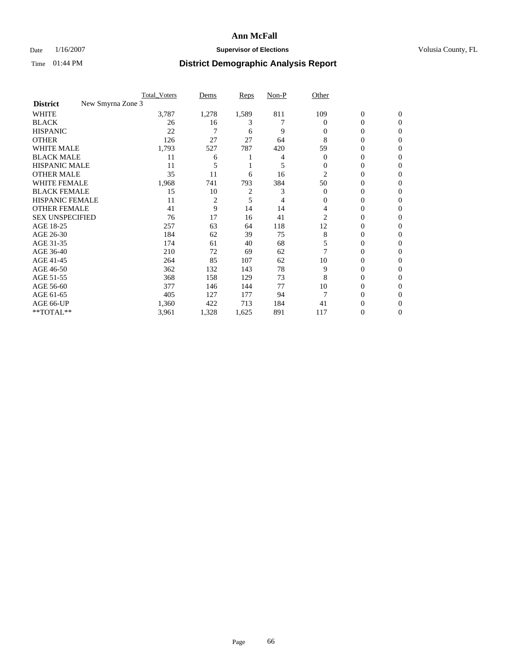### Date  $1/16/2007$  **Supervisor of Elections Supervisor of Elections** Volusia County, FL

|                                      | <b>Total Voters</b> | Dems           | Reps           | Non-P | Other    |                  |              |  |
|--------------------------------------|---------------------|----------------|----------------|-------|----------|------------------|--------------|--|
| New Smyrna Zone 3<br><b>District</b> |                     |                |                |       |          |                  |              |  |
| <b>WHITE</b>                         | 3,787               | 1,278          | 1,589          | 811   | 109      | $\boldsymbol{0}$ | $\mathbf{0}$ |  |
| <b>BLACK</b>                         | 26                  | 16             | 3              |       | $\Omega$ | 0                | $\mathbf{0}$ |  |
| <b>HISPANIC</b>                      | 22                  |                | 6              | 9     | 0        | 0                | $\Omega$     |  |
| <b>OTHER</b>                         | 126                 | 27             | 27             | 64    | 8        | $\overline{0}$   | $\theta$     |  |
| <b>WHITE MALE</b>                    | 1,793               | 527            | 787            | 420   | 59       | 0                | 0            |  |
| <b>BLACK MALE</b>                    | 11                  | 6              |                | 4     | $\Omega$ | 0                | 0            |  |
| <b>HISPANIC MALE</b>                 | 11                  |                |                | 5     | 0        | 0                |              |  |
| <b>OTHER MALE</b>                    | 35                  | 11             | 6              | 16    | 2        | 0                | 0            |  |
| WHITE FEMALE                         | 1,968               | 741            | 793            | 384   | 50       | 0                | 0            |  |
| <b>BLACK FEMALE</b>                  | 15                  | 10             | $\overline{c}$ | 3     | $\Omega$ | 0                | 0            |  |
| <b>HISPANIC FEMALE</b>               | 11                  | $\overline{2}$ | 5              | 4     | 0        | 0                | $\Omega$     |  |
| <b>OTHER FEMALE</b>                  | 41                  | 9              | 14             | 14    | 4        | 0                | $\theta$     |  |
| <b>SEX UNSPECIFIED</b>               | 76                  | 17             | 16             | 41    | 2        | 0                | $\theta$     |  |
| AGE 18-25                            | 257                 | 63             | 64             | 118   | 12       | 0                | $_{0}$       |  |
| AGE 26-30                            | 184                 | 62             | 39             | 75    | 8        | 0                | 0            |  |
| AGE 31-35                            | 174                 | 61             | 40             | 68    | 5        | 0                |              |  |
| AGE 36-40                            | 210                 | 72             | 69             | 62    |          | 0                | 0            |  |
| AGE 41-45                            | 264                 | 85             | 107            | 62    | 10       | 0                | 0            |  |
| AGE 46-50                            | 362                 | 132            | 143            | 78    | 9        | 0                | $\Omega$     |  |
| AGE 51-55                            | 368                 | 158            | 129            | 73    | 8        | 0                | $\theta$     |  |
| AGE 56-60                            | 377                 | 146            | 144            | 77    | 10       | 0                | $\theta$     |  |
| AGE 61-65                            | 405                 | 127            | 177            | 94    |          | 0                | 0            |  |
| AGE 66-UP                            | 1,360               | 422            | 713            | 184   | 41       | 0                |              |  |
| **TOTAL**                            | 3,961               | 1,328          | 1,625          | 891   | 117      | 0                | 0            |  |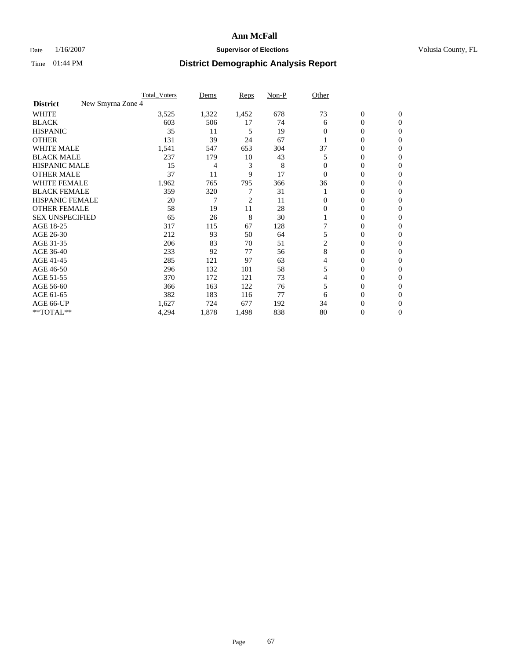### Date  $1/16/2007$  **Supervisor of Elections Supervisor of Elections** Volusia County, FL

|                                      | Total Voters | Dems  | <b>Reps</b> | Non-P | Other    |                  |                |  |
|--------------------------------------|--------------|-------|-------------|-------|----------|------------------|----------------|--|
| New Smyrna Zone 4<br><b>District</b> |              |       |             |       |          |                  |                |  |
| <b>WHITE</b>                         | 3,525        | 1,322 | 1,452       | 678   | 73       | $\boldsymbol{0}$ | $\mathbf{0}$   |  |
| <b>BLACK</b>                         | 603          | 506   | 17          | 74    | 6        | 0                | $\mathbf{0}$   |  |
| <b>HISPANIC</b>                      | 35           | 11    | 5           | 19    | $\Omega$ | 0                | $\Omega$       |  |
| <b>OTHER</b>                         | 131          | 39    | 24          | 67    |          | 0                | $\Omega$       |  |
| <b>WHITE MALE</b>                    | 1,541        | 547   | 653         | 304   | 37       | 0                | $\Omega$       |  |
| <b>BLACK MALE</b>                    | 237          | 179   | 10          | 43    | 5        | 0                | 0              |  |
| <b>HISPANIC MALE</b>                 | 15           | 4     | 3           | 8     |          | 0                | 0              |  |
| <b>OTHER MALE</b>                    | 37           | 11    | 9           | 17    | $\Omega$ | 0                | 0              |  |
| WHITE FEMALE                         | 1,962        | 765   | 795         | 366   | 36       | 0                | 0              |  |
| <b>BLACK FEMALE</b>                  | 359          | 320   |             | 31    |          | 0                | $\bf{0}$       |  |
| <b>HISPANIC FEMALE</b>               | 20           |       | 2           | 11    | 0        | 0                | $\Omega$       |  |
| <b>OTHER FEMALE</b>                  | 58           | 19    | 11          | 28    | $\Omega$ | 0                | $\Omega$       |  |
| <b>SEX UNSPECIFIED</b>               | 65           | 26    | 8           | 30    |          | 0                | $\Omega$       |  |
| AGE 18-25                            | 317          | 115   | 67          | 128   |          | 0                | 0              |  |
| AGE 26-30                            | 212          | 93    | 50          | 64    | 5        | 0                | $\Omega$       |  |
| AGE 31-35                            | 206          | 83    | 70          | 51    | 2        | 0                | 0              |  |
| AGE 36-40                            | 233          | 92    | 77          | 56    | 8        | 0                | 0              |  |
| AGE 41-45                            | 285          | 121   | 97          | 63    | 4        | 0                | 0              |  |
| AGE 46-50                            | 296          | 132   | 101         | 58    | 5        | 0                | $\Omega$       |  |
| AGE 51-55                            | 370          | 172   | 121         | 73    |          | 0                | $\Omega$       |  |
| AGE 56-60                            | 366          | 163   | 122         | 76    | 5        | 0                | $\Omega$       |  |
| AGE 61-65                            | 382          | 183   | 116         | 77    | 6        | 0                | 0              |  |
| AGE 66-UP                            | 1,627        | 724   | 677         | 192   | 34       | 0                | $\theta$       |  |
| **TOTAL**                            | 4,294        | 1,878 | 1,498       | 838   | 80       | 0                | $\overline{0}$ |  |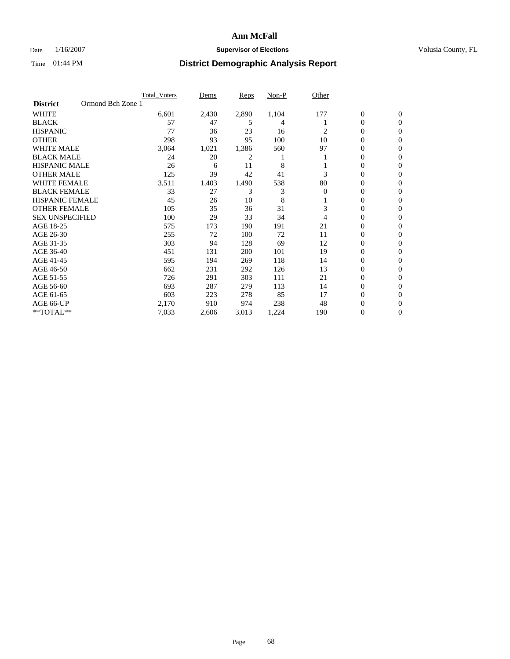### Date  $1/16/2007$  **Supervisor of Elections Supervisor of Elections** Volusia County, FL

|                        |                   | <b>Total Voters</b> | Dems  | Reps  | Non-P | Other          |                |                  |
|------------------------|-------------------|---------------------|-------|-------|-------|----------------|----------------|------------------|
| <b>District</b>        | Ormond Bch Zone 1 |                     |       |       |       |                |                |                  |
| <b>WHITE</b>           |                   | 6,601               | 2,430 | 2,890 | 1,104 | 177            | $\mathbf{0}$   | $\mathbf{0}$     |
| <b>BLACK</b>           |                   | 57                  | 47    | 5     | 4     |                | 0              | $\mathbf{0}$     |
| <b>HISPANIC</b>        |                   | 77                  | 36    | 23    | 16    | 2              | 0              | $\mathbf{0}$     |
| <b>OTHER</b>           |                   | 298                 | 93    | 95    | 100   | 10             | 0              | 0                |
| <b>WHITE MALE</b>      |                   | 3,064               | 1,021 | 1,386 | 560   | 97             | 0              | $\mathbf{0}$     |
| <b>BLACK MALE</b>      |                   | 24                  | 20    | 2     |       |                | 0              | $\mathbf{0}$     |
| <b>HISPANIC MALE</b>   |                   | 26                  | 6     | 11    | 8     |                | 0              | $\Omega$         |
| <b>OTHER MALE</b>      |                   | 125                 | 39    | 42    | 41    | 3              | $\mathbf{0}$   | $\mathbf{0}$     |
| <b>WHITE FEMALE</b>    |                   | 3,511               | 1,403 | 1,490 | 538   | 80             | 0              | $\overline{0}$   |
| <b>BLACK FEMALE</b>    |                   | 33                  | 27    | 3     | 3     | $\overline{0}$ | 0              | $\mathbf{0}$     |
| <b>HISPANIC FEMALE</b> |                   | 45                  | 26    | 10    | 8     |                | 0              | $\mathbf{0}$     |
| <b>OTHER FEMALE</b>    |                   | 105                 | 35    | 36    | 31    | 3              | 0              | 0                |
| <b>SEX UNSPECIFIED</b> |                   | 100                 | 29    | 33    | 34    | 4              | 0              | 0                |
| AGE 18-25              |                   | 575                 | 173   | 190   | 191   | 21             | 0              | $\Omega$         |
| AGE 26-30              |                   | 255                 | 72    | 100   | 72    | 11             | 0              | $\mathbf{0}$     |
| AGE 31-35              |                   | 303                 | 94    | 128   | 69    | 12             | 0              | $\mathbf{0}$     |
| AGE 36-40              |                   | 451                 | 131   | 200   | 101   | 19             | 0              | $\Omega$         |
| AGE 41-45              |                   | 595                 | 194   | 269   | 118   | 14             | 0              | $\mathbf{0}$     |
| AGE 46-50              |                   | 662                 | 231   | 292   | 126   | 13             | 0              | $\Omega$         |
| AGE 51-55              |                   | 726                 | 291   | 303   | 111   | 21             | 0              | $\mathbf{0}$     |
| AGE 56-60              |                   | 693                 | 287   | 279   | 113   | 14             | 0              | $\mathbf{0}$     |
| AGE 61-65              |                   | 603                 | 223   | 278   | 85    | 17             | $\overline{0}$ | $\Omega$         |
| AGE 66-UP              |                   | 2,170               | 910   | 974   | 238   | 48             | 0              | $\mathbf{0}$     |
| **TOTAL**              |                   | 7,033               | 2,606 | 3,013 | 1,224 | 190            | 0              | $\boldsymbol{0}$ |
|                        |                   |                     |       |       |       |                |                |                  |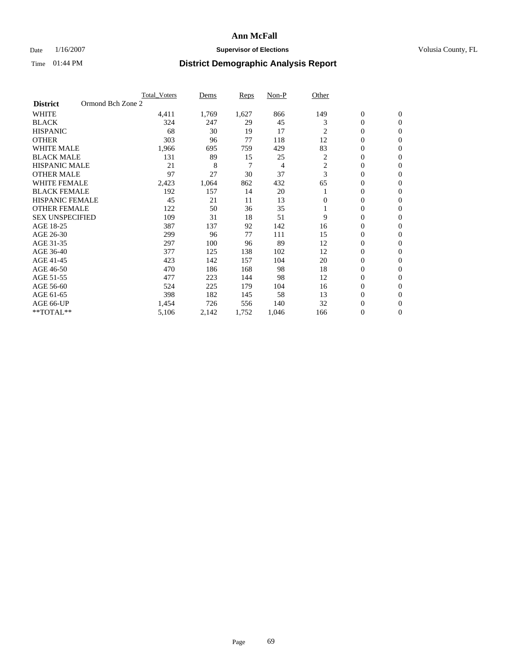### Date  $1/16/2007$  **Supervisor of Elections Supervisor of Elections** Volusia County, FL

|                        | <b>Total Voters</b> | Dems  | Reps  | Non-P | Other          |                  |                  |  |
|------------------------|---------------------|-------|-------|-------|----------------|------------------|------------------|--|
| <b>District</b>        | Ormond Bch Zone 2   |       |       |       |                |                  |                  |  |
| <b>WHITE</b>           | 4,411               | 1,769 | 1,627 | 866   | 149            | $\boldsymbol{0}$ | $\mathbf{0}$     |  |
| <b>BLACK</b>           | 324                 | 247   | 29    | 45    | 3              | $\mathbf{0}$     | $\mathbf{0}$     |  |
| <b>HISPANIC</b>        | 68                  | 30    | 19    | 17    | $\overline{c}$ | $\mathbf{0}$     | $\mathbf{0}$     |  |
| <b>OTHER</b>           | 303                 | 96    | 77    | 118   | 12             | 0                | $\overline{0}$   |  |
| <b>WHITE MALE</b>      | 1,966               | 695   | 759   | 429   | 83             | 0                | $\mathbf{0}$     |  |
| <b>BLACK MALE</b>      | 131                 | 89    | 15    | 25    | 2              | 0                | $\mathbf{0}$     |  |
| <b>HISPANIC MALE</b>   | 21                  | 8     | 7     | 4     | 2              | 0                | $\Omega$         |  |
| <b>OTHER MALE</b>      | 97                  | 27    | 30    | 37    | 3              | 0                | $\mathbf{0}$     |  |
| <b>WHITE FEMALE</b>    | 2,423               | 1,064 | 862   | 432   | 65             | 0                | $\Omega$         |  |
| <b>BLACK FEMALE</b>    | 192                 | 157   | 14    | 20    |                | $\mathbf{0}$     | $\mathbf{0}$     |  |
| <b>HISPANIC FEMALE</b> | 45                  | 21    | 11    | 13    | $\Omega$       | 0                | $\mathbf{0}$     |  |
| <b>OTHER FEMALE</b>    | 122                 | 50    | 36    | 35    |                | 0                | $\mathbf{0}$     |  |
| <b>SEX UNSPECIFIED</b> | 109                 | 31    | 18    | 51    | 9              | 0                | $\mathbf{0}$     |  |
| AGE 18-25              | 387                 | 137   | 92    | 142   | 16             | 0                | $\mathbf{0}$     |  |
| AGE 26-30              | 299                 | 96    | 77    | 111   | 15             | 0                | $\mathbf{0}$     |  |
| AGE 31-35              | 297                 | 100   | 96    | 89    | 12             | 0                | $\mathbf{0}$     |  |
| AGE 36-40              | 377                 | 125   | 138   | 102   | 12             | $\boldsymbol{0}$ | $\mathbf{0}$     |  |
| AGE 41-45              | 423                 | 142   | 157   | 104   | 20             | 0                | $\mathbf{0}$     |  |
| AGE 46-50              | 470                 | 186   | 168   | 98    | 18             | 0                | $\mathbf{0}$     |  |
| AGE 51-55              | 477                 | 223   | 144   | 98    | 12             | 0                | $\mathbf{0}$     |  |
| AGE 56-60              | 524                 | 225   | 179   | 104   | 16             | 0                | $\mathbf{0}$     |  |
| AGE 61-65              | 398                 | 182   | 145   | 58    | 13             | 0                | $\mathbf{0}$     |  |
| AGE 66-UP              | 1,454               | 726   | 556   | 140   | 32             | 0                | 0                |  |
| **TOTAL**              | 5,106               | 2,142 | 1,752 | 1,046 | 166            | 0                | $\boldsymbol{0}$ |  |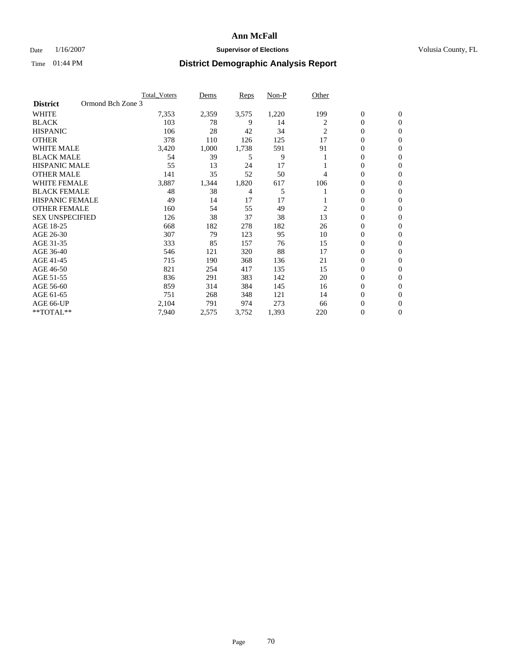### Date  $1/16/2007$  **Supervisor of Elections Supervisor of Elections** Volusia County, FL

|                        |                   | <b>Total Voters</b> | Dems  | Reps  | Non-P | Other          |                  |                  |
|------------------------|-------------------|---------------------|-------|-------|-------|----------------|------------------|------------------|
| <b>District</b>        | Ormond Bch Zone 3 |                     |       |       |       |                |                  |                  |
| <b>WHITE</b>           |                   | 7,353               | 2,359 | 3,575 | 1,220 | 199            | $\mathbf{0}$     | $\mathbf{0}$     |
| <b>BLACK</b>           |                   | 103                 | 78    | 9     | 14    | 2              | 0                | $\mathbf{0}$     |
| <b>HISPANIC</b>        |                   | 106                 | 28    | 42    | 34    | $\overline{2}$ | 0                | $\mathbf{0}$     |
| <b>OTHER</b>           |                   | 378                 | 110   | 126   | 125   | 17             | 0                | $\mathbf{0}$     |
| <b>WHITE MALE</b>      |                   | 3,420               | 1,000 | 1,738 | 591   | 91             | 0                | $\mathbf{0}$     |
| <b>BLACK MALE</b>      |                   | 54                  | 39    | 5     | 9     |                | 0                | $\mathbf{0}$     |
| <b>HISPANIC MALE</b>   |                   | 55                  | 13    | 24    | 17    |                | 0                | $\mathbf{0}$     |
| <b>OTHER MALE</b>      |                   | 141                 | 35    | 52    | 50    | 4              | $\mathbf{0}$     | $\mathbf{0}$     |
| <b>WHITE FEMALE</b>    |                   | 3,887               | 1,344 | 1,820 | 617   | 106            | 0                | $\mathbf{0}$     |
| <b>BLACK FEMALE</b>    |                   | 48                  | 38    | 4     | 5     |                | 0                | $\mathbf{0}$     |
| <b>HISPANIC FEMALE</b> |                   | 49                  | 14    | 17    | 17    |                | 0                | $\mathbf{0}$     |
| <b>OTHER FEMALE</b>    |                   | 160                 | 54    | 55    | 49    | 2              | 0                | $\mathbf{0}$     |
| <b>SEX UNSPECIFIED</b> |                   | 126                 | 38    | 37    | 38    | 13             | 0                | 0                |
| AGE 18-25              |                   | 668                 | 182   | 278   | 182   | 26             | 0                | $\Omega$         |
| AGE 26-30              |                   | 307                 | 79    | 123   | 95    | 10             | $\mathbf{0}$     | $\mathbf{0}$     |
| AGE 31-35              |                   | 333                 | 85    | 157   | 76    | 15             | 0                | $\mathbf{0}$     |
| AGE 36-40              |                   | 546                 | 121   | 320   | 88    | 17             | 0                | $\mathbf{0}$     |
| AGE 41-45              |                   | 715                 | 190   | 368   | 136   | 21             | 0                | $\mathbf{0}$     |
| AGE 46-50              |                   | 821                 | 254   | 417   | 135   | 15             | 0                | $\Omega$         |
| AGE 51-55              |                   | 836                 | 291   | 383   | 142   | 20             | $\boldsymbol{0}$ | $\mathbf{0}$     |
| AGE 56-60              |                   | 859                 | 314   | 384   | 145   | 16             | 0                | $\mathbf{0}$     |
| AGE 61-65              |                   | 751                 | 268   | 348   | 121   | 14             | $\overline{0}$   | $\mathbf{0}$     |
| AGE 66-UP              |                   | 2,104               | 791   | 974   | 273   | 66             | 0                | $\mathbf{0}$     |
| **TOTAL**              |                   | 7,940               | 2,575 | 3,752 | 1,393 | 220            | 0                | $\boldsymbol{0}$ |
|                        |                   |                     |       |       |       |                |                  |                  |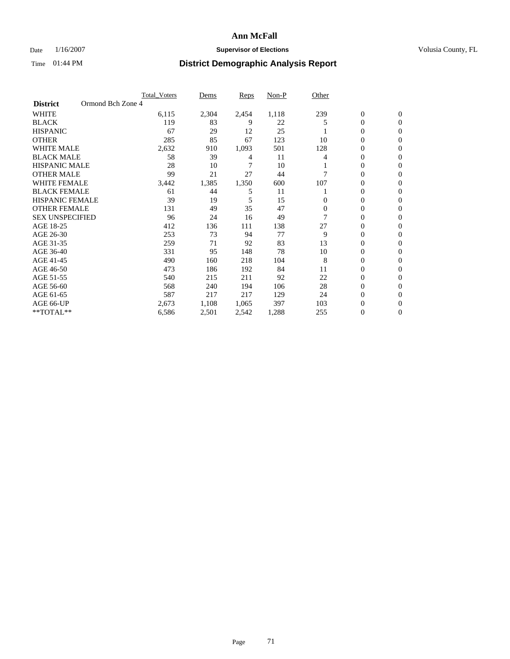### Date  $1/16/2007$  **Supervisor of Elections Supervisor of Elections** Volusia County, FL

|                                      | <b>Total Voters</b> | Dems  | Reps  | Non-P | Other    |                  |                |  |
|--------------------------------------|---------------------|-------|-------|-------|----------|------------------|----------------|--|
| Ormond Bch Zone 4<br><b>District</b> |                     |       |       |       |          |                  |                |  |
| <b>WHITE</b>                         | 6,115               | 2,304 | 2,454 | 1,118 | 239      | $\boldsymbol{0}$ | $\mathbf{0}$   |  |
| <b>BLACK</b>                         | 119                 | 83    | 9     | 22    | 5        | 0                | $\mathbf{0}$   |  |
| <b>HISPANIC</b>                      | 67                  | 29    | 12    | 25    |          | 0                | $\mathbf{0}$   |  |
| <b>OTHER</b>                         | 285                 | 85    | 67    | 123   | 10       | 0                | $\overline{0}$ |  |
| <b>WHITE MALE</b>                    | 2,632               | 910   | 1,093 | 501   | 128      | 0                | $\mathbf{0}$   |  |
| <b>BLACK MALE</b>                    | 58                  | 39    | 4     | 11    | 4        | 0                | $\mathbf{0}$   |  |
| <b>HISPANIC MALE</b>                 | 28                  | 10    | 7     | 10    |          | 0                | $\Omega$       |  |
| <b>OTHER MALE</b>                    | 99                  | 21    | 27    | 44    |          | 0                | 0              |  |
| <b>WHITE FEMALE</b>                  | 3,442               | 1,385 | 1,350 | 600   | 107      | 0                | $\Omega$       |  |
| <b>BLACK FEMALE</b>                  | 61                  | 44    | 5     | 11    |          | 0                | $\mathbf{0}$   |  |
| <b>HISPANIC FEMALE</b>               | 39                  | 19    | 5     | 15    | 0        | 0                | $\mathbf{0}$   |  |
| <b>OTHER FEMALE</b>                  | 131                 | 49    | 35    | 47    | $\Omega$ | 0                | $\mathbf{0}$   |  |
| <b>SEX UNSPECIFIED</b>               | 96                  | 24    | 16    | 49    |          | 0                | $\mathbf{0}$   |  |
| AGE 18-25                            | 412                 | 136   | 111   | 138   | 27       | 0                | 0              |  |
| AGE 26-30                            | 253                 | 73    | 94    | 77    | 9        | 0                | $\Omega$       |  |
| AGE 31-35                            | 259                 | 71    | 92    | 83    | 13       | 0                | 0              |  |
| AGE 36-40                            | 331                 | 95    | 148   | 78    | 10       | 0                | $\mathbf{0}$   |  |
| AGE 41-45                            | 490                 | 160   | 218   | 104   | 8        | 0                | $\mathbf{0}$   |  |
| AGE 46-50                            | 473                 | 186   | 192   | 84    | 11       | 0                | $\mathbf{0}$   |  |
| AGE 51-55                            | 540                 | 215   | 211   | 92    | 22       | 0                | $\mathbf{0}$   |  |
| AGE 56-60                            | 568                 | 240   | 194   | 106   | 28       | 0                | $\mathbf{0}$   |  |
| AGE 61-65                            | 587                 | 217   | 217   | 129   | 24       | 0                | $\Omega$       |  |
| AGE 66-UP                            | 2,673               | 1,108 | 1,065 | 397   | 103      | 0                | 0              |  |
| **TOTAL**                            | 6,586               | 2,501 | 2,542 | 1,288 | 255      | 0                | 0              |  |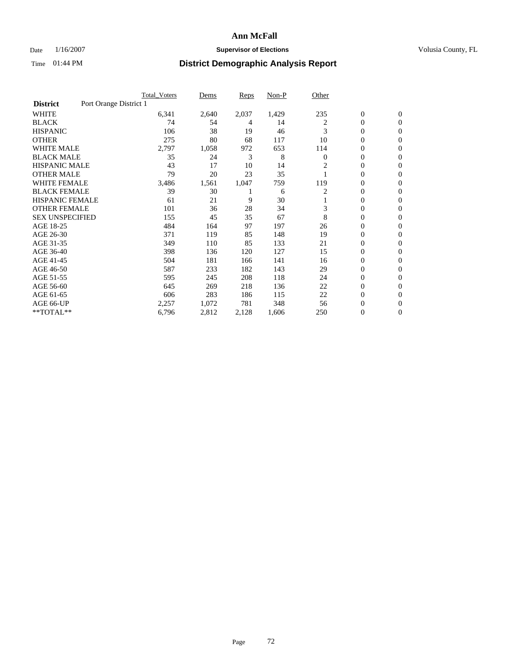### Date  $1/16/2007$  **Supervisor of Elections Supervisor of Elections** Volusia County, FL

|                                           | <b>Total Voters</b> | Dems  | Reps  | Non-P | Other        |                  |                  |  |
|-------------------------------------------|---------------------|-------|-------|-------|--------------|------------------|------------------|--|
| Port Orange District 1<br><b>District</b> |                     |       |       |       |              |                  |                  |  |
| <b>WHITE</b>                              | 6,341               | 2,640 | 2,037 | 1,429 | 235          | $\boldsymbol{0}$ | $\boldsymbol{0}$ |  |
| <b>BLACK</b>                              | 74                  | 54    | 4     | 14    | 2            | $\mathbf{0}$     | $\mathbf{0}$     |  |
| <b>HISPANIC</b>                           | 106                 | 38    | 19    | 46    | 3            | $\mathbf{0}$     | $\mathbf{0}$     |  |
| <b>OTHER</b>                              | 275                 | 80    | 68    | 117   | 10           | 0                | $\overline{0}$   |  |
| <b>WHITE MALE</b>                         | 2,797               | 1,058 | 972   | 653   | 114          | 0                | $\mathbf{0}$     |  |
| <b>BLACK MALE</b>                         | 35                  | 24    | 3     | 8     | $\mathbf{0}$ | 0                | $\mathbf{0}$     |  |
| <b>HISPANIC MALE</b>                      | 43                  | 17    | 10    | 14    | 2            | 0                | $\Omega$         |  |
| <b>OTHER MALE</b>                         | 79                  | 20    | 23    | 35    |              | 0                | $\mathbf{0}$     |  |
| WHITE FEMALE                              | 3,486               | 1,561 | 1,047 | 759   | 119          | 0                | $\Omega$         |  |
| <b>BLACK FEMALE</b>                       | 39                  | 30    |       | 6     | 2            | $\mathbf{0}$     | $\mathbf{0}$     |  |
| <b>HISPANIC FEMALE</b>                    | 61                  | 21    | 9     | 30    |              | 0                | $\mathbf{0}$     |  |
| <b>OTHER FEMALE</b>                       | 101                 | 36    | 28    | 34    | 3            | 0                | $\mathbf{0}$     |  |
| <b>SEX UNSPECIFIED</b>                    | 155                 | 45    | 35    | 67    | 8            | 0                | $\mathbf{0}$     |  |
| AGE 18-25                                 | 484                 | 164   | 97    | 197   | 26           | 0                | $\mathbf{0}$     |  |
| AGE 26-30                                 | 371                 | 119   | 85    | 148   | 19           | 0                | $\mathbf{0}$     |  |
| AGE 31-35                                 | 349                 | 110   | 85    | 133   | 21           | 0                | $\mathbf{0}$     |  |
| AGE 36-40                                 | 398                 | 136   | 120   | 127   | 15           | $\boldsymbol{0}$ | $\mathbf{0}$     |  |
| AGE 41-45                                 | 504                 | 181   | 166   | 141   | 16           | 0                | $\mathbf{0}$     |  |
| AGE 46-50                                 | 587                 | 233   | 182   | 143   | 29           | 0                | $\mathbf{0}$     |  |
| AGE 51-55                                 | 595                 | 245   | 208   | 118   | 24           | 0                | $\mathbf{0}$     |  |
| AGE 56-60                                 | 645                 | 269   | 218   | 136   | 22           | 0                | $\mathbf{0}$     |  |
| AGE 61-65                                 | 606                 | 283   | 186   | 115   | 22           | 0                | $\mathbf{0}$     |  |
| AGE 66-UP                                 | 2,257               | 1,072 | 781   | 348   | 56           | 0                | 0                |  |
| **TOTAL**                                 | 6,796               | 2,812 | 2,128 | 1,606 | 250          | 0                | $\boldsymbol{0}$ |  |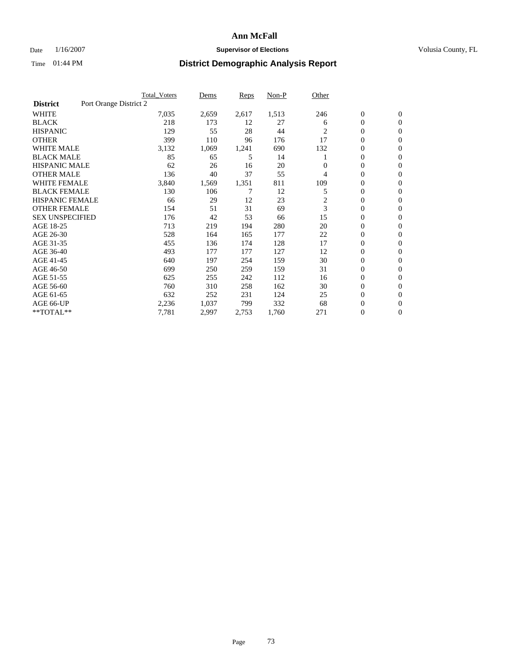## **Ann McFall**

## Date  $1/16/2007$  **Supervisor of Elections Supervisor of Elections** Volusia County, FL

# Time 01:44 PM **District Demographic Analysis Report**

|                                           | <b>Total Voters</b> | Dems  | Reps  | Non-P | Other          |                  |                  |  |
|-------------------------------------------|---------------------|-------|-------|-------|----------------|------------------|------------------|--|
| Port Orange District 2<br><b>District</b> |                     |       |       |       |                |                  |                  |  |
| <b>WHITE</b>                              | 7,035               | 2,659 | 2,617 | 1,513 | 246            | $\boldsymbol{0}$ | $\boldsymbol{0}$ |  |
| <b>BLACK</b>                              | 218                 | 173   | 12    | 27    | 6              | $\mathbf{0}$     | $\mathbf{0}$     |  |
| <b>HISPANIC</b>                           | 129                 | 55    | 28    | 44    | $\overline{c}$ | $\mathbf{0}$     | $\mathbf{0}$     |  |
| <b>OTHER</b>                              | 399                 | 110   | 96    | 176   | 17             | 0                | $\mathbf{0}$     |  |
| <b>WHITE MALE</b>                         | 3,132               | 1,069 | 1,241 | 690   | 132            | 0                | $\mathbf{0}$     |  |
| <b>BLACK MALE</b>                         | 85                  | 65    | 5     | 14    |                | 0                | 0                |  |
| <b>HISPANIC MALE</b>                      | 62                  | 26    | 16    | 20    | 0              | 0                | $\mathbf{0}$     |  |
| <b>OTHER MALE</b>                         | 136                 | 40    | 37    | 55    | 4              | 0                | $\mathbf{0}$     |  |
| <b>WHITE FEMALE</b>                       | 3,840               | 1,569 | 1,351 | 811   | 109            | 0                | $\mathbf{0}$     |  |
| <b>BLACK FEMALE</b>                       | 130                 | 106   |       | 12    | 5              | $\mathbf{0}$     | $\mathbf{0}$     |  |
| <b>HISPANIC FEMALE</b>                    | 66                  | 29    | 12    | 23    | 2              | 0                | $\mathbf{0}$     |  |
| <b>OTHER FEMALE</b>                       | 154                 | 51    | 31    | 69    | 3              | $\overline{0}$   | $\mathbf{0}$     |  |
| <b>SEX UNSPECIFIED</b>                    | 176                 | 42    | 53    | 66    | 15             | $\boldsymbol{0}$ | $\mathbf{0}$     |  |
| AGE 18-25                                 | 713                 | 219   | 194   | 280   | 20             | 0                | $\mathbf{0}$     |  |
| AGE 26-30                                 | 528                 | 164   | 165   | 177   | 22             | 0                | $\mathbf{0}$     |  |
| AGE 31-35                                 | 455                 | 136   | 174   | 128   | 17             | 0                | $\mathbf{0}$     |  |
| AGE 36-40                                 | 493                 | 177   | 177   | 127   | 12             | $\boldsymbol{0}$ | $\mathbf{0}$     |  |
| AGE 41-45                                 | 640                 | 197   | 254   | 159   | 30             | 0                | $\mathbf{0}$     |  |
| AGE 46-50                                 | 699                 | 250   | 259   | 159   | 31             | $\mathbf{0}$     | $\mathbf{0}$     |  |
| AGE 51-55                                 | 625                 | 255   | 242   | 112   | 16             | 0                | $\mathbf{0}$     |  |
| AGE 56-60                                 | 760                 | 310   | 258   | 162   | 30             | $\boldsymbol{0}$ | $\mathbf{0}$     |  |
| AGE 61-65                                 | 632                 | 252   | 231   | 124   | 25             | 0                | $\mathbf{0}$     |  |
| AGE 66-UP                                 | 2,236               | 1,037 | 799   | 332   | 68             | 0                | 0                |  |
| **TOTAL**                                 | 7,781               | 2,997 | 2,753 | 1,760 | 271            | 0                | $\boldsymbol{0}$ |  |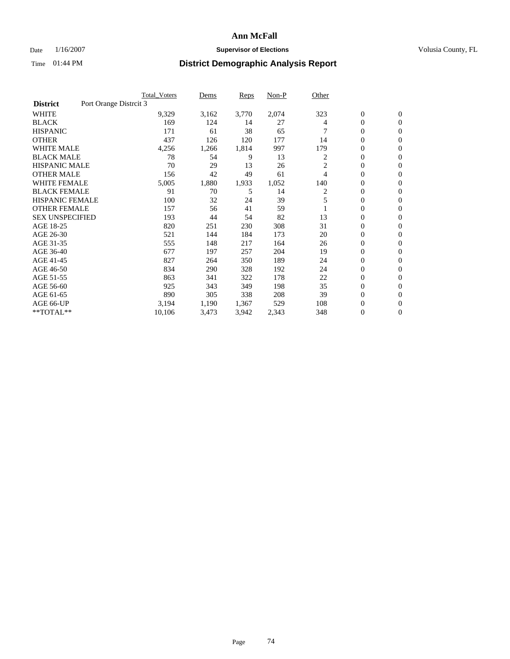## **Ann McFall**

## Date  $1/16/2007$  **Supervisor of Elections Supervisor of Elections** Volusia County, FL

## Time 01:44 PM **District Demographic Analysis Report**

|                                           | <b>Total_Voters</b> | Dems  | Reps  | Non-P | Other          |                  |                  |  |
|-------------------------------------------|---------------------|-------|-------|-------|----------------|------------------|------------------|--|
| Port Orange Distrcit 3<br><b>District</b> |                     |       |       |       |                |                  |                  |  |
| <b>WHITE</b>                              | 9,329               | 3,162 | 3,770 | 2,074 | 323            | $\boldsymbol{0}$ | $\mathbf{0}$     |  |
| <b>BLACK</b>                              | 169                 | 124   | 14    | 27    | 4              | $\overline{0}$   | $\mathbf{0}$     |  |
| <b>HISPANIC</b>                           | 171                 | 61    | 38    | 65    |                | $\overline{0}$   | $\mathbf{0}$     |  |
| <b>OTHER</b>                              | 437                 | 126   | 120   | 177   | 14             | 0                | $\overline{0}$   |  |
| <b>WHITE MALE</b>                         | 4,256               | 1,266 | 1,814 | 997   | 179            | 0                | $\mathbf{0}$     |  |
| <b>BLACK MALE</b>                         | 78                  | 54    | 9     | 13    | 2              | $\boldsymbol{0}$ | $\mathbf{0}$     |  |
| <b>HISPANIC MALE</b>                      | 70                  | 29    | 13    | 26    | $\overline{c}$ | 0                | $\Omega$         |  |
| <b>OTHER MALE</b>                         | 156                 | 42    | 49    | 61    | 4              | 0                | $\mathbf{0}$     |  |
| <b>WHITE FEMALE</b>                       | 5,005               | 1,880 | 1,933 | 1,052 | 140            | 0                | $\Omega$         |  |
| <b>BLACK FEMALE</b>                       | 91                  | 70    | 5     | 14    | 2              | $\overline{0}$   | $\mathbf{0}$     |  |
| <b>HISPANIC FEMALE</b>                    | 100                 | 32    | 24    | 39    | 5              | 0                | $\mathbf{0}$     |  |
| <b>OTHER FEMALE</b>                       | 157                 | 56    | 41    | 59    |                | 0                | $\mathbf{0}$     |  |
| <b>SEX UNSPECIFIED</b>                    | 193                 | 44    | 54    | 82    | 13             | $\boldsymbol{0}$ | $\mathbf{0}$     |  |
| AGE 18-25                                 | 820                 | 251   | 230   | 308   | 31             | $\overline{0}$   | $\mathbf{0}$     |  |
| AGE 26-30                                 | 521                 | 144   | 184   | 173   | 20             | $\boldsymbol{0}$ | $\mathbf{0}$     |  |
| AGE 31-35                                 | 555                 | 148   | 217   | 164   | 26             | 0                | $\mathbf{0}$     |  |
| AGE 36-40                                 | 677                 | 197   | 257   | 204   | 19             | $\overline{0}$   | $\mathbf{0}$     |  |
| AGE 41-45                                 | 827                 | 264   | 350   | 189   | 24             | $\mathbf{0}$     | $\mathbf{0}$     |  |
| AGE 46-50                                 | 834                 | 290   | 328   | 192   | 24             | $\overline{0}$   | $\mathbf{0}$     |  |
| AGE 51-55                                 | 863                 | 341   | 322   | 178   | 22             | $\overline{0}$   | $\mathbf{0}$     |  |
| AGE 56-60                                 | 925                 | 343   | 349   | 198   | 35             | $\boldsymbol{0}$ | $\mathbf{0}$     |  |
| AGE 61-65                                 | 890                 | 305   | 338   | 208   | 39             | 0                | $\mathbf{0}$     |  |
| AGE 66-UP                                 | 3,194               | 1,190 | 1,367 | 529   | 108            | 0                | 0                |  |
| **TOTAL**                                 | 10,106              | 3,473 | 3,942 | 2,343 | 348            | 0                | $\boldsymbol{0}$ |  |